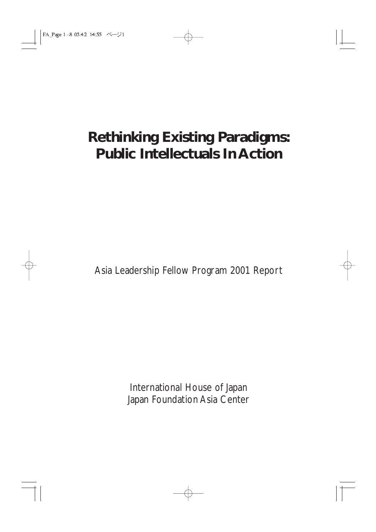# **Rethinking Existing Paradigms: Public Intellectuals In Action**

Asia Leadership Fellow Program 2001 Report

International House of Japan Japan Foundation Asia Center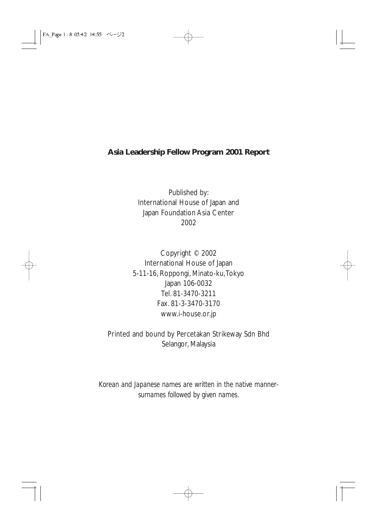#### **Asia Leadership Fellow Program 2001 Report**

Published by: International House of Japan and Japan Foundation Asia Center 2002

Copyright © 2002 International House of Japan 5-11-16, Roppongi, Minato-ku,Tokyo Japan 106-0032 Tel. 81-3470-3211 Fax. 81-3-3470-3170 www.i-house.or.jp

Printed and bound by Percetakan Strikeway Sdn Bhd Selangor, Malaysia

*Korean and Japanese names are written in the native mannersurnames followed by given names.*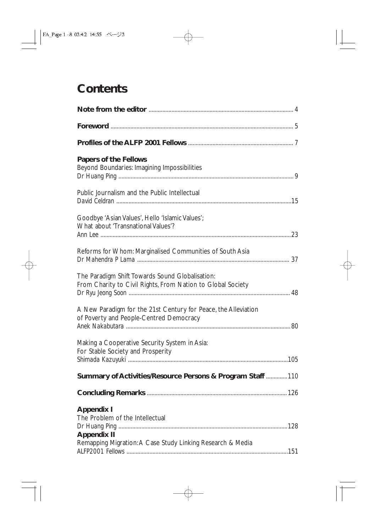## **Contents**

| <b>Papers of the Fellows</b><br>Beyond Boundaries: Imagining Impossibilities                                   |  |
|----------------------------------------------------------------------------------------------------------------|--|
| Public Journalism and the Public Intellectual                                                                  |  |
| Goodbye 'Asian Values', Hello 'Islamic Values';<br>What about 'Transnational Values'?                          |  |
| Reforms for Whom: Marginalised Communities of South Asia                                                       |  |
| The Paradigm Shift Towards Sound Globalisation:<br>From Charity to Civil Rights, From Nation to Global Society |  |
| A New Paradigm for the 21st Century for Peace, the Alleviation<br>of Poverty and People-Centred Democracy      |  |
| Making a Cooperative Security System in Asia:<br>For Stable Society and Prosperity                             |  |
| Summary of Activities/Resource Persons & Program Staff 110                                                     |  |
|                                                                                                                |  |
| <b>Appendix I</b><br>The Problem of the Intellectual                                                           |  |
| <b>Appendix II</b>                                                                                             |  |
| Remapping Migration: A Case Study Linking Research & Media                                                     |  |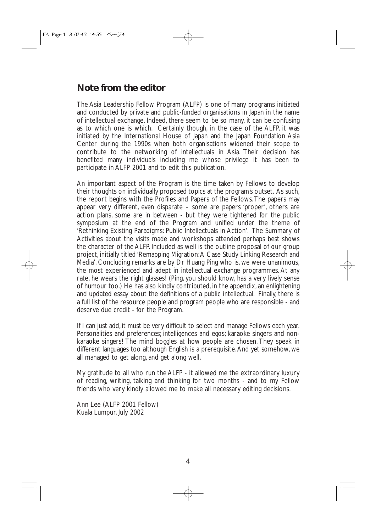## **Note from the editor**

The Asia Leadership Fellow Program (ALFP) is one of many programs initiated and conducted by private and public-funded organisations in Japan in the name of intellectual exchange. Indeed, there seem to be so many, it can be confusing as to which one is which. Certainly though, in the case of the ALFP, it was initiated by the International House of Japan and the Japan Foundation Asia Center during the 1990s when both organisations widened their scope to contribute to the networking of intellectuals in Asia. Their decision has benefited many individuals including me whose privilege it has been to participate in ALFP 2001 and to edit this publication.

An important aspect of the Program is the time taken by Fellows to develop their thoughts on individually proposed topics at the program's outset. As such, the report begins with the Profiles and Papers of the Fellows.The papers may appear very different, even disparate – some are papers 'proper', others are action plans, some are in between - but they were tightened for the public symposium at the end of the Program and unified under the theme of 'Rethinking Existing Paradigms: Public Intellectuals in Action'. The Summary of Activities about the visits made and workshops attended perhaps best shows the character of the ALFP. Included as well is the outline proposal of our group project, initially titled 'Remapping Migration:A Case Study Linking Research and Media'. Concluding remarks are by Dr Huang Ping who is, we were unanimous, the most experienced and adept in intellectual exchange programmes. At any rate, he wears the right glasses! (Ping, you should know, has a very lively sense of humour too.) He has also kindly contributed, in the appendix, an enlightening and updated essay about the definitions of a public intellectual. Finally, there is a full list of the resource people and program people who are responsible - and deserve due credit - for the Program.

If I can just add, it must be very difficult to select and manage Fellows each year. Personalities and preferences; intelligences and egos; karaoke singers and nonkaraoke singers! The mind boggles at how people are chosen. They speak in different languages too although English is a prerequisite.And yet somehow, we all managed to get along, and get along well.

My gratitude to all who run the ALFP - it allowed me the extraordinary luxury of reading, writing, talking and thinking for two months - and to my Fellow friends who very kindly allowed me to make all necessary editing decisions.

Ann Lee (ALFP 2001 Fellow) Kuala Lumpur, July 2002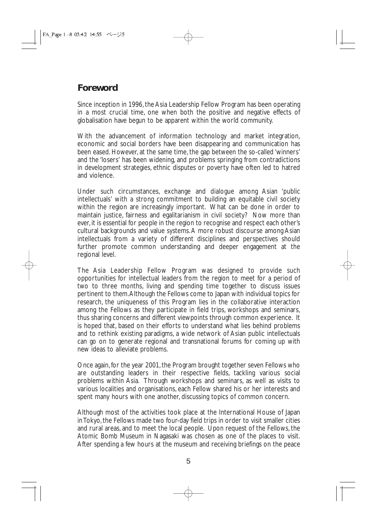## **Foreword**

Since inception in 1996, the Asia Leadership Fellow Program has been operating in a most crucial time, one when both the positive and negative effects of globalisation have begun to be apparent within the world community.

With the advancement of information technology and market integration, economic and social borders have been disappearing and communication has been eased. However, at the same time, the gap between the so-called 'winners' and the 'losers' has been widening, and problems springing from contradictions in development strategies, ethnic disputes or poverty have often led to hatred and violence.

Under such circumstances, exchange and dialogue among Asian 'public intellectuals' with a strong commitment to building an equitable civil society within the region are increasingly important. What can be done in order to maintain justice, fairness and egalitarianism in civil society? Now more than ever, it is essential for people in the region to recognise and respect each other's cultural backgrounds and value systems.A more robust discourse among Asian intellectuals from a variety of different disciplines and perspectives should further promote common understanding and deeper engagement at the regional level.

The Asia Leadership Fellow Program was designed to provide such opportunities for intellectual leaders from the region to meet for a period of two to three months, living and spending time together to discuss issues pertinent to them.Although the Fellows come to Japan with individual topics for research, the uniqueness of this Program lies in the collaborative interaction among the Fellows as they participate in field trips, workshops and seminars, thus sharing concerns and different viewpoints through common experience. It is hoped that, based on their efforts to understand what lies behind problems and to rethink existing paradigms, a wide network of Asian public intellectuals can go on to generate regional and transnational forums for coming up with new ideas to alleviate problems.

Once again, for the year 2001, the Program brought together seven Fellows who are outstanding leaders in their respective fields, tackling various social problems within Asia. Through workshops and seminars, as well as visits to various localities and organisations, each Fellow shared his or her interests and spent many hours with one another, discussing topics of common concern.

Although most of the activities took place at the International House of Japan in Tokyo, the Fellows made two four-day field trips in order to visit smaller cities and rural areas, and to meet the local people. Upon request of the Fellows, the Atomic Bomb Museum in Nagasaki was chosen as one of the places to visit. After spending a few hours at the museum and receiving briefings on the peace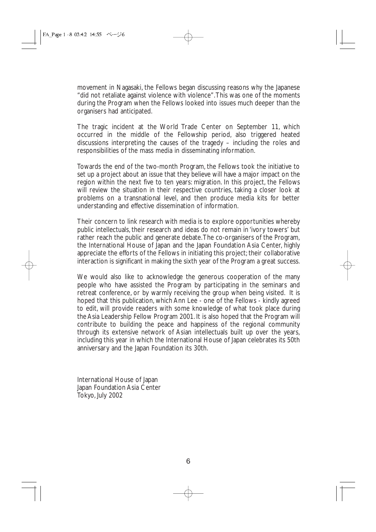movement in Nagasaki, the Fellows began discussing reasons why the Japanese "did not retaliate against violence with violence".This was one of the moments during the Program when the Fellows looked into issues much deeper than the organisers had anticipated.

The tragic incident at the World Trade Center on September 11, which occurred in the middle of the Fellowship period, also triggered heated discussions interpreting the causes of the tragedy – including the roles and responsibilities of the mass media in disseminating information.

Towards the end of the two-month Program, the Fellows took the initiative to set up a project about an issue that they believe will have a major impact on the region within the next five to ten years: migration. In this project, the Fellows will review the situation in their respective countries, taking a closer look at problems on a transnational level, and then produce media kits for better understanding and effective dissemination of information.

Their concern to link research with media is to explore opportunities whereby public intellectuals, their research and ideas do not remain in 'ivory towers' but rather reach the public and generate debate.The co-organisers of the Program, the International House of Japan and the Japan Foundation Asia Center, highly appreciate the efforts of the Fellows in initiating this project; their collaborative interaction is significant in making the sixth year of the Program a great success.

We would also like to acknowledge the generous cooperation of the many people who have assisted the Program by participating in the seminars and retreat conference, or by warmly receiving the group when being visited. It is hoped that this publication, which Ann Lee - one of the Fellows - kindly agreed to edit, will provide readers with some knowledge of what took place during the Asia Leadership Fellow Program 2001. It is also hoped that the Program will contribute to building the peace and happiness of the regional community through its extensive network of Asian intellectuals built up over the years, including this year in which the International House of Japan celebrates its 50th anniversary and the Japan Foundation its 30th.

International House of Japan Japan Foundation Asia Center Tokyo, July 2002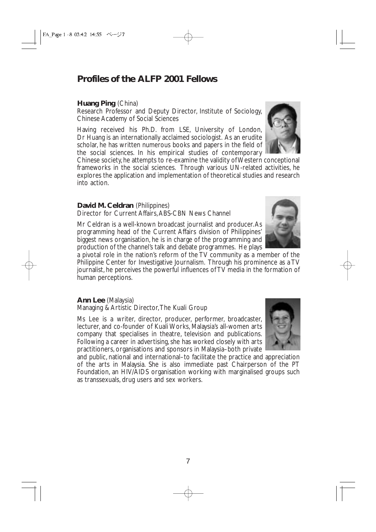## **Profiles of the ALFP 2001 Fellows**

#### **Huang Ping** (China)

Research Professor and Deputy Director, Institute of Sociology, Chinese Academy of Social Sciences

Having received his Ph.D. from LSE, University of London, Dr Huang is an internationally acclaimed sociologist. As an erudite scholar, he has written numerous books and papers in the field of the social sciences. In his empirical studies of contemporary

Chinese society, he attempts to re-examine the validity of Western conceptional frameworks in the social sciences. Through various UN-related activities, he explores the application and implementation of theoretical studies and research into action.

#### **David M. Celdran** (Philippines)

Director for Current Affairs, ABS-CBN News Channel

Mr Celdran is a well-known broadcast journalist and producer.As programming head of the Current Affairs division of Philippines' biggest news organisation, he is in charge of the programming and production of the channel's talk and debate programmes. He plays

a pivotal role in the nation's reform of the TV community as a member of the Philippine Center for Investigative Journalism. Through his prominence as a TV journalist, he perceives the powerful influences of TV media in the formation of human perceptions.

#### **Ann Lee** (Malaysia)

Managing & Artistic Director,The Kuali Group

Ms Lee is a writer, director, producer, performer, broadcaster, lecturer, and co-founder of Kuali Works, Malaysia's all-women arts company that specialises in theatre, television and publications. Following a career in advertising, she has worked closely with arts practitioners, organisations and sponsors in Malaysia–both private

and public, national and international–to facilitate the practice and appreciation of the arts in Malaysia. She is also immediate past Chairperson of the PT Foundation, an HIV/AIDS organisation working with marginalised groups such as transsexuals, drug users and sex workers.



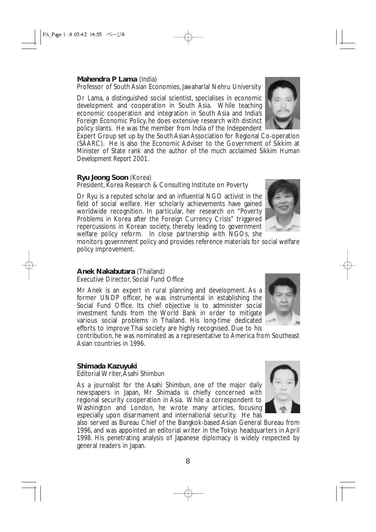#### **Mahendra P Lama** (India)

Professor of South Asian Economies, Jawaharlal Nehru University

Dr Lama, a distinguished social scientist, specialises in economic development and cooperation in South Asia. While teaching economic cooperation and integration in South Asia and India's Foreign Economic Policy, he does extensive research with distinct policy slants. He was the member from India of the Independent

Expert Group set up by the South Asian Association for Regional Co-operation (SAARC). He is also the Economic Adviser to the Government of Sikkim at Minister of State rank and the author of the much acclaimed *Sikkim Human Development Report 2001.*

#### **Ryu Jeong Soon** (Korea)

President, Korea Research & Consulting Institute on Poverty

Dr Ryu is a reputed scholar and an influential NGO activist in the field of social welfare. Her scholarly achievements have gained worldwide recognition. In particular, her research on "Poverty Problems in Korea after the Foreign Currency Crisis" triggered repercussions in Korean society, thereby leading to government welfare policy reform. In close partnership with NGOs, she

monitors government policy and provides reference materials for social welfare policy improvement.

#### **Anek Nakabutara** (Thailand)

Executive Director, Social Fund Office

Mr Anek is an expert in rural planning and development. As a former UNDP officer, he was instrumental in establishing the Social Fund Office. Its chief objective is to administer social investment funds from the World Bank in order to mitigate various social problems in Thailand. His long-time dedicated efforts to improve Thai society are highly recognised. Due to his

contribution, he was nominated as a representative to America from Southeast Asian countries in 1996.

#### **Shimada Kazuyuki**

Editorial Writer,Asahi Shimbun

As a journalist for the Asahi Shimbun, one of the major daily newspapers in Japan, Mr Shimada is chiefly concerned with regional security cooperation in Asia. While a correspondent to Washington and London, he wrote many articles, focusing especially upon disarmament and international security. He has

also served as Bureau Chief of the Bangkok-based Asian General Bureau from 1996, and was appointed an editorial writer in the Tokyo headquarters in April 1998. His penetrating analysis of Japanese diplomacy is widely respected by general readers in Japan.





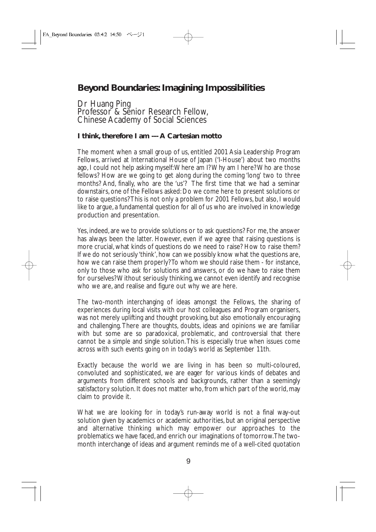## **Beyond Boundaries: Imagining Impossibilities**

Dr Huang Ping Professor<sup>®</sup> & Senior Research Fellow, Chinese Academy of Social Sciences

#### **I think, therefore I am --- A Cartesian motto**

The moment when a small group of us, entitled 2001 Asia Leadership Program Fellows, arrived at International House of Japan ('I-House') about two months ago, I could not help asking myself:Where am I? Why am I here? Who are those fellows? How are we going to get along during the coming 'long' two to three months? And, finally, who are the 'us'? The first time that we had a seminar downstairs, one of the Fellows asked: Do we come here to present solutions or to raise questions? This is not only a problem for 2001 Fellows, but also, I would like to argue, a fundamental question for all of us who are involved in knowledge production and presentation.

Yes, indeed, are we to provide solutions or to ask questions? For me, the answer has always been the latter. However, even if we agree that raising questions is more crucial, what kinds of questions do we need to raise? How to raise them? If we do not seriously 'think', how can we possibly know what the questions are, how we can raise them properly? To whom we should raise them - for instance, only to those who ask for solutions and answers, or do we have to raise them for ourselves? Without seriously thinking, we cannot even identify and recognise who we are, and realise and figure out why we are here.

The two-month interchanging of ideas amongst the Fellows, the sharing of experiences during local visits with our host colleagues and Program organisers, was not merely uplifting and thought provoking, but also emotionally encouraging and challenging. There are thoughts, doubts, ideas and opinions we are familiar with but some are so paradoxical, problematic, and controversial that there cannot be a simple and single solution.This is especially true when issues come across with such events going on in today's world as September 11th.

Exactly because the world we are living in has been so multi-coloured, convoluted and sophisticated, we are eager for various kinds of debates and arguments from different schools and backgrounds, rather than a seemingly satisfactory solution. It does not matter who, from which part of the world, may claim to provide it.

What we are looking for in today's run-away world is not a final way-out solution given by academics or academic authorities, but an original perspective and alternative thinking which may empower our approaches to the problematics we have faced, and enrich our imaginations of tomorrow.The twomonth interchange of ideas and argument reminds me of a well-cited quotation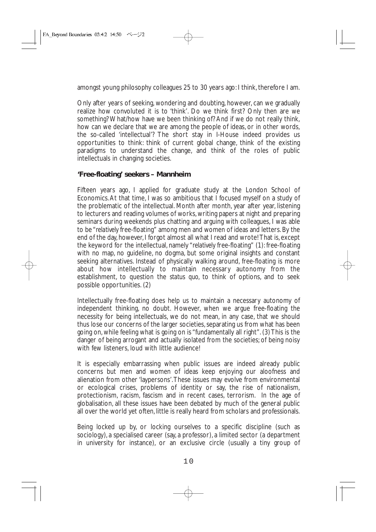amongst young philosophy colleagues 25 to 30 years ago: I think, therefore I am.

Only after years of seeking, wondering and doubting, however, can we gradually realize how convoluted it is to 'think'. Do we think first? Only then are we something? What/how have we been thinking of? And if we do not really think, how can we declare that we are among the people of ideas, or in other words, the so-called 'intellectual'? The short stay in I-House indeed provides us opportunities to think: think of current global change, think of the existing paradigms to understand the change, and think of the roles of public intellectuals in changing societies.

#### **'Free-floating' seekers – Mannheim**

Fifteen years ago, I applied for graduate study at the London School of Economics.At that time, I was so ambitious that I focused myself on a study of the problematic of the intellectual. Month after month, year after year, listening to lecturers and reading volumes of works, writing papers at night and preparing seminars during weekends plus chatting and arguing with colleagues, I was able to be "*relatively* free-floating" among men and women of ideas and letters. By the end of the day, however, I forgot almost all what I read and wrote! That is, except the keyword for the intellectual, namely "*relatively* free-floating" (1): free-floating with no map, no guideline, no dogma, but some original insights and constant seeking alternatives. Instead of physically walking around, free-floating is more about how intellectually to maintain necessary autonomy from the establishment, to question the *status quo*, to think of options, and to seek possible opportunities. (2)

Intellectually free-floating does help us to maintain a necessary autonomy of independent thinking, no doubt. However, when we argue free-floating the necessity for being intellectuals, we do not mean, in any case, that we should thus lose our concerns of the larger societies, separating us from what has been going on, while feeling what is going on is "fundamentally all right". (3) This is the danger of being arrogant and actually isolated from the societies; of being noisy with few listeners, loud with little audience!

It is especially embarrassing when public issues are indeed already public concerns but men and women of ideas keep enjoying our aloofness and alienation from other 'laypersons'.These issues may evolve from environmental or ecological crises, problems of identity or say, the rise of nationalism, protectionism, racism, fascism and in recent cases, terrorism. In the age of globalisation, all these issues have been debated by much of the general public all over the world yet often, little is really heard from scholars and professionals.

Being locked up by, or locking ourselves to a specific discipline (such as sociology), a specialised career (say, a professor), a limited sector (a department in university for instance), or an exclusive circle (usually a tiny group of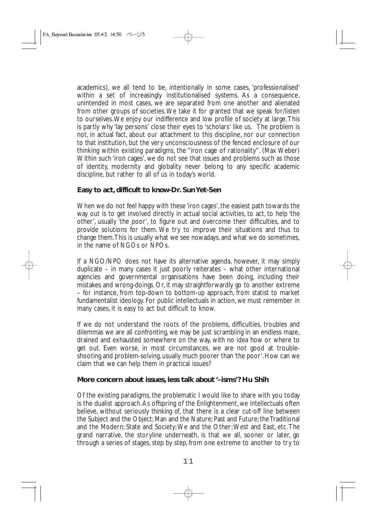academics), we all tend to be, intentionally in some cases, 'professionalised' within a set of increasingly institutionalised systems. As a consequence, unintended in most cases, we are separated from one another and alienated from other groups of societies.We take it for granted that we speak for/listen to ourselves.We enjoy our indifference and low profile of society at large.This is partly why 'lay persons' close their eyes to 'scholars' like us. The problem is not, in actual fact, about our attachment to this discipline, nor our connection to *that* institution, but the very unconsciousness of the fenced enclosure of our thinking within existing paradigms, the "iron cage of rationality". (Max Weber) Within such 'iron cages', we do not see that issues and problems such as those of identity, modernity and globality never belong to any specific academic discipline, but rather to all of us in today's world.

#### **Easy to act, difficult to know-Dr. Sun Yet-Sen**

When we do not feel happy with these 'iron cages', the easiest path towards the way out is to get involved directly in actual social activities, to act, to help 'the other', usually 'the poor', to figure out and overcome their difficulties, and to provide solutions for them. We try to improve their situations and thus to change them.This is usually what we see nowadays, and what we do sometimes, in the name of NGOs or NPOs.

If a NGO/NPO does not have its alternative agenda, however, it may simply duplicate – in many cases it just poorly reiterates – what other international agencies and governmental organisations have been doing, including their mistakes and wrong-doings. Or, it may straightforwardly go to another extreme – for instance, from top-down to bottom-up approach, from statist to market fundamentalist ideology. For public intellectuals in action, we must remember in many cases, it is easy to act but difficult to know.

If we do not understand the roots of the problems, difficulties, troubles and dilemmas we are all confronting, we may be just scrambling in an endless maze, drained and exhausted somewhere on the way, with no idea how or where to get out. Even worse, in most circumstances, we are not good at troubleshooting and problem-solving, usually much poorer than 'the poor'. How can we claim that we can help them in practical issues?

#### **More concern about issues, less talk about '–isms'? Hu Shih**

Of the existing paradigms, the problematic I would like to share with you today is the dualist approach.As offspring of the Enlightenment, we intellectuals often believe, without seriously *thinking of*, that there is a clear cut-off line between the Subject and the Object; Man and the Nature; Past and Future; the Traditional and the Modern; State and Society;We and the Other;West and East, etc.The grand narrative, the storyline underneath, is that we all, sooner or later, go through a series of stages, step by step, from one extreme to another to try to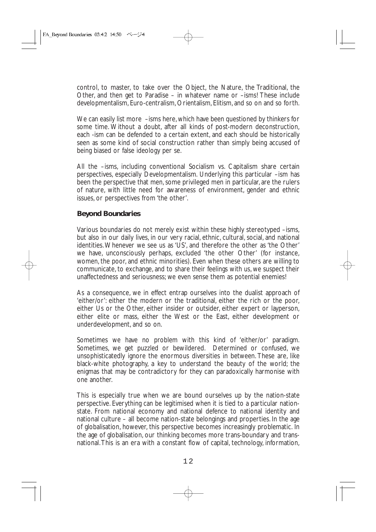control, to master, to take over the Object, the Nature, the Traditional, the Other, and then get to Paradise – in whatever name or –isms! These include developmentalism, Euro-centralism, Orientalism, Elitism, and so on and so forth.

We can easily list more –isms here, which have been questioned by thinkers for some time. Without a doubt, after all kinds of post-modern deconstruction, each -ism can be defended to a certain extent, and each should be historically seen as some kind of social construction rather than simply being accused of being biased or false ideology per se.

All the –isms, including conventional Socialism vs. Capitalism share certain perspectives, especially Developmentalism. Underlying this particular –ism has been the perspective that men, some privileged men in particular, are the rulers of nature, with little need for awareness of environment, gender and ethnic issues, or perspectives from 'the other'.

#### **Beyond Boundaries**

Various boundaries do not merely exist within these highly stereotyped –isms, but also in our daily lives, in our very racial, ethnic, cultural, social, and national identities. Whenever we see us as 'US', and therefore the other as 'the Other' we have, unconsciously perhaps, excluded 'the other Other' (for instance, women, the poor, and ethnic minorities). Even when these others are willing to communicate, to exchange, and to share their feelings with us, we suspect their unaffectedness and seriousness; we even sense them as potential enemies!

As a consequence, we in effect entrap ourselves into the dualist approach of 'either/or': either the modern or the traditional, either the rich or the poor, either Us or the Other, either insider or outsider, either expert or layperson, either elite or mass, either the West or the East, either development or underdevelopment, and so on.

Sometimes we have no problem with this kind of 'either/or' paradigm. Sometimes, we get puzzled or bewildered. Determined or confused, we unsophisticatedly ignore the enormous diversities in between. These are, like black-white photography, a key to understand the beauty of the world; the enigmas that may be contradictory for they can paradoxically harmonise with one another.

This is especially true when we are bound ourselves up by the nation-state perspective. Everything can be legitimised when it is tied to a particular nationstate. From national economy and national defence to national identity and national culture – all become nation-state belongings and properties. In the age of globalisation, however, this perspective becomes increasingly problematic. In the age of globalisation, our thinking becomes more trans-boundary and transnational.This is an era with a constant flow of capital, technology, information,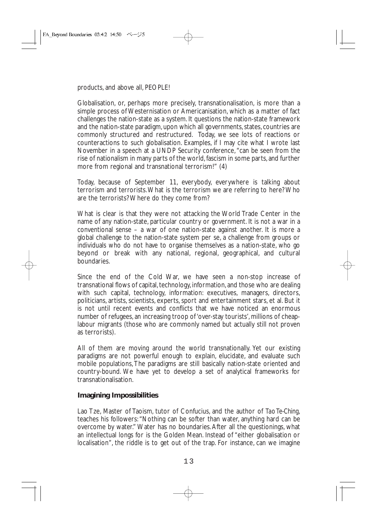products, and above all, PEOPLE!

Globalisation, or, perhaps more precisely, transnationalisation, is more than a simple process of Westernisation or Americanisation, which as a matter of fact challenges the nation-state as a system. It questions the nation-state framework and the nation-state paradigm, upon which all governments, states, countries are commonly structured and restructured. Today, we see lots of reactions or counteractions to such globalisation. Examples, if I may cite what I wrote last November in a speech at a UNDP Security conference, "can be seen from the rise of nationalism in many parts of the world, fascism in some parts, and further more from regional and transnational terrorism!" (4)

Today, because of September 11, everybody, everywhere is talking about terrorism and terrorists.What is the terrorism we are referring to here? Who are the terrorists? Where do they come from?

What is clear is that they were not attacking the World Trade Center in the name of any nation-state, particular country or government. It is not a war in a conventional sense – a war of one nation-state against another. It is more a global challenge to the nation-state system per se, a challenge from groups or individuals who do not have to organise themselves as a nation-state, who go beyond or break with any national, regional, geographical, and cultural boundaries.

Since the end of the Cold War, we have seen a non-stop increase of transnational flows of capital, technology, information, and those who are dealing with such capital, technology, information: executives, managers, directors, politicians, artists, scientists, experts, sport and entertainment stars, et al. But it is not until recent events and conflicts that we have noticed an enormous number of refugees, an increasing troop of 'over-stay tourists', millions of cheaplabour migrants (those who are commonly named but actually still not proven as terrorists).

All of them are moving around the world transnationally. Yet our existing paradigms are not powerful enough to explain, elucidate, and evaluate such mobile populations, The paradigms are still basically nation-state oriented and country-bound. We have yet to develop a set of analytical frameworks for transnationalisation.

#### **Imagining Impossibilities**

Lao Tze, Master of Taoism, tutor of Confucius, and the author of *Tao Te-Ching*, teaches his followers:"Nothing can be softer than water, anything hard can be overcome by water." Water has no boundaries.After all the questionings, what an intellectual longs for is the Golden Mean. Instead of "either globalisation or localisation", the riddle is to get out of the trap. For instance, can we imagine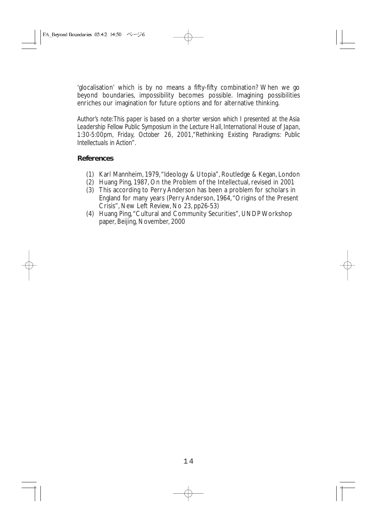'glocalisation' which is by no means a fifty-fifty combination? When we go beyond boundaries, impossibility becomes possible. Imagining possibilities enriches our imagination for future options and for alternative thinking.

*Author's note:This paper is based on a shorter version which I presented at the Asia Leadership Fellow Public Symposium in the Lecture Hall, International House of Japan, 1:30-5:00pm, Friday, October 26, 2001,"Rethinking Existing Paradigms: Public Intellectuals in Action".*

#### **References**

- (1) Karl Mannheim, 1979,"Ideology & Utopia", Routledge & Kegan, London
- (2) Huang Ping, 1987, On the Problem of the Intellectual, revised in 2001
- (3) This according to Perry Anderson has been a problem for scholars in England for many years (Perry Anderson, 1964,"Origins of the Present Crisis", New Left Review, No 23, pp26-53)
- (4) Huang Ping,"Cultural and Community Securities", UNDP Workshop paper, Beijing, November, 2000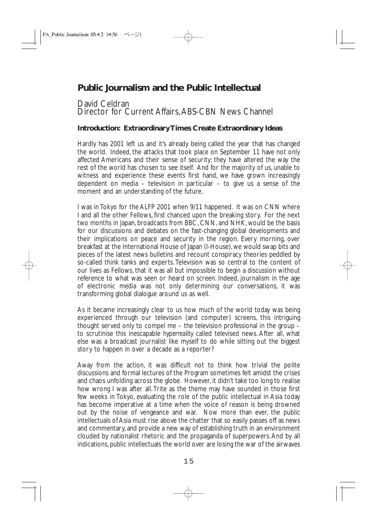## **Public Journalism and the Public Intellectual**

#### David Celdran Director for Current Affairs, ABS-CBN News Channel

#### **Introduction: Extraordinary Times Create Extraordinary Ideas**

Hardly has 2001 left us and it's already being called the year that has changed the world. Indeed, the attacks that took place on September 11 have not only affected Americans and their sense of security; they have altered the way the rest of the world has chosen to see itself. And for the majority of us, unable to witness and experience these events first hand, we have grown increasingly dependent on media – television in particular – to give us a sense of the moment and an understanding of the future.

I was in Tokyo for the ALFP 2001 when 9/11 happened. It was on CNN where I and all the other Fellows, first chanced upon the breaking story. For the next two months in Japan, broadcasts from BBC, CNN, and NHK, would be the basis for our discussions and debates on the fast-changing global developments and their implications on peace and security in the region. Every morning, over breakfast at the International House of Japan (I-House), we would swap bits and pieces of the latest news bulletins and recount conspiracy theories peddled by so-called think tanks and experts. Television was so central to the content of our lives as Fellows, that it was all but impossible to begin a discussion without reference to what was seen or heard on screen. Indeed, journalism in the age of electronic media was not only determining our conversations, it was transforming global dialogue around us as well.

As it became increasingly clear to us how much of the world today was being experienced through our television (and computer) screens, this intriguing thought served only to compel me – the television professional in the group – to scrutinise this inescapable *hyperreality* called televised news. After all, what else was a broadcast journalist like myself to do while sitting out the biggest story to happen in over a decade as a reporter?

Away from the action, it was difficult not to think how trivial the polite discussions and formal lectures of the Program sometimes felt amidst the crises and chaos unfolding across the globe. However, it didn't take too long to realise how wrong I was after all.Trite as the theme may have sounded in those first few weeks in Tokyo, evaluating the role of the public intellectual in Asia today has become imperative at a time when the voice of reason is being drowned out by the noise of vengeance and war. Now more than ever, the public intellectuals of Asia must rise above the chatter that so easily passes off as news and commentary, and provide a new way of establishing truth in an environment clouded by nationalist rhetoric and the propaganda of superpowers.And by all indications, public intellectuals the world over are losing the war of the airwaves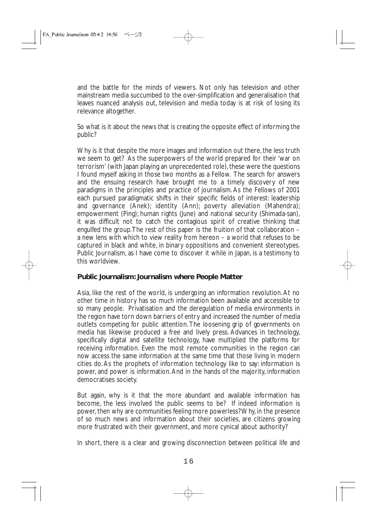and the battle for the minds of viewers. Not only has television and other mainstream media succumbed to the over-simplification and generalisation that leaves nuanced analysis out, television and media today is at risk of losing its relevance altogether.

So what is it about the news that is creating the opposite effect of informing the public?

Why is it that despite the more images and information out there, the less truth we seem to get? As the superpowers of the world prepared for their 'war on terrorism' (with Japan playing an unprecedented role), these were the questions I found myself asking in those two months as a Fellow. The search for answers and the ensuing research have brought me to a timely discovery of new paradigms in the principles and practice of journalism. As the Fellows of 2001 each pursued paradigmatic shifts in their specific fields of interest: leadership and governance (Anek); identity (Ann); poverty alleviation (Mahendra); empowerment (Ping); human rights (June) and national security (Shimada-san), it was difficult not to catch the contagious spirit of creative thinking that engulfed the group.The rest of this paper is the fruition of that collaboration – a new lens with which to view reality from hereon – a world that refuses to be captured in black and white, in binary oppositions and convenient stereotypes. Public Journalism, as I have come to discover it while in Japan, is a testimony to this worldview.

#### **Public Journalism: Journalism where People Matter**

Asia, like the rest of the world, is undergoing an information revolution. At no other time in history has so much information been available and accessible to so many people. Privatisation and the deregulation of media environments in the region have torn down barriers of entry and increased the number of media outlets competing for public attention. The loosening grip of governments on media has likewise produced a free and lively press. Advances in technology, specifically digital and satellite technology, have multiplied the platforms for receiving information. Even the most remote communities in the region can now access the same information at the same time that those living in modern cities do. As the prophets of information technology like to say: information is power, and power is information.And in the hands of the majority, information democratises society.

But again, why is it that the more abundant and available information has become, the less involved the public seems to be? If indeed information is power, then why are communities feeling more powerless? Why, in the presence of so much news and information about their societies, are citizens growing more frustrated with their government, and more cynical about authority?

In short, there is a clear and growing disconnection between political life and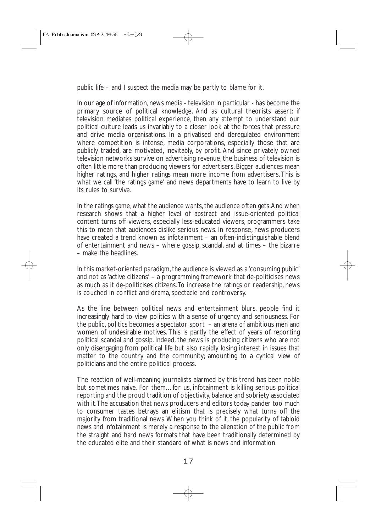public life – and I suspect the media may be partly to blame for it.

In our age of information, news media - television in particular - has become the primary source of political knowledge. And as cultural theorists assert: if television mediates political experience, then any attempt to understand our political culture leads us invariably to a closer look at the forces that pressure and drive media organisations. In a privatised and deregulated environment where competition is intense, media corporations, especially those that are publicly traded, are motivated, inevitably, by profit. And since privately owned television networks survive on advertising revenue, the business of television is often little more than producing viewers for advertisers. Bigger audiences mean higher ratings, and higher ratings mean more income from advertisers. This is what we call 'the ratings game' and news departments have to learn to live by its rules to survive.

In the ratings game, what the audience wants, the audience often gets.And when research shows that a higher level of abstract and issue-oriented political content turns off viewers, especially less-educated viewers, programmers take this to mean that audiences dislike serious news. In response, news producers have created a trend known as infotainment – an often-indistinguishable blend of entertainment and news – where gossip, scandal, and at times – the bizarre – make the headlines.

In this market-oriented paradigm, the audience is viewed as a 'consuming public' and not as 'active citizens' – a programming framework that de-politicises news as much as it de-politicises citizens.To increase the ratings or readership, news is couched in conflict and drama, spectacle and controversy.

As the line between political news and entertainment blurs, people find it increasingly hard to view politics with a sense of urgency and seriousness. For the public, politics becomes a spectator sport – an arena of ambitious men and women of undesirable motives. This is partly the effect of years of reporting political scandal and gossip. Indeed, the news is producing citizens who are not only disengaging from political life but also rapidly losing interest in issues that matter to the country and the community; amounting to a cynical view of politicians and the entire political process.

The reaction of well-meaning journalists alarmed by this trend has been noble but sometimes naive. For them…for us, infotainment is killing serious political reporting and the proud tradition of objectivity, balance and sobriety associated with it.The accusation that news producers and editors today pander too much to consumer tastes betrays an elitism that is precisely what turns off the majority from traditional news.When you think of it, the popularity of tabloid news and infotainment is merely a response to the alienation of the public from the straight and hard news formats that have been traditionally determined by the educated elite and their standard of what is news and information.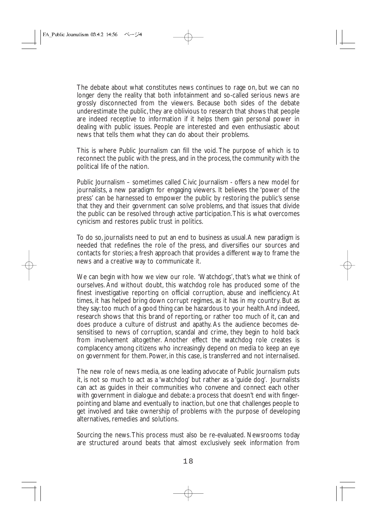The debate about what constitutes news continues to rage on, but we can no longer deny the reality that both infotainment and so-called serious news are grossly disconnected from the viewers. Because both sides of the debate underestimate the public, they are oblivious to research that shows that people are indeed receptive to information if it helps them gain personal power in dealing with public issues. People are interested and even enthusiastic about news that tells them what they can do about their problems.

This is where Public Journalism can fill the void. The purpose of which is to reconnect the public with the press, and in the process, the community with the political life of the nation.

Public Journalism – sometimes called Civic Journalism - offers a new model for journalists, a new paradigm for engaging viewers. It believes the 'power of the press' can be harnessed to empower the public by restoring the public's sense that they and their government can solve problems, and that issues that divide the public can be resolved through active participation.This is what overcomes cynicism and restores public trust in politics.

To do so, journalists need to put an end to business as usual.A new paradigm is needed that redefines the role of the press, and diversifies our sources and contacts for stories; a fresh approach that provides a different way to frame the news and a creative way to communicate it.

We can begin with how we view our role. 'Watchdogs', that's what we think of ourselves. And without doubt, this watchdog role has produced some of the finest investigative reporting on official corruption, abuse and inefficiency. At times, it has helped bring down corrupt regimes, as it has in my country. But as they say: too much of a good thing can be hazardous to your health.And indeed, research shows that this brand of reporting, or rather too much of it, can and does produce a culture of distrust and apathy. As the audience becomes desensitised to news of corruption, scandal and crime, they begin to hold back from involvement altogether. Another effect the watchdog role creates is complacency among citizens who increasingly depend on media to keep an eye on government for them. Power, in this case, is transferred and not internalised.

The new role of news media, as one leading advocate of Public Journalism puts it, is not so much to act as a 'watchdog' but rather as a 'guide dog'. Journalists can act as guides in their communities who convene and connect each other with government in dialogue and debate: a process that doesn't end with fingerpointing and blame and eventually to inaction, but one that challenges people to get involved and take ownership of problems with the purpose of developing alternatives, remedies and solutions.

Sourcing the news.This process must also be re-evaluated. Newsrooms today are structured around beats that almost exclusively seek information from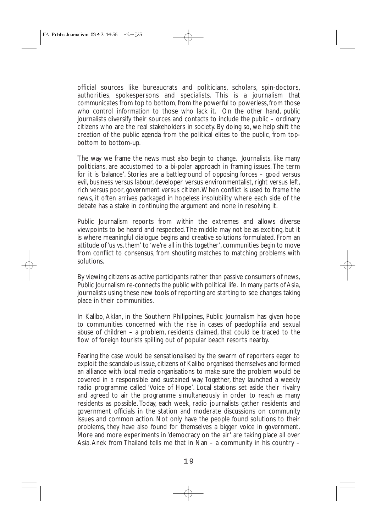official sources like bureaucrats and politicians, scholars, spin-doctors, authorities, spokespersons and specialists. This is a journalism that communicates from top to bottom, from the powerful to powerless, from those who control information to those who lack it. On the other hand, public journalists diversify their sources and contacts to include the public – ordinary citizens who are the real stakeholders in society. By doing so, we help shift the creation of the public agenda from the political elites to the public, from topbottom to bottom-up.

The way we frame the news must also begin to change. Journalists, like many politicians, are accustomed to a bi-polar approach in framing issues. The term for it is 'balance'. Stories are a battleground of opposing forces – good versus evil, business versus labour, developer versus environmentalist, right versus left, rich versus poor, government versus citizen.When conflict is used to frame the news, it often arrives packaged in hopeless insolubility where each side of the debate has a stake in continuing the argument and none in resolving it.

Public Journalism reports from within the extremes and allows diverse viewpoints to be heard and respected.The middle may not be as exciting, but it is where meaningful dialogue begins and creative solutions formulated. From an attitude of 'us vs. them' to 'we're all in this together', communities begin to move from conflict to consensus, from shouting matches to matching problems with solutions.

By viewing citizens as active participants rather than passive consumers of news, Public Journalism re-connects the public with political life. In many parts of Asia, journalists using these new tools of reporting are starting to see changes taking place in their communities.

In Kalibo, Aklan, in the Southern Philippines, Public Journalism has given hope to communities concerned with the rise in cases of paedophilia and sexual abuse of children – a problem, residents claimed, that could be traced to the flow of foreign tourists spilling out of popular beach resorts nearby.

Fearing the case would be sensationalised by the swarm of reporters eager to exploit the scandalous issue, citizens of Kalibo organised themselves and formed an alliance with local media organisations to make sure the problem would be covered in a responsible and sustained way. Together, they launched a weekly radio programme called 'Voice of Hope'. Local stations set aside their rivalry and agreed to air the programme simultaneously in order to reach as many residents as possible. Today, each week, radio journalists gather residents and government officials in the station and moderate discussions on community issues and common action. Not only have the people found solutions to their problems, they have also found for themselves a bigger voice in government. More and more experiments in 'democracy on the air' are taking place all over Asia. Anek from Thailand tells me that in Nan – a community in his country –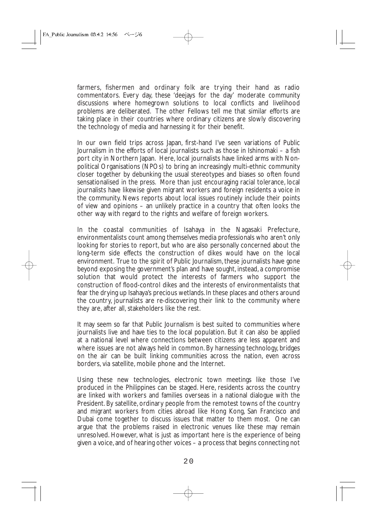farmers, fishermen and ordinary folk are trying their hand as radio commentators. Every day, these 'deejays for the day' moderate community discussions where homegrown solutions to local conflicts and livelihood problems are deliberated. The other Fellows tell me that similar efforts are taking place in their countries where ordinary citizens are slowly discovering the technology of media and harnessing it for their benefit.

In our own field trips across Japan, first-hand I've seen variations of Public Journalism in the efforts of local journalists such as those in Ishinomaki – a fish port city in Northern Japan. Here, local journalists have linked arms with Nonpolitical Organisations (NPOs) to bring an increasingly multi-ethnic community closer together by debunking the usual stereotypes and biases so often found sensationalised in the press. More than just encouraging racial tolerance, local journalists have likewise given migrant workers and foreign residents a voice in the community. News reports about local issues routinely include their points of view and opinions – an unlikely practice in a country that often looks the other way with regard to the rights and welfare of foreign workers.

In the coastal communities of Isahaya in the Nagasaki Prefecture, environmentalists count among themselves media professionals who aren't only looking for stories to report, but who are also personally concerned about the long-term side effects the construction of dikes would have on the local environment. True to the spirit of Public Journalism, these journalists have gone beyond exposing the government's plan and have sought, instead, a compromise solution that would protect the interests of farmers who support the construction of flood-control dikes and the interests of environmentalists that fear the drying up Isahaya's precious wetlands. In these places and others around the country, journalists are re-discovering their link to the community where they are, after all, stakeholders like the rest.

It may seem so far that Public Journalism is best suited to communities where journalists live and have ties to the local population. But it can also be applied at a national level where connections between citizens are less apparent and where issues are not always held in common. By harnessing technology, bridges on the air can be built linking communities across the nation, even across borders, via satellite, mobile phone and the Internet.

Using these new technologies, electronic town meetings like those I've produced in the Philippines can be staged. Here, residents across the country are linked with workers and families overseas in a national dialogue with the President. By satellite, ordinary people from the remotest towns of the country and migrant workers from cities abroad like Hong Kong, San Francisco and Dubai come together to discuss issues that matter to them most. One can argue that the problems raised in electronic venues like these may remain unresolved. However, what is just as important here is the experience of being given a voice, and of hearing other voices – a process that begins connecting not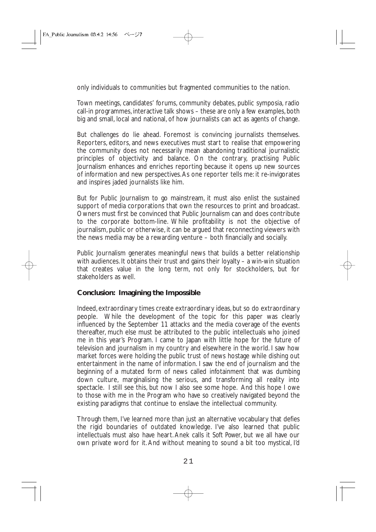only individuals to communities but fragmented communities to the nation.

Town meetings, candidates' forums, community debates, public symposia, radio call-in programmes, interactive talk shows – these are only a few examples, both big and small, local and national, of how journalists can act as agents of change.

But challenges do lie ahead. Foremost is convincing journalists themselves. Reporters, editors, and news executives must start to realise that empowering the community does not necessarily mean abandoning traditional journalistic principles of objectivity and balance. On the contrary, practising Public Journalism enhances and enriches reporting because it opens up new sources of information and new perspectives.As one reporter tells me: it re-invigorates and inspires jaded journalists like him.

But for Public Journalism to go mainstream, it must also enlist the sustained support of media corporations that own the resources to print and broadcast. Owners must first be convinced that Public Journalism can and does contribute to the corporate bottom-line. While profitability is not the objective of journalism, public or otherwise, it can be argued that reconnecting viewers with the news media may be a rewarding venture – both financially and socially.

Public Journalism generates meaningful news that builds a better relationship with audiences. It obtains their trust and gains their loyalty – a win-win situation that creates value in the long term, not only for stockholders, but for stakeholders as well.

#### **Conclusion: Imagining the Impossible**

Indeed, extraordinary times create extraordinary ideas, but so do extraordinary people. While the development of the topic for this paper was clearly influenced by the September 11 attacks and the media coverage of the events thereafter, much else must be attributed to the public intellectuals who joined me in this year's Program. I came to Japan with little hope for the future of television and journalism in my country and elsewhere in the world. I saw how market forces were holding the public trust of news hostage while dishing out entertainment in the name of information. I saw the end of journalism and the beginning of a mutated form of news called infotainment that was dumbing down culture, marginalising the serious, and transforming all reality into spectacle. I still see this, but now I also see some hope. And this hope I owe to those with me in the Program who have so creatively navigated beyond the existing paradigms that continue to enslave the intellectual community.

Through them, I've learned more than just an alternative vocabulary that defies the rigid boundaries of outdated knowledge. I've also learned that public intellectuals must also have heart. Anek calls it *Soft Power*, but we all have our own private word for it. And without meaning to sound a bit too mystical, I'd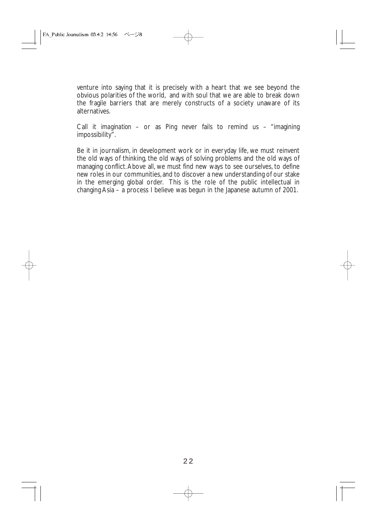venture into saying that it is precisely with a heart that we see beyond the obvious polarities of the world, and with soul that we are able to break down the fragile barriers that are merely constructs of a society unaware of its alternatives.

Call it *imagination* – or as Ping never fails to remind us – "imagining impossibility".

Be it in journalism, in development work or in everyday life, we must reinvent the old ways of thinking, the old ways of solving problems and the old ways of managing conflict.Above all, we must find new ways to see ourselves, to define new roles in our communities,and to discover a new understanding of our stake in the emerging global order. This is the role of the public intellectual in changing Asia – a process I believe was begun in the Japanese autumn of 2001.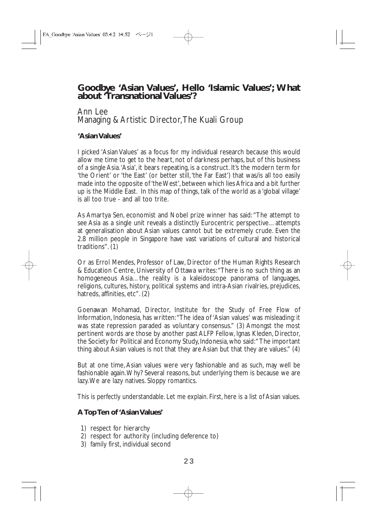### **Goodbye 'Asian Values', Hello 'Islamic Values'; What about 'Transnational Values'?**

#### Ann Lee Managing & Artistic Director,The Kuali Group

#### **'Asian Values'**

I picked 'Asian Values' as a focus for my individual research because this would allow me time to get to the heart, not of darkness perhaps, but of this business of a single Asia.'Asia', it bears repeating, is a construct. It's the modern term for 'the Orient' or 'the East' (or better still,'the Far East') that was/is all too easily made into the opposite of 'the West', between which lies Africa and a bit further up is the Middle East. In this map of things, talk of the world as a 'global village' is all too true - and all too trite.

As Amartya Sen, economist and Nobel prize winner has said: "The attempt to see Asia as a single unit reveals a distinctly Eurocentric perspective…attempts at generalisation about Asian values cannot but be extremely crude. Even the 2.8 million people in Singapore have vast variations of cultural and historical traditions". (1)

Or as Errol Mendes, Professor of Law, Director of the Human Rights Research & Education Centre, University of Ottawa writes:"There is no such thing as an homogeneous Asia...the reality is a kaleidoscope panorama of languages, religions, cultures, history, political systems and intra-Asian rivalries, prejudices, hatreds, affinities, etc". (2)

Goenawan Mohamad, Director, Institute for the Study of Free Flow of Information, Indonesia, has written:"The idea of 'Asian values' was misleading: it was state repression paraded as voluntary consensus." (3) Amongst the most pertinent words are those by another past ALFP Fellow, Ignas Kleden, Director, the Society for Political and Economy Study, Indonesia, who said:" The important thing about Asian values is not that they are Asian but that they are values." (4)

But at one time, Asian values were very fashionable and as such, may well be fashionable again.Why? Several reasons, but underlying them is because we are lazy.We are lazy natives. Sloppy romantics.

This is perfectly understandable. Let me explain. First, here is a list of Asian values.

#### **A Top Ten of 'Asian Values'**

- 1) respect for hierarchy
- 2) respect for authority (including deference to)
- 3) family first, individual second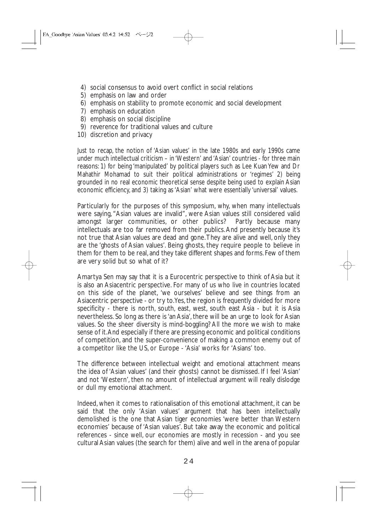- 4) social consensus to avoid overt conflict in social relations
- 5) emphasis on law and order
- 6) emphasis on stability to promote economic and social development
- 7) emphasis on education
- 8) emphasis on social discipline
- 9) reverence for traditional values and culture
- 10) discretion and privacy

Just to recap, the notion of 'Asian values' in the late 1980s and early 1990s came under much intellectual criticism – in 'Western' and 'Asian' countries - for three main reasons: 1) for being 'manipulated' by political players such as Lee Kuan Yew and Dr Mahathir Mohamad to suit their political administrations or 'regimes' 2) being grounded in no real economic theoretical sense despite being used to explain Asian economic efficiency, and 3) taking as 'Asian' what were essentially 'universal' values.

Particularly for the purposes of this symposium, why, when many intellectuals were saying, "Asian values are invalid", were Asian values still considered valid amongst larger communities, or other publics? Partly because many intellectuals are too far removed from their publics.And presently because it's not true that Asian values are dead and gone.They are alive and well, only they are the 'ghosts of Asian values'. Being ghosts, they require people to believe in them for them to be real, and they take different shapes and forms. Few of them are very solid but so what of it?

Amartya Sen may say that it is a Eurocentric perspective to think of Asia but it is also an Asiacentric perspective. For many of us who live in countries located on this side of the planet, 'we ourselves' believe and see things from an Asiacentric perspective - or try to.Yes, the region is frequently divided for more specificity - there is north, south, east, west, south east Asia - but it is Asia nevertheless. So long as there is 'an Asia', there will be an urge to look for Asian values. So the sheer diversity is mind-boggling? All the more we wish to make sense of it.And especially if there are pressing economic and political conditions of competition, and the super-convenience of making a common enemy out of a competitor like the US, or Europe - 'Asia' works for 'Asians' too.

The difference between intellectual weight and emotional attachment means the idea of 'Asian values' (and their ghosts) cannot be dismissed. If I feel 'Asian' and not 'Western', then no amount of intellectual argument will really dislodge or dull my emotional attachment.

Indeed, when it comes to rationalisation of this emotional attachment, it can be said that the only 'Asian values' argument that has been intellectually demolished is the one that Asian tiger economies 'were better than Western economies' because of 'Asian values'. But take away the economic and political references - since well, our economies are mostly in recession - and you see cultural Asian values (the search for them) alive and well in the arena of popular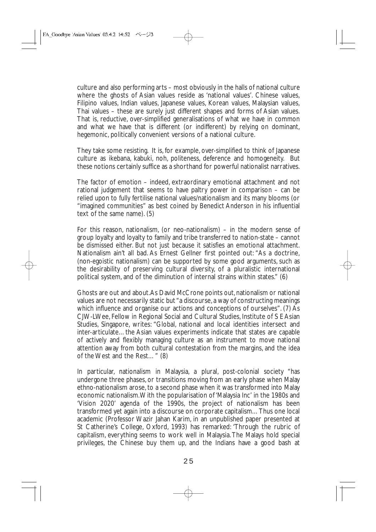culture and also performing arts – most obviously in the halls of national culture where the ghosts of Asian values reside as 'national values'. Chinese values, Filipino values, Indian values, Japanese values, Korean values, Malaysian values, Thai values – these are surely just different shapes and forms of Asian values. That is, reductive, over-simplified generalisations of what we have in common and what we have that is different (or indifferent) by relying on dominant, hegemonic, politically convenient versions of a national culture.

They take some resisting. It is, for example, over-simplified to think of Japanese culture as ikebana, kabuki, noh, politeness, deference and homogeneity. But these notions certainly suffice as a shorthand for powerful nationalist narratives.

The factor of emotion – indeed, extraordinary emotional attachment and not rational judgement that seems to have paltry power in comparison – can be relied upon to fully fertilise national values/nationalism and its many blooms (or "imagined communities" as best coined by Benedict Anderson in his influential text of the same name). (5)

For this reason, nationalism, (or neo-nationalism) – in the modern sense of group loyalty and loyalty to family and tribe transferred to nation-state – cannot be dismissed either. But not just because it satisfies an emotional attachment. Nationalism ain't all bad. As Ernest Gellner first pointed out: "As a doctrine, (non-egoistic nationalism) can be supported by some good arguments, such as the desirability of preserving cultural diversity, of a pluralistic international political system, and of the diminution of internal strains within states." (6)

Ghosts are out and about. As David McCrone points out, nationalism or national values are not necessarily static but "a discourse, a way of constructing meanings which influence and organise our actions and conceptions of ourselves". (7) As CJW-LWee, Fellow in Regional Social and Cultural Studies, Institute of S E Asian Studies, Singapore, writes: "Global, national and local identities intersect and inter-articulate…the Asian values experiments indicate that states are capable of actively and flexibly managing culture as an instrument to move national attention away from both cultural contestation from the margins, and the idea of the West and the Rest…" (8)

In particular, nationalism in Malaysia, a plural, post-colonial society "has undergone three phases, or transitions moving from an early phase when Malay ethno-nationalism arose, to a second phase when it was transformed into Malay economic nationalism.With the popularisation of 'Malaysia Inc' in the 1980s and 'Vision 2020' agenda of the 1990s, the project of nationalism has been transformed yet again into a discourse on corporate capitalism…Thus one local academic (Professor Wazir Jahan Karim, in an unpublished paper presented at St Catherine's College, Oxford, 1993) has remarked: 'Through the rubric of capitalism, everything seems to work well in Malaysia.The Malays hold special privileges, the Chinese buy them up, and the Indians have a good bash at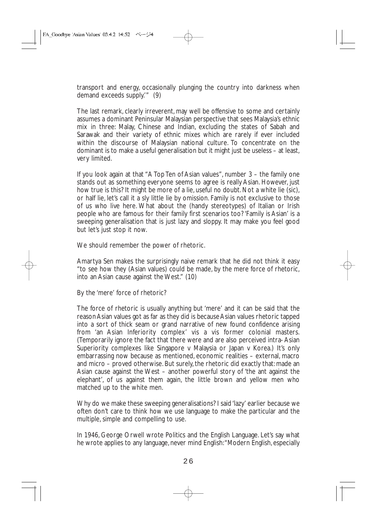transport and energy, occasionally plunging the country into darkness when demand exceeds supply.'" (9)

The last remark, clearly irreverent, may well be offensive to some and certainly assumes a dominant Peninsular Malaysian perspective that sees Malaysia's ethnic mix in three: Malay, Chinese and Indian, excluding the states of Sabah and Sarawak and their variety of ethnic mixes which are rarely if ever included within the discourse of Malaysian national culture. To concentrate on the dominant is to make a useful generalisation but it might just be useless – at least, very limited.

If you look again at that "A Top Ten of Asian values", number 3 – the family one stands out as something everyone seems to agree is really Asian. However, just how true is this? It might be more of a lie, useful no doubt. Not a white lie (sic), or half lie, let's call it a sly little lie by omission. Family is not exclusive to those of us who live here. What about the (handy stereotypes) of Italian or Irish people who are famous for their family first scenarios too? 'Family is Asian' is a sweeping generalisation that is just lazy and sloppy. It may make you feel good but let's just stop it now.

We should remember the power of rhetoric.

Amartya Sen makes the surprisingly naive remark that he did not think it easy "to see how they (Asian values) could be made, by the mere force of rhetoric, into an Asian cause against the West." (10)

By the 'mere' force of rhetoric?

The force of rhetoric is usually anything but 'mere' and it can be said that the reason Asian values got as far as they did is because Asian values rhetoric tapped into a sort of thick seam or grand narrative of new found confidence arising from 'an Asian Inferiority complex' vis a vis former colonial masters. (Temporarily ignore the fact that there were and are also perceived intra- Asian Superiority complexes like Singapore v Malaysia or Japan v Korea.) It's only embarrassing now because as mentioned, economic realities – external, macro and micro – proved otherwise. But surely, the rhetoric did exactly that: made an Asian cause against the West – another powerful story of 'the ant against the elephant', of us against them again, the little brown and yellow men who matched up to the white men.

Why do we make these sweeping generalisations? I said 'lazy' earlier because we often don't care to think how we use language to make the particular and the multiple, simple and compelling to use.

In 1946, George Orwell wrote Politics and the English Language. Let's say what he wrote applies to any language, never mind English:"Modern English, especially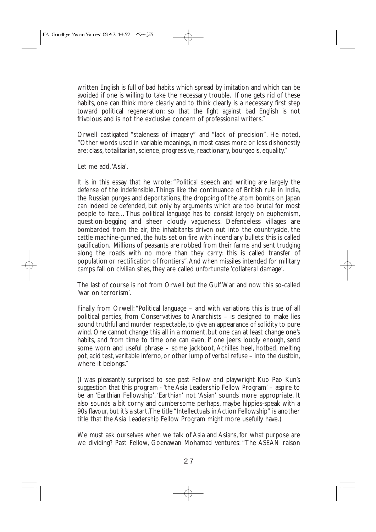written English is full of bad habits which spread by imitation and which can be avoided if one is willing to take the necessary trouble. If one gets rid of these habits, one can think more clearly and to think clearly is a necessary first step toward political regeneration: so that the fight against bad English is not frivolous and is not the exclusive concern of professional writers."

Orwell castigated "staleness of imagery" and "lack of precision". He noted, "Other words used in variable meanings, in most cases more or less dishonestly are: class, totalitarian, science, progressive, reactionary, bourgeois, equality."

Let me add,'Asia'.

It is in this essay that he wrote: "Political speech and writing are largely the defense of the indefensible.Things like the continuance of British rule in India, the Russian purges and deportations, the dropping of the atom bombs on Japan can indeed be defended, but only by arguments which are too brutal for most people to face…Thus political language has to consist largely on euphemism, question-begging and sheer cloudy vagueness. Defenceless villages are bombarded from the air, the inhabitants driven out into the countryside, the cattle machine-gunned, the huts set on fire with incendiary bullets: this is called pacification. Millions of peasants are robbed from their farms and sent trudging along the roads with no more than they carry: this is called transfer of population or rectification of frontiers".And when missiles intended for military camps fall on civilian sites, they are called unfortunate 'collateral damage'.

The last of course is not from Orwell but the Gulf War and now this so-called 'war on terrorism'.

Finally from Orwell: "Political language – and with variations this is true of all political parties, from Conservatives to Anarchists – is designed to make lies sound truthful and murder respectable, to give an appearance of solidity to pure wind. One cannot change this all in a moment, but one can at least change one's habits, and from time to time one can even, if one jeers loudly enough, send some worn and useful phrase – some jackboot, Achilles heel, hotbed, melting pot, acid test, veritable inferno, or other lump of verbal refuse – into the dustbin, where it belongs."

(I was pleasantly surprised to see past Fellow and playwright Kuo Pao Kun's suggestion that this program - 'the Asia Leadership Fellow Program' – aspire to be an 'Earthian Fellowship'. 'Earthian' not 'Asian' sounds more appropriate. It also sounds a bit corny and cumbersome perhaps, maybe hippies-speak with a 90s flavour, but it's a start.The title "Intellectuals in Action Fellowship" is another title that the Asia Leadership Fellow Program might more usefully have.)

We must ask ourselves when we talk of Asia and Asians, for what purpose are we dividing? Past Fellow, Goenawan Mohamad ventures: "The ASEAN raison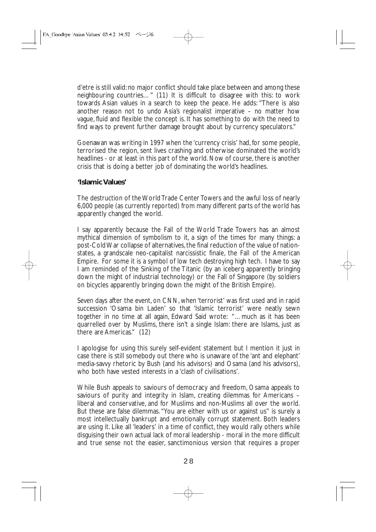d'etre is still valid: no major conflict should take place between and among these neighbouring countries…" (11) It is difficult to disagree with this: to work towards Asian values in a search to keep the peace. He adds: "There is also another reason not to undo Asia's regionalist imperative – no matter how vague, fluid and flexible the concept is. It has something to do with the need to find ways to prevent further damage brought about by currency speculators."

Goenawan was writing in 1997 when the 'currency crisis' had, for some people, terrorised the region, sent lives crashing and otherwise dominated the world's headlines - or at least in this part of the world. Now of course, there is another crisis that is doing a better job of dominating the world's headlines.

#### **'Islamic Values'**

The destruction of the World Trade Center Towers and the awful loss of nearly 6,000 people (as currently reported) from many different parts of the world has apparently changed the world.

I say apparently because the Fall of the World Trade Towers has an almost mythical dimension of symbolism to it, a sign of the times for many things: a post-Cold War collapse of alternatives, the final reduction of the value of nationstates, a grandscale neo-capitalist narcissistic finale, the Fall of the American Empire. For some it is a symbol of low tech destroying high tech. I have to say I am reminded of the Sinking of the Titanic (by an iceberg apparently bringing down the might of industrial technology) or the Fall of Singapore (by soldiers on bicycles apparently bringing down the might of the British Empire).

Seven days after the event, on CNN, when 'terrorist' was first used and in rapid succession 'Osama bin Laden' so that 'Islamic terrorist' were neatly sewn together in no time at all again, Edward Said wrote: "…much as it has been quarrelled over by Muslims, there isn't a single Islam: there are Islams, just as there are Americas." (12)

I apologise for using this surely self-evident statement but I mention it just in case there is still somebody out there who is unaware of the 'ant and elephant' media-savvy rhetoric by Bush (and his advisors) and Osama (and his advisors), who both have vested interests in a 'clash of civilisations'.

While Bush appeals to saviours of democracy and freedom, Osama appeals to saviours of purity and integrity in Islam, creating dilemmas for Americans – liberal and conservative, and for Muslims and non-Muslims all over the world. But these are false dilemmas."You are either with us or against us" is surely a most intellectually bankrupt and emotionally corrupt statement. Both leaders are using it. Like all 'leaders' in a time of conflict, they would rally others while disguising their own actual lack of moral leadership - moral in the more difficult and true sense not the easier, sanctimonious version that requires a proper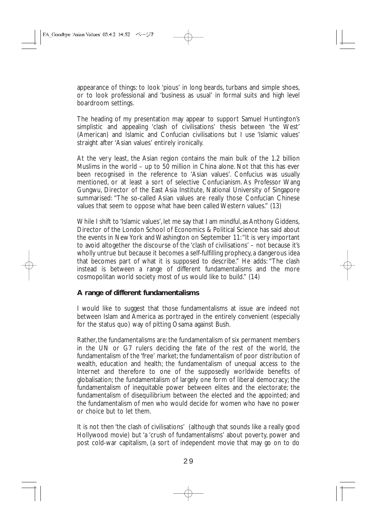appearance of things: to look 'pious' in long beards, turbans and simple shoes, or to look professional and 'business as usual' in formal suits and high level boardroom settings.

The heading of my presentation may appear to support Samuel Huntington's simplistic and appealing 'clash of civilisations' thesis between 'the West' (American) and Islamic and Confucian civilisations but I use 'Islamic values' straight after 'Asian values' entirely ironically.

At the very least, the Asian region contains the main bulk of the 1.2 billion Muslims in the world – up to 50 million in China alone. Not that this has ever been recognised in the reference to 'Asian values'. Confucius was usually mentioned, or at least a sort of selective Confucianism. As Professor Wang Gungwu, Director of the East Asia Institute, National University of Singapore summarised: "The so-called Asian values are really those Confucian Chinese values that seem to oppose what have been called Western values." (13)

While I shift to 'Islamic values', let me say that I am mindful, as Anthony Giddens, Director of the London School of Economics & Political Science has said about the events in New York and Washington on September 11:"It is very important to avoid altogether the discourse of the 'clash of civilisations' – not because it's wholly untrue but because it becomes a self-fulfilling prophecy, a dangerous idea that becomes part of what it is supposed to describe." He adds: "The clash instead is between a range of different fundamentalisms and the more cosmopolitan world society most of us would like to build." (14)

#### **A range of different fundamentalisms**

I would like to suggest that those fundamentalisms at issue are indeed not between Islam and America as portrayed in the entirely convenient (especially for the status quo) way of pitting Osama against Bush.

Rather, the fundamentalisms are: the fundamentalism of six permanent members in the UN or G7 rulers deciding the fate of the rest of the world, the fundamentalism of the 'free' market; the fundamentalism of poor distribution of wealth, education and health; the fundamentalism of unequal access to the Internet and therefore to one of the supposedly worldwide benefits of globalisation; the fundamentalism of largely one form of liberal democracy; the fundamentalism of inequitable power between elites and the electorate; the fundamentalism of disequilibrium between the elected and the appointed; and the fundamentalism of men who would decide for women who have no power or choice but to let them.

It is not then 'the clash of civilisations' (although that sounds like a really good Hollywood movie) but 'a 'crush of fundamentalisms' about poverty, power and post cold-war capitalism, (a sort of independent movie that may go on to do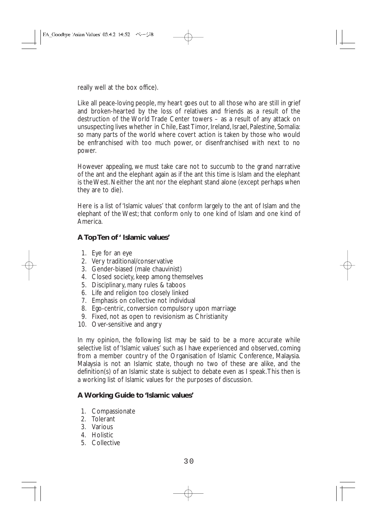really well at the box office).

Like all peace-loving people, my heart goes out to all those who are still in grief and broken-hearted by the loss of relatives and friends as a result of the destruction of the World Trade Center towers – as a result of any attack on unsuspecting lives whether in Chile, East Timor, Ireland, Israel, Palestine, Somalia: so many parts of the world where covert action is taken by those who would be enfranchised with too much power, or disenfranchised with next to no power.

However appealing, we must take care not to succumb to the grand narrative of the ant and the elephant again as if the ant this time is Islam and the elephant is the West. Neither the ant nor the elephant stand alone (except perhaps when they are to die).

Here is a list of 'Islamic values' that conform largely to the ant of Islam and the elephant of the West; that conform only to one kind of Islam and one kind of America.

#### **A Top Ten of ' Islamic values'**

- 1. Eye for an eye
- 2. Very traditional/conservative
- 3. Gender-biased (male chauvinist)
- 4. Closed society, keep among themselves
- 5. Disciplinary, many rules & taboos
- 6. Life and religion too closely linked
- 7. Emphasis on collective not individual
- 8. Ego-centric, conversion compulsory upon marriage
- 9. Fixed, not as open to revisionism as Christianity
- 10. Over-sensitive and angry

In my opinion, the following list may be said to be a more accurate while selective list of 'Islamic values' such as I have experienced and observed, coming from a member country of the Organisation of Islamic Conference, Malaysia. Malaysia is not an Islamic state, though no two of these are alike, and the definition(s) of an Islamic state is subject to debate even as I speak.This then is a working list of Islamic values for the purposes of discussion.

#### **A Working Guide to 'Islamic values'**

- 1. Compassionate
- 2. Tolerant
- 3. Various
- 4. Holistic
- 5. Collective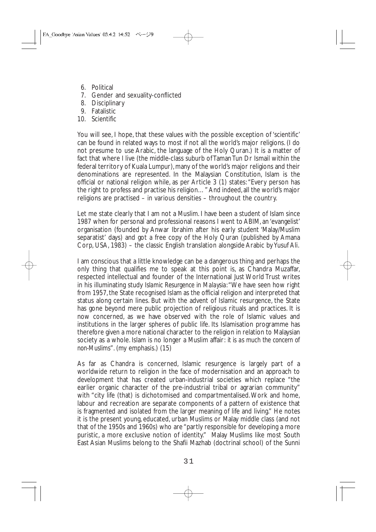- 6. Political
- 7. Gender and sexuality-conflicted
- 8. Disciplinary
- 9. Fatalistic
- 10. Scientific

You will see, I hope, that these values with the possible exception of 'scientific' can be found in related ways to most if not all the world's major religions. (I do not presume to use Arabic, the language of the Holy Quran.) It is a matter of fact that where I live (the middle-class suburb of Taman Tun Dr Ismail within the federal territory of Kuala Lumpur), many of the world's major religions and their denominations are represented. In the Malaysian Constitution, Islam is the official or national religion while, as per Article 3 (1) states:"Every person has the right to profess and practise his religion…" And indeed,all the world's major religions are practised – in various densities – throughout the country.

Let me state clearly that I am not a Muslim. I have been a student of Islam since 1987 when for personal and professional reasons I went to ABIM, an 'evangelist' organisation (founded by Anwar Ibrahim after his early student 'Malay/Muslim separatist' days) and got a free copy of the Holy Quran (published by Amana Corp, USA, 1983) – the classic English translation alongside Arabic by Yusuf Ali.

I am conscious that a little knowledge can be a dangerous thing and perhaps the only thing that qualifies me to speak at this point is, as Chandra Muzaffar, respected intellectual and founder of the International Just World Trust writes in his illuminating study *Islamic Resurgence in Malaysia*:"We have seen how right from 1957, the State recognised Islam as the official religion and interpreted that status along certain lines. But with the advent of Islamic resurgence, the State has gone beyond mere public projection of religious rituals and practices. It is now concerned, as we have observed with the role of Islamic values and institutions in the larger spheres of public life. Its Islamisation programme has therefore given a more national character to the religion in relation to Malaysian society as a whole. Islam is no longer a Muslim affair: *it is as much the concern of non-Muslims*". (my emphasis.) (15)

As far as Chandra is concerned, Islamic resurgence is largely part of a worldwide return to religion in the face of modernisation and an approach to development that has created urban-industrial societies which replace "the earlier organic character of the pre-industrial tribal or agrarian community" with "city life (that) is dichotomised and compartmentalised.Work and home, labour and recreation are separate components of a pattern of existence that is fragmented and isolated from the larger meaning of life and living." He notes it is the present young, educated, urban Muslims or Malay middle class (and not that of the 1950s and 1960s) who are "partly responsible for developing a more puristic, a more exclusive notion of identity." Malay Muslims like most South East Asian Muslims belong to the Shafii Mazhab (doctrinal school) of the Sunni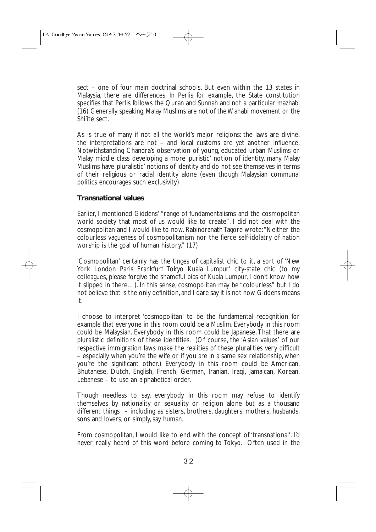sect – one of four main doctrinal schools. But even within the 13 states in Malaysia, there are differences. In Perlis for example, the State constitution specifies that Perlis follows the Quran and Sunnah and not a particular mazhab. (16) Generally speaking, Malay Muslims are not of the Wahabi movement or the Shi'ite sect.

As is true of many if not all the world's major religions: the laws are divine, the interpretations are not – and local customs are yet another influence. Notwithstanding Chandra's observation of young, educated urban Muslims or Malay middle class developing a more 'puristic' notion of identity, many Malay Muslims have 'pluralistic' notions of identity and do not see themselves in terms of their religious or racial identity alone (even though Malaysian communal politics encourages such exclusivity).

#### **Transnational values**

Earlier, I mentioned Giddens' "range of fundamentalisms and the cosmopolitan world society that most of us would like to create". I did not deal with the cosmopolitan and I would like to now. Rabindranath Tagore wrote:"Neither the colourless vagueness of cosmopolitanism nor the fierce self-idolatry of nation worship is the goal of human history." (17)

'Cosmopolitan' certainly has the tinges of capitalist chic to it, a sort of 'New York London Paris Frankfurt Tokyo Kuala Lumpur' city-state chic (to my colleagues, please forgive the shameful bias of Kuala Lumpur, I don't know how it slipped in there…). In this sense, cosmopolitan may be "colourless" but I do not believe that is the only definition, and I dare say it is not how Giddens means it.

I choose to interpret 'cosmopolitan' to be the fundamental recognition for example that everyone in this room could be a Muslim. Everybody in this room could be Malaysian. Everybody in this room could be Japanese.That there are pluralistic definitions of these identities. (Of course, the 'Asian values' of our respective immigration laws make the realities of these pluralities very difficult – especially when you're the wife or if you are in a same sex relationship, when you're the significant other.) Everybody in this room could be American, Bhutanese, Dutch, English, French, German, Iranian, Iraqi, Jamaican, Korean, Lebanese – to use an alphabetical order.

Though needless to say, everybody in this room may refuse to identify themselves by nationality or sexuality or religion alone but as a thousand different things – including as sisters, brothers, daughters, mothers, husbands, sons and lovers, or simply, say human.

From cosmopolitan, I would like to end with the concept of 'transnational'. I'd never really heard of this word before coming to Tokyo. Often used in the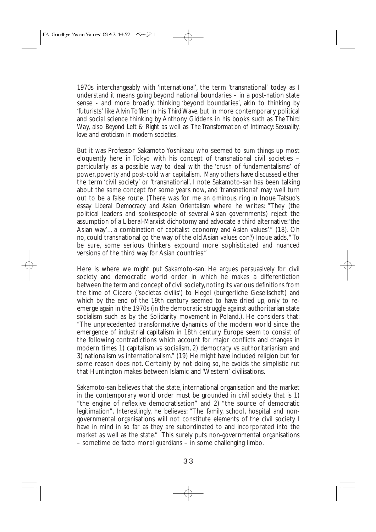1970s interchangeably with 'international', the term 'transnational' today as I understand it means going beyond national boundaries – in a post-nation state sense - and more broadly, thinking 'beyond boundaries', akin to thinking by 'futurists' like Alvin Toffler in his *Third Wave*, but in more contemporary political and social science thinking by Anthony Giddens in his books such as *The Third Way,* also *Beyond Left & Right* as well as *The Transformation of Intimacy: Sexuality, love and eroticism in modern societies*.

But it was Professor Sakamoto Yoshikazu who seemed to sum things up most eloquently here in Tokyo with his concept of transnational civil societies – particularly as a possible way to deal with the 'crush of fundamentalisms' of power, poverty and post-cold war capitalism. Many others have discussed either the term 'civil society' or 'transnational'. I note Sakamoto-san has been talking about the same concept for some years now, and 'transnational' may well turn out to be a false route. (There was for me an ominous ring in Inoue Tatsuo's essay *Liberal Democracy and Asian Orientalism* where he writes: "They (the political leaders and spokespeople of several Asian governments) reject the assumption of a Liberal-Marxist dichotomy and advocate a third alternative:'the Asian way'…a combination of capitalist economy and Asian values'." (18). Oh no, could transnational go the way of the old Asian values con?) Inoue adds," To be sure, some serious thinkers expound more sophisticated and nuanced versions of the third way for Asian countries."

Here is where we might put Sakamoto-san. He argues persuasively for civil society and democratic world order in which he makes a differentiation between the term and concept of civil society, noting its various definitions from the time of Cicero ('societas civilis') to Hegel (burgerliche Gesellschaft) and which by the end of the 19th century seemed to have dried up, only to reemerge again in the 1970s (in the democratic struggle against authoritarian state socialism such as by the Solidarity movement in Poland.). He considers that: "The unprecedented transformative dynamics of the modern world since the emergence of industrial capitalism in 18th century Europe seem to consist of the following contradictions which account for major conflicts and changes in modern times 1) capitalism vs socialism, 2) democracy vs authoritarianism and 3) nationalism vs internationalism." (19) He might have included religion but for some reason does not. Certainly by not doing so, he avoids the simplistic rut that Huntington makes between Islamic and 'Western' civilisations.

Sakamoto-san believes that the state, international organisation and the market in the contemporary world order must be grounded in civil society that is 1) "the engine of reflexive democratisation" and 2) "the source of democratic legitimation". Interestingly, he believes: "The family, school, hospital and nongovernmental organisations will not constitute elements of the civil society I have in mind in so far as they are subordinated to and incorporated into the market as well as the state." This surely puts non-governmental organisations – sometime de facto moral guardians – in some challenging limbo.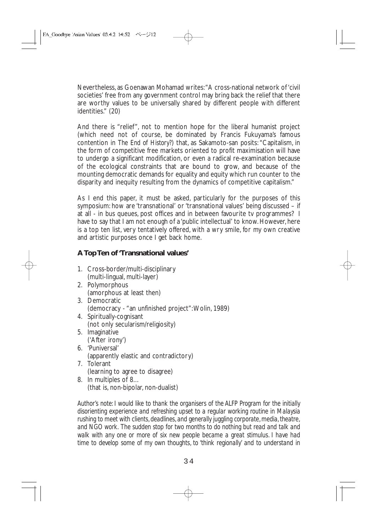Nevertheless, as Goenawan Mohamad writes:"A cross-national network of 'civil societies' free from any government control may bring back the relief that there are worthy values to be universally shared by different people with different identities." (20)

And there is "relief", not to mention hope for the liberal humanist project (which need not of course, be dominated by Francis Fukuyama's famous contention in *The End of History?*) that, as Sakamoto-san posits: "Capitalism, in the form of competitive free markets oriented to profit maximisation will have to undergo a significant modification, or even a radical re-examination because of the ecological constraints that are bound to grow, and because of the mounting democratic demands for equality and equity which run counter to the disparity and inequity resulting from the dynamics of competitive capitalism."

As I end this paper, it must be asked, particularly for the purposes of this symposium: how are 'transnational' or 'transnational values' being discussed – if at all - in bus queues, post offices and in between favourite tv programmes? I have to say that I am not enough of a 'public intellectual' to know. However, here is a top ten list, very tentatively offered, with a wry smile, for my own creative and artistic purposes once I get back home.

#### **A Top Ten of 'Transnational values'**

- 1. Cross-border/multi-disciplinary (multi-lingual, multi-layer)
- 2. Polymorphous (amorphous at least then)
- 3. Democratic (democracy - "an unfinished project":Wolin, 1989)
- 4. Spiritually-cognisant (not only secularism/religiosity)
- 5. Imaginative ('After irony')
- 6. 'Puniversal' (apparently elastic and contradictory)
- 7. Tolerant (learning to agree to disagree)
- 8. In multiples of 8… (that is, non-bipolar, non-dualist)

*Author's note: I would like to thank the organisers of the ALFP Program for the initially disorienting experience and refreshing upset to a regular working routine in Malaysia rushing to meet with clients, deadlines, and generally juggling corporate, media, theatre, and NGO work. The sudden stop for two months to do nothing but read and talk and walk with any one or more of six new people became a great stimulus. I have had time to develop some of my own thoughts, to 'think regionally' and to understand in*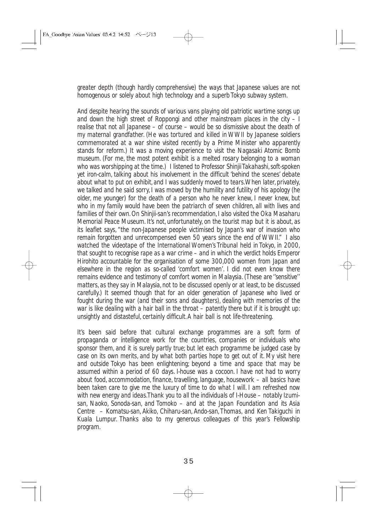*greater depth (though hardly comprehensive) the ways that Japanese values are not homogenous or solely about high technology and a superb Tokyo subway system.*

*And despite hearing the sounds of various vans playing old patriotic wartime songs up and down the high street of Roppongi and other mainstream places in the city – I realise that not all Japanese* – *of course* – *would be so dismissive about the death of my maternal grandfather. (He was tortured and killed in WWII by Japanese soldiers commemorated at a war shine visited recently by a Prime Minister who apparently stands for reform.) It was a moving experience to visit the Nagasaki Atomic Bomb museum. (For me, the most potent exhibit is a melted rosary belonging to a woman who was worshipping at the time.) I listened to Professor Shinjii Takahashi, soft-spoken yet iron-calm, talking about his involvement in the difficult 'behind the scenes' debate about what to put on exhibit, and I was suddenly moved to tears.When later, privately, we talked and he said sorry, I was moved by the humility and futility of his apology (he older, me younger) for the death of a person who he never knew, I never knew, but who in my family would have been the patriarch of seven children, all with lives and families of their own. On Shinjii-san's recommendation, I also visited the Oka Masaharu Memorial Peace Museum. It's not, unfortunately, on the tourist map but it is about, as its leaflet says, "the non-Japanese people victimised by Japan's war of invasion who remain forgotten and unrecompensed even 50 years since the end of WWII." I also watched the videotape of the International Women's Tribunal held in Tokyo, in 2000, that sought to recognise rape as a war crime – and in which the verdict holds Emperor Hirohito accountable for the organisation of some 300,000 women from Japan and elsewhere in the region as so-called 'comfort women'. I did not even know there remains evidence and testimony of comfort women in Malaysia. (These are ''sensitive'' matters, as they say in Malaysia, not to be discussed openly or at least, to be discussed carefully.) It seemed though that for an older generation of Japanese who lived or fought during the war (and their sons and daughters), dealing with memories of the war is like dealing with a hair ball in the throat – patently there but if it is brought up: unsightly and distasteful, certainly difficult.A hair ball is not life-threatening.*

*It's been said before that cultural exchange programmes are a soft form of propaganda or íntelligence work for the countries, companies or individuals who sponsor them, and it is surely partly true; but let each programme be judged case by case on its own merits, and by what both parties hope to get out of it. My visit here and outside Tokyo has been enlightening; beyond a time and space that may be assumed within a period of 60 days. I-house was a cocoon. I have not had to worry about food, accommodation, finance, travelling, language, housework* – *all basics have been taken care to give me the luxury of time to do what I will. I am refreshed now with new energy and ideas.Thank you to all the individuals of I-House – notably Izumisan, Naoko, Sonoda-san, and Tomoko – and at the Japan Foundation and its Asia Centre* – *Komatsu-san, Akiko, Chiharu-san, Ando-san,Thomas, and Ken Takiguchi in Kuala Lumpur. Thanks also to my generous colleagues of this year's Fellowship program.*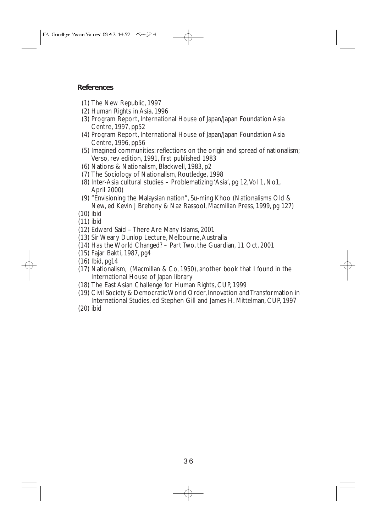#### **References**

- (1) The New Republic, 1997
- (2) Human Rights in Asia, 1996
- (3) Program Report, International House of Japan/Japan Foundation Asia Centre, 1997, pp52
- (4) Program Report, International House of Japan/Japan Foundation Asia Centre, 1996, pp56
- (5) Imagined communities: reflections on the origin and spread of nationalism; Verso, rev edition, 1991, first published 1983
- (6) Nations & Nationalism, Blackwell, 1983, p2
- (7) The Sociology of Nationalism, Routledge, 1998
- (8) Inter-Asia cultural studies Problematizing 'Asia', pg 12,Vol 1, No1, April 2000)
- (9) "Envisioning the Malaysian nation", Su-ming Khoo (Nationalisms Old & New, ed Kevin J Brehony & Naz Rassool, Macmillan Press, 1999, pg 127)
- (10) ibid
- (11) ibid
- (12) Edward Said There Are Many Islams, 2001
- (13) Sir Weary Dunlop Lecture, Melbourne,Australia
- (14) Has the World Changed? Part Two, the Guardian, 11 Oct, 2001
- (15) Fajar Bakti, 1987, pg4
- (16) Ibid, pg14
- (17) Nationalism, (Macmillan & Co, 1950), another book that I found in the International House of Japan library
- (18) The East Asian Challenge for Human Rights, CUP, 1999
- (19) Civil Society & Democratic World Order, Innovation and Transformation in International Studies, ed Stephen Gill and James H. Mittelman, CUP, 1997
- (20) ibid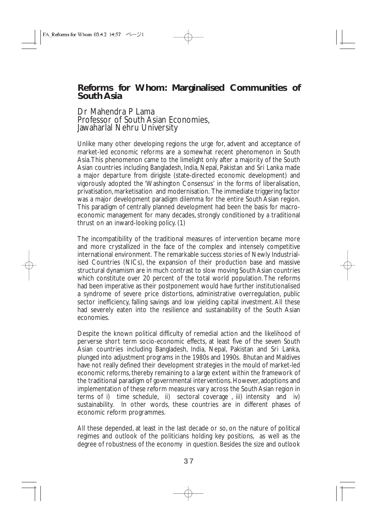# **Reforms for Whom: Marginalised Communities of South Asia**

## Dr Mahendra P Lama Professor of South Asian Economies, Jawaharlal Nehru University

Unlike many other developing regions the urge for, advent and acceptance of market-led economic reforms are a somewhat recent phenomenon in South Asia.This phenomenon came to the limelight only after a majority of the South Asian countries including Bangladesh, India, Nepal, Pakistan and Sri Lanka made a major departure from *dirigiste* (state-directed economic development) and vigorously adopted the 'Washington Consensus' in the forms of liberalisation, privatisation, marketisation and modernisation. The immediate triggering factor was a major development paradigm dilemma for the entire South Asian region. This paradigm of centrally planned development had been the basis for macroeconomic management for many decades, strongly conditioned by a traditional thrust on an inward-looking policy. (1)

The incompatibility of the traditional measures of intervention became more and more crystallized in the face of the complex and intensely competitive international environment. The remarkable success stories of Newly Industrialised Countries (NICs), the expansion of their production base and massive structural dynamism are in much contrast to slow moving South Asian countries which constitute over 20 percent of the total world population. The reforms had been imperative as their postponement would have further institutionalised a syndrome of severe price distortions, administrative overregulation, public sector inefficiency, falling savings and low yielding capital investment. All these had severely eaten into the resilience and sustainability of the South Asian economies.

Despite the known political difficulty of remedial action and the likelihood of perverse short term socio-economic effects, at least five of the seven South Asian countries including Bangladesh, India, Nepal, Pakistan and Sri Lanka, plunged into adjustment programs in the 1980s and 1990s. Bhutan and Maldives have not really defined their development strategies in the mould of market-led economic reforms, thereby remaining to a large extent within the framework of the traditional paradigm of governmental interventions. However, adoptions and implementation of these reform measures vary across the South Asian region in terms of i) time schedule, ii) sectoral coverage , iii) intensity and iv) sustainability. In other words, these countries are in different phases of economic reform programmes.

All these depended, at least in the last decade or so, on the nature of political regimes and outlook of the politicians holding key positions, as well as the degree of robustness of the economy in question. Besides the size and outlook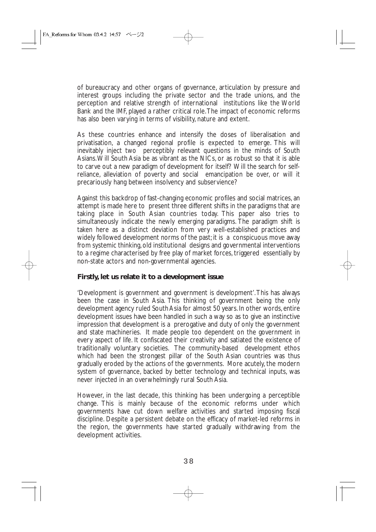of bureaucracy and other organs of governance, articulation by pressure and interest groups including the private sector and the trade unions, and the perception and relative strength of international institutions like the World Bank and the IMF, played a rather critical role.The impact of economic reforms has also been varying in terms of visibility, nature and extent.

As these countries enhance and intensify the doses of liberalisation and privatisation, a changed regional profile is expected to emerge. This will inevitably inject two perceptibly relevant questions in the minds of South Asians.Will South Asia be as vibrant as the NICs, or as robust so that it is able to carve out a new paradigm of development for itself? Will the search for selfreliance, alleviation of poverty and social emancipation be over, or will it precariously hang between insolvency and subservience?

Against this backdrop of fast-changing economic profiles and social matrices, an attempt is made here to present three different shifts in the paradigms that are taking place in South Asian countries today. This paper also tries to simultaneously indicate the newly emerging paradigms. The paradigm shift is taken here as a distinct deviation from very well-established practices and widely followed development norms of the past; it is a conspicuous move away from systemic thinking, old institutional designs and governmental interventions to a regime characterised by free play of market forces, triggered essentially by non-state actors and non-governmental agencies.

## **Firstly, let us relate it to a development issue**

'Development is government and government is development'.This has always been the case in South Asia. This thinking of government being the only development agency ruled South Asia for almost 50 years. In other words, entire development issues have been handled in such a way so as to give an instinctive impression that development is a prerogative and duty of only the government and state machineries. It made people too dependent on the government in every aspect of life. It confiscated their creativity and satiated the existence of traditionally voluntary societies. The community-based development ethos which had been the strongest pillar of the South Asian countries was thus gradually eroded by the actions of the governments. More acutely, the modern system of governance, backed by better technology and technical inputs, was never injected in an overwhelmingly rural South Asia.

However, in the last decade, this thinking has been undergoing a perceptible change. This is mainly because of the economic reforms under which governments have cut down welfare activities and started imposing fiscal discipline. Despite a persistent debate on the efficacy of market-led reforms in the region, the governments have started gradually withdrawing from the development activities.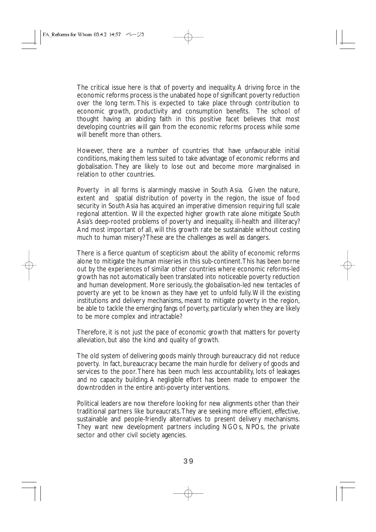The critical issue here is that of poverty and inequality. A driving force in the economic reforms process is the unabated hope of significant poverty reduction over the long term. This is expected to take place through contribution to economic growth, productivity and consumption benefits. The school of thought having an abiding faith in this positive facet believes that most developing countries will gain from the economic reforms process while some will benefit more than others.

However, there are a number of countries that have unfavourable initial conditions, making them less suited to take advantage of economic reforms and globalisation. They are likely to lose out and become more marginalised in relation to other countries.

Poverty in all forms is alarmingly massive in South Asia. Given the nature, extent and spatial distribution of poverty in the region, the issue of food security in South Asia has acquired an imperative dimension requiring full scale regional attention. Will the expected higher growth rate alone mitigate South Asia's deep-rooted problems of poverty and inequality, ill-health and illiteracy? And most important of all, will this growth rate be sustainable without costing much to human misery? These are the challenges as well as dangers.

There is a fierce quantum of scepticism about the ability of economic reforms alone to mitigate the human miseries in this sub-continent.This has been borne out by the experiences of similar other countries where economic reforms-led growth has not automatically been translated into noticeable poverty reduction and human development. More seriously, the globalisation-led new tentacles of poverty are yet to be known as they have yet to unfold fully.Will the existing institutions and delivery mechanisms, meant to mitigate poverty in the region, be able to tackle the emerging fangs of poverty, particularly when they are likely to be more complex and intractable?

Therefore, it is not just the pace of economic growth that matters for poverty alleviation, but also the kind and quality of growth.

The old system of delivering goods mainly through bureaucracy did not reduce poverty. In fact, bureaucracy became the main hurdle for delivery of goods and services to the poor.There has been much less accountability, lots of leakages and no capacity building. A negligible effort has been made to empower the downtrodden in the entire anti-poverty interventions.

Political leaders are now therefore looking for new alignments other than their traditional partners like bureaucrats.They are seeking more efficient, effective, sustainable and people-friendly alternatives to present delivery mechanisms. They want new development partners including NGOs, NPOs, the private sector and other civil society agencies.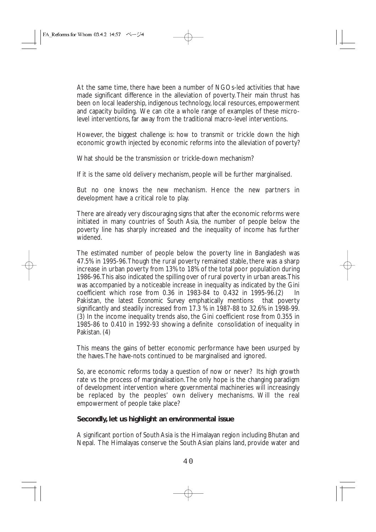At the same time, there have been a number of NGOs-led activities that have made significant difference in the alleviation of poverty. Their main thrust has been on local leadership, indigenous technology, local resources, empowerment and capacity building. We can cite a whole range of examples of these microlevel interventions, far away from the traditional macro-level interventions.

However, the biggest challenge is: how to transmit or trickle down the high economic growth injected by economic reforms into the alleviation of poverty?

What should be the transmission or trickle-down mechanism?

If it is the same old delivery mechanism, people will be further marginalised.

But no one knows the new mechanism. Hence the new partners in development have a critical role to play.

There are already very discouraging signs that after the economic reforms were initiated in many countries of South Asia, the number of people below the poverty line has sharply increased and the inequality of income has further widened.

The estimated number of people below the poverty line in Bangladesh was 47.5% in 1995-96.Though the rural poverty remained stable, there was a sharp increase in urban poverty from 13% to 18% of the total poor population during 1986-96.This also indicated the spilling over of rural poverty in urban areas.This was accompanied by a noticeable increase in inequality as indicated by the Gini coefficient which rose from 0.36 in 1983-84 to 0.432 in 1995-96.(2) In<br>Pakistan, the latest *Economic Survey* emphatically mentions that poverty Pakistan, the latest *Economic Survey* emphatically mentions significantly and steadily increased from 17.3 % in 1987-88 to 32.6% in 1998-99. (3) In the income inequality trends also, the Gini coefficient rose from 0.355 in 1985-86 to 0.410 in 1992-93 showing a definite consolidation of inequality in Pakistan. (4)

This means the gains of better economic performance have been usurped by the haves.The have-nots continued to be marginalised and ignored.

So, are economic reforms today a question of now or never? Its high growth rate vs the process of marginalisation.The only hope is the changing paradigm of development intervention where governmental machineries will increasingly be replaced by the peoples' own delivery mechanisms. Will the real empowerment of people take place?

## **Secondly, let us highlight an environmental issue**

A significant portion of South Asia is the Himalayan region including Bhutan and Nepal. The Himalayas conserve the South Asian plains land, provide water and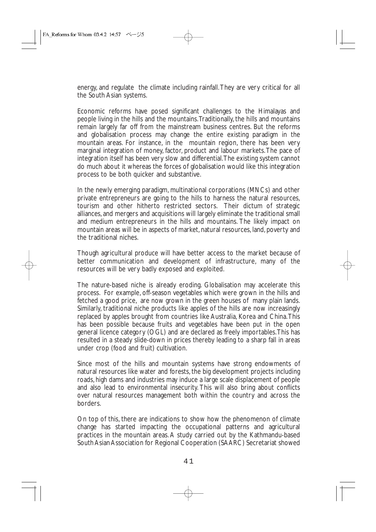energy, and regulate the climate including rainfall.They are very critical for all the South Asian systems.

Economic reforms have posed significant challenges to the Himalayas and people living in the hills and the mountains.Traditionally, the hills and mountains remain largely far off from the mainstream business centres. But the reforms and globalisation process may change the entire existing paradigm in the mountain areas. For instance, in the mountain region, there has been very marginal integration of money, factor, product and labour markets.The pace of integration itself has been very slow and differential.The existing system cannot do much about it whereas the forces of globalisation would like this integration process to be both quicker and substantive.

In the newly emerging paradigm, multinational corporations (MNCs) and other private entrepreneurs are going to the hills to harness the natural resources, tourism and other hitherto restricted sectors. Their dictum of strategic alliances, and mergers and acquisitions will largely eliminate the traditional small and medium entrepreneurs in the hills and mountains. The likely impact on mountain areas will be in aspects of market, natural resources, land, poverty and the traditional niches.

Though agricultural produce will have better access to the market because of better communication and development of infrastructure, many of the resources will be very badly exposed and exploited.

The nature-based niche is already eroding. Globalisation may accelerate this process. For example, off-season vegetables which were grown in the hills and fetched a good price, are now grown in the green houses of many plain lands. Similarly, traditional niche products like apples of the hills are now increasingly replaced by apples brought from countries like Australia, Korea and China.This has been possible because fruits and vegetables have been put in the open general licence category (OGL) and are declared as freely importables.This has resulted in a steady slide-down in prices thereby leading to a sharp fall in areas under crop (food and fruit) cultivation.

Since most of the hills and mountain systems have strong endowments of natural resources like water and forests, the big development projects including roads, high dams and industries may induce a large scale displacement of people and also lead to environmental insecurity. This will also bring about conflicts over natural resources management both within the country and across the borders.

On top of this, there are indications to show how the phenomenon of climate change has started impacting the occupational patterns and agricultural practices in the mountain areas. A study carried out by the Kathmandu-based South Asian Association for Regional Cooperation (SAARC) Secretariat showed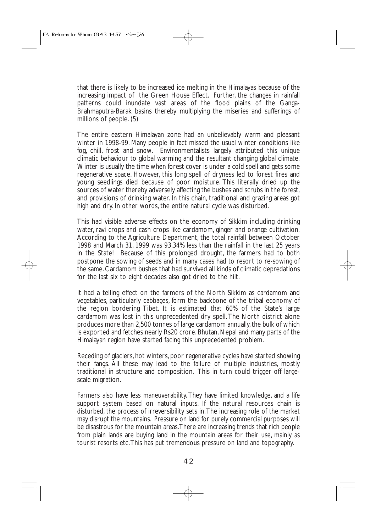that there is likely to be increased ice melting in the Himalayas because of the increasing impact of the Green House Effect. Further, the changes in rainfall patterns could inundate vast areas of the flood plains of the Ganga-Brahmaputra-Barak basins thereby multiplying the miseries and sufferings of millions of people. (5)

The entire eastern Himalayan zone had an unbelievably warm and pleasant winter in 1998-99. Many people in fact missed the usual winter conditions like fog, chill, frost and snow. Environmentalists largely attributed this unique climatic behaviour to global warming and the resultant changing global climate. Winter is usually the time when forest cover is under a cold spell and gets some regenerative space. However, this long spell of dryness led to forest fires and young seedlings died because of poor moisture. This literally dried up the sources of water thereby adversely affecting the bushes and scrubs in the forest, and provisions of drinking water. In this chain, traditional and grazing areas got high and dry. In other words, the entire natural cycle was disturbed.

This had visible adverse effects on the economy of Sikkim including drinking water, ravi crops and cash crops like cardamom, ginger and orange cultivation. According to the Agriculture Department, the total rainfall between October 1998 and March 31, 1999 was 93.34% less than the rainfall in the last 25 years in the State! Because of this prolonged drought, the farmers had to both postpone the sowing of seeds and in many cases had to resort to re-sowing of the same. Cardamom bushes that had survived all kinds of climatic depredations for the last six to eight decades also got dried to the hilt.

It had a telling effect on the farmers of the North Sikkim as cardamom and vegetables, particularly cabbages, form the backbone of the tribal economy of the region bordering Tibet. It is estimated that 60% of the State's large cardamom was lost in this unprecedented dry spell. The North district alone produces more than 2,500 tonnes of large cardamom annually, the bulk of which is exported and fetches nearly Rs20 crore. Bhutan, Nepal and many parts of the Himalayan region have started facing this unprecedented problem.

Receding of glaciers, hot winters, poor regenerative cycles have started showing their fangs. All these may lead to the failure of multiple industries, mostly traditional in structure and composition. This in turn could trigger off largescale migration.

Farmers also have less maneuverability. They have limited knowledge, and a life support system based on natural inputs. If the natural resources chain is disturbed, the process of irreversibility sets in.The increasing role of the market may disrupt the mountains. Pressure on land for purely commercial purposes will be disastrous for the mountain areas.There are increasing trends that rich people from plain lands are buying land in the mountain areas for their use, mainly as tourist resorts etc.This has put tremendous pressure on land and topography.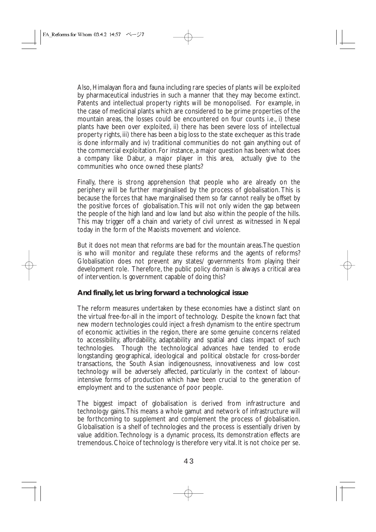Also, Himalayan flora and fauna including rare species of plants will be exploited by pharmaceutical industries in such a manner that they may become extinct. Patents and intellectual property rights will be monopolised. For example, in the case of medicinal plants which are considered to be prime properties of the mountain areas, the losses could be encountered on four counts i.e., i) these plants have been over exploited, ii) there has been severe loss of intellectual property rights, iii) there has been a big loss to the state exchequer as this trade is done informally and iv) traditional communities do not gain anything out of the commercial exploitation. For instance, a major question has been: what does a company like Dabur, a major player in this area, actually give to the communities who once owned these plants?

Finally, there is strong apprehension that people who are already on the periphery will be further marginalised by the process of globalisation. This is because the forces that have marginalised them so far cannot really be offset by the positive forces of globalisation.This will not only widen the gap between the people of the high land and low land but also within the people of the hills. This may trigger off a chain and variety of civil unrest as witnessed in Nepal today in the form of the Maoists movement and violence.

But it does not mean that reforms are bad for the mountain areas.The question is who will monitor and regulate these reforms and the agents of reforms? Globalisation does not prevent any states/ governments from playing their development role. Therefore, the public policy domain is always a critical area of intervention. Is government capable of doing this?

## **And finally, let us bring forward a technological issue**

The reform measures undertaken by these economies have a distinct slant on the virtual free-for-all in the import of technology. Despite the known fact that new modern technologies could inject a fresh dynamism to the entire spectrum of economic activities in the region, there are some genuine concerns related to accessibility, affordability, adaptability and spatial and class impact of such technologies. Though the technological advances have tended to erode longstanding geographical, ideological and political obstacle for cross-border transactions, the South Asian indigenousness, innovativeness and low cost technology will be adversely affected, particularly in the context of labourintensive forms of production which have been crucial to the generation of employment and to the sustenance of poor people.

The biggest impact of globalisation is derived from infrastructure and technology gains.This means a whole gamut and network of infrastructure will be forthcoming to supplement and complement the process of globalisation. Globalisation is a shelf of technologies and the process is essentially driven by value addition. Technology is a dynamic process, Its demonstration effects are tremendous. Choice of technology is therefore very vital. It is not choice per se.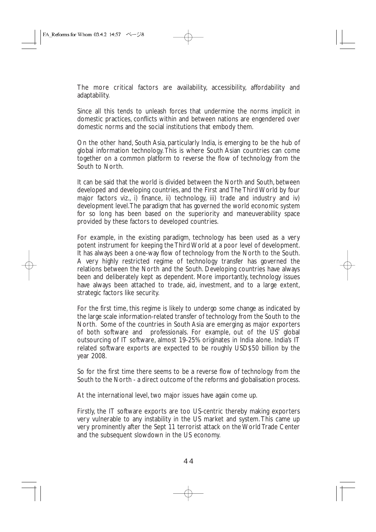The more critical factors are availability, accessibility, affordability and adaptability.

Since all this tends to unleash forces that undermine the norms implicit in domestic practices, conflicts within and between nations are engendered over domestic norms and the social institutions that embody them.

On the other hand, South Asia, particularly India, is emerging to be the hub of global information technology. This is where South Asian countries can come together on a common platform to reverse the flow of technology from the South to North.

It can be said that the world is divided between the North and South, between developed and developing countries, and the First and The Third World by four major factors viz., i) finance, ii) technology, iii) trade and industry and iv) development level.The paradigm that has governed the world economic system for so long has been based on the superiority and maneuverability space provided by these factors to developed countries.

For example, in the existing paradigm, technology has been used as a very potent instrument for keeping the Third World at a poor level of development. It has always been a one-way flow of technology from the North to the South. A very highly restricted regime of technology transfer has governed the relations between the North and the South. Developing countries have always been and deliberately kept as dependent. More importantly, technology issues have always been attached to trade, aid, investment, and to a large extent, strategic factors like security.

For the first time, this regime is likely to undergo some change as indicated by the large scale information-related transfer of technology from the South to the North. Some of the countries in South Asia are emerging as major exporters of both software and professionals. For example, out of the US' global outsourcing of IT software, almost 19-25% originates in India alone. India's IT related software exports are expected to be roughly USD\$50 billion by the year 2008.

So for the first time there seems to be a reverse flow of technology from the South to the North - a direct outcome of the reforms and globalisation process.

At the international level, two major issues have again come up.

Firstly, the IT software exports are too US-centric thereby making exporters very vulnerable to any instability in the US market and system. This came up very prominently after the Sept 11 terrorist attack on the World Trade Center and the subsequent slowdown in the US economy.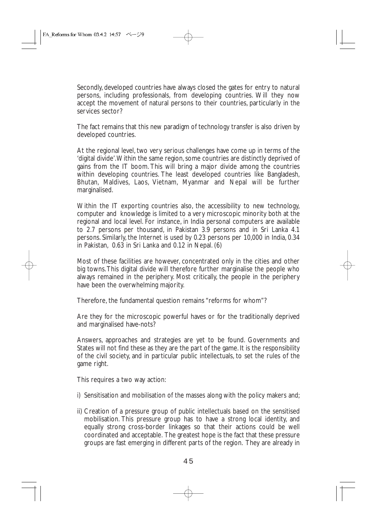Secondly, developed countries have always closed the gates for entry to natural persons, including professionals, from developing countries. Will they now accept the movement of natural persons to their countries, particularly in the services sector?

The fact remains that this new paradigm of technology transfer is also driven by developed countries.

At the regional level, two very serious challenges have come up in terms of the 'digital divide'.Within the same region, some countries are distinctly deprived of gains from the IT boom. This will bring a major divide among the countries within developing countries. The least developed countries like Bangladesh, Bhutan, Maldives, Laos, Vietnam, Myanmar and Nepal will be further marginalised.

Within the IT exporting countries also, the accessibility to new technology, computer and knowledge is limited to a very microscopic minority both at the regional and local level. For instance, in India personal computers are available to 2.7 persons per thousand, in Pakistan 3.9 persons and in Sri Lanka 4.1 persons. Similarly, the Internet is used by 0.23 persons per 10,000 in India, 0.34 in Pakistan, 0.63 in Sri Lanka and 0.12 in Nepal. (6)

Most of these facilities are however, concentrated only in the cities and other big towns.This digital divide will therefore further marginalise the people who always remained in the periphery. Most critically, the people in the periphery have been the overwhelming majority.

Therefore, the fundamental question remains "reforms for whom"?

Are they for the microscopic powerful haves or for the traditionally deprived and marginalised have-nots?

Answers, approaches and strategies are yet to be found. Governments and States will not find these as they are the part of the game. It is the responsibility of the civil society, and in particular public intellectuals, to set the rules of the game right.

This requires a two way action:

- i) Sensitisation and mobilisation of the masses along with the policy makers and;
- ii) Creation of a pressure group of public intellectuals based on the sensitised mobilisation. This pressure group has to have a strong local identity, and equally strong cross-border linkages so that their actions could be well coordinated and acceptable. The greatest hope is the fact that these pressure groups are fast emerging in different parts of the region. They are already in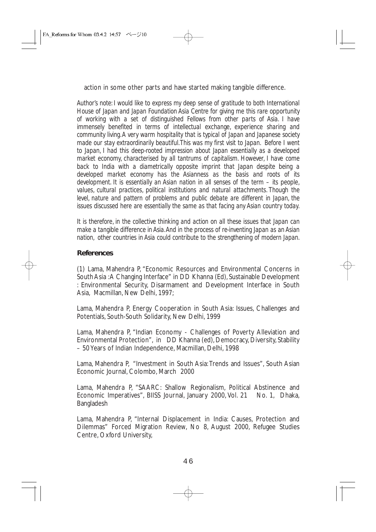action in some other parts and have started making tangible difference.

*Author's note: I would like to express my deep sense of gratitude to both International House of Japan and Japan Foundation Asia Centre for giving me this rare opportunity of working with a set of distinguished Fellows from other parts of Asia. I have immensely benefited in terms of intellectual exchange, experience sharing and community living.A very warm hospitality that is typical of Japan and Japanese society made our stay extraordinarily beautiful.This was my first visit to Japan. Before I went to Japan, I had this deep-rooted impression about Japan essentially as a developed market economy, characterised by all tantrums of capitalism. However, I have come back to India with a diametrically opposite imprint that Japan despite being a developed market economy has the Asianness as the basis and roots of its development. It is essentially an Asian nation in all senses of the term – its people, values, cultural practices, political institutions and natural attachments. Though the level, nature and pattern of problems and public debate are different in Japan, the issues discussed here are essentially the same as that facing any Asian country today.*

*It is therefore, in the collective thinking and action on all these issues that Japan can make a tangible difference in Asia.And in the process of re-inventing Japan as an Asian nation, other countries in Asia could contribute to the strengthening of modern Japan.*

## **References**

(1) Lama, Mahendra P, "Economic Resources and Environmental Concerns in South Asia :A Changing Interface" in DD Khanna (Ed), Sustainable Development : Environmental Security, Disarmament and Development Interface in South Asia, Macmillan, New Delhi, 1997;

Lama, Mahendra P, Energy Cooperation in South Asia: Issues, Challenges and Potentials, South-South Solidarity, New Delhi, 1999

Lama, Mahendra P, "Indian Economy - Challenges of Poverty Alleviation and Environmental Protection", in DD Khanna (ed), Democracy, Diversity, Stability – 50 Years of Indian Independence, Macmillan, Delhi, 1998

Lama, Mahendra P, "Investment in South Asia:Trends and Issues", South Asian Economic Journal, Colombo, March 2000

Lama, Mahendra P, "SAARC: Shallow Regionalism, Political Abstinence and Economic Imperatives", BIISS Journal, January 2000, Vol. 21 No. 1, Dhaka, Bangladesh

Lama, Mahendra P, "Internal Displacement in India: Causes, Protection and Dilemmas" Forced Migration Review, No 8, August 2000, Refugee Studies Centre, Oxford University,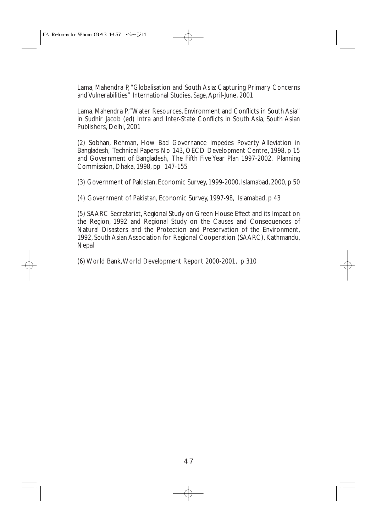Lama, Mahendra P,"Globalisation and South Asia: Capturing Primary Concerns and Vulnerabilities" International Studies, Sage,April-June, 2001

Lama, Mahendra P,"Water Resources, Environment and Conflicts in South Asia" in Sudhir Jacob (ed) Intra and Inter-State Conflicts in South Asia, South Asian Publishers, Delhi, 2001

(2) Sobhan, Rehman, How Bad Governance Impedes Poverty Alleviation in Bangladesh, Technical Papers No 143, OECD Development Centre, 1998, p 15 and Government of Bangladesh, The Fifth Five Year Plan 1997-2002, Planning Commission, Dhaka, 1998, pp 147-155

(3) Government of Pakistan, Economic Survey, 1999-2000, Islamabad, 2000, p 50

(4) Government of Pakistan, Economic Survey, 1997-98, Islamabad, p 43

(5) SAARC Secretariat, Regional Study on Green House Effect and its Impact on the Region, 1992 and Regional Study on the Causes and Consequences of Natural Disasters and the Protection and Preservation of the Environment, 1992, South Asian Association for Regional Cooperation (SAARC), Kathmandu, Nepal

(6) World Bank,World Development Report 2000-2001, p 310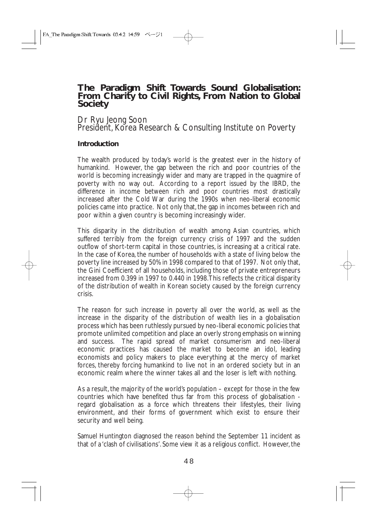# **The Paradigm Shift Towards Sound Globalisation: From Charity to Civil Rights, From Nation to Global Society**

Dr Ryu Jeong Soon President, Korea Research & Consulting Institute on Poverty

## **Introduction**

The wealth produced by today's world is the greatest ever in the history of humankind. However, the gap between the rich and poor countries of the world is becoming increasingly wider and many are trapped in the quagmire of poverty with no way out. According to a report issued by the IBRD, the difference in income between rich and poor countries most drastically increased after the Cold War during the 1990s when neo-liberal economic policies came into practice. Not only that, the gap in incomes between rich and poor within a given country is becoming increasingly wider.

This disparity in the distribution of wealth among Asian countries, which suffered terribly from the foreign currency crisis of 1997 and the sudden outflow of short-term capital in those countries, is increasing at a critical rate. In the case of Korea, the number of households with a state of living below the poverty line increased by 50% in 1998 compared to that of 1997. Not only that, the Gini Coefficient of all households, including those of private entrepreneurs increased from 0.399 in 1997 to 0.440 in 1998.This reflects the critical disparity of the distribution of wealth in Korean society caused by the foreign currency crisis.

The reason for such increase in poverty all over the world, as well as the increase in the disparity of the distribution of wealth lies in a globalisation process which has been ruthlessly pursued by neo-liberal economic policies that promote unlimited competition and place an overly strong emphasis on winning and success. The rapid spread of market consumerism and neo-liberal economic practices has caused the market to become an idol, leading economists and policy makers to place everything at the mercy of market forces, thereby forcing humankind to live not in an ordered society but in an economic realm where the winner takes all and the loser is left with nothing.

As a result, the majority of the world's population – except for those in the few countries which have benefited thus far from this process of globalisation regard globalisation as a force which threatens their lifestyles, their living environment, and their forms of government which exist to ensure their security and well being.

Samuel Huntington diagnosed the reason behind the September 11 incident as that of a 'clash of civilisations'. Some view it as a religious conflict. However, the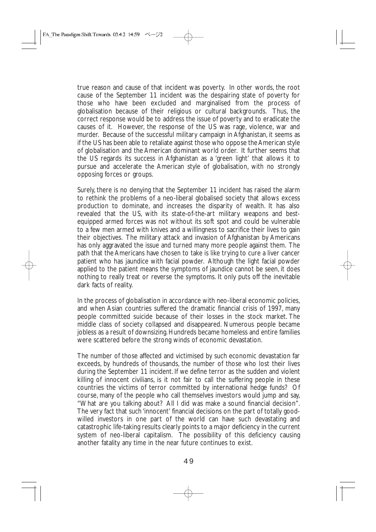true reason and cause of that incident was poverty. In other words, the root cause of the September 11 incident was the despairing state of poverty for those who have been excluded and marginalised from the process of globalisation because of their religious or cultural backgrounds. Thus, the correct response would be to address the issue of poverty and to eradicate the causes of it. However, the response of the US was rage, violence, war and murder. Because of the successful military campaign in Afghanistan, it seems as if the US has been able to retaliate against those who oppose the American style of globalisation and the American dominant world order. It further seems that the US regards its success in Afghanistan as a 'green light' that allows it to pursue and accelerate the American style of globalisation, with no strongly opposing forces or groups.

Surely, there is no denying that the September 11 incident has raised the alarm to rethink the problems of a neo-liberal globalised society that allows excess production to dominate, and increases the disparity of wealth. It has also revealed that the US, with its state-of-the-art military weapons and bestequipped armed forces was not without its soft spot and could be vulnerable to a few men armed with knives and a willingness to sacrifice their lives to gain their objectives. The military attack and invasion of Afghanistan by Americans has only aggravated the issue and turned many more people against them. The path that the Americans have chosen to take is like trying to cure a liver cancer patient who has jaundice with facial powder. Although the light facial powder applied to the patient means the symptoms of jaundice cannot be seen, it does nothing to really treat or reverse the symptoms. It only puts off the inevitable dark facts of reality.

In the process of globalisation in accordance with neo-liberal economic policies, and when Asian countries suffered the dramatic financial crisis of 1997, many people committed suicide because of their losses in the stock market. The middle class of society collapsed and disappeared. Numerous people became jobless as a result of downsizing. Hundreds became homeless and entire families were scattered before the strong winds of economic devastation.

The number of those affected and victimised by such economic devastation far exceeds, by hundreds of thousands, the number of those who lost their lives during the September 11 incident. If we define terror as the sudden and violent killing of innocent civilians, is it not fair to call the suffering people in these countries the victims of terror committed by international hedge funds? Of course, many of the people who call themselves investors would jump and say, "What are you talking about? All I did was make a sound financial decision". The very fact that such 'innocent' financial decisions on the part of totally goodwilled investors in one part of the world can have such devastating and catastrophic life-taking results clearly points to a major deficiency in the current system of neo-liberal capitalism. The possibility of this deficiency causing another fatality any time in the near future continues to exist.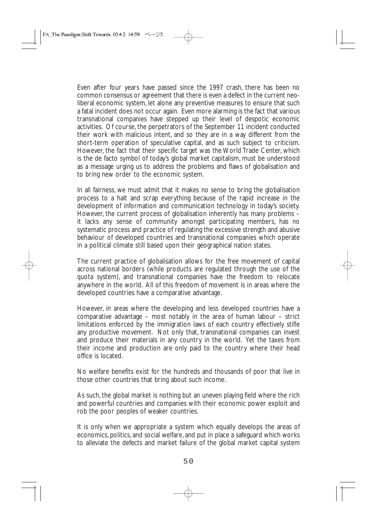Even after four years have passed since the 1997 crash, there has been no common consensus or agreement that there is even a defect in the current neoliberal economic system, let alone any preventive measures to ensure that such a fatal incident does not occur again. Even more alarming is the fact that various transnational companies have stepped up their level of despotic economic activities. Of course, the perpetrators of the September 11 incident conducted their work with malicious intent, and so they are in a way different from the short-term operation of speculative capital, and as such subject to criticism. However, the fact that their specific target was the World Trade Center, which is the de facto symbol of today's global market capitalism, must be understood as a message urging us to address the problems and flaws of globalisation and to bring new order to the economic system.

In all fairness, we must admit that it makes no sense to bring the globalisation process to a halt and scrap everything because of the rapid increase in the development of information and communication technology in today's society. However, the current process of globalisation inherently has many problems – it lacks any sense of community amongst participating members, has no systematic process and practice of regulating the excessive strength and abusive behaviour of developed countries and transnational companies which operate in a political climate still based upon their geographical nation states.

The current practice of globalisation allows for the free movement of capital across national borders (while products are regulated through the use of the quota system), and transnational companies have the freedom to relocate anywhere in the world. All of this freedom of movement is in areas where the developed countries have a comparative advantage.

However, in areas where the developing and less developed countries have a comparative advantage – most notably in the area of human labour – strict limitations enforced by the immigration laws of each country effectively stifle any productive movement. Not only that, transnational companies can invest and produce their materials in any country in the world. Yet the taxes from their income and production are only paid to the country where their head office is located.

No welfare benefits exist for the hundreds and thousands of poor that live in those other countries that bring about such income.

As such, the global market is nothing but an uneven playing field where the rich and powerful countries and companies with their economic power exploit and rob the poor peoples of weaker countries.

It is only when we appropriate a system which equally develops the areas of economics, politics, and social welfare, and put in place a safeguard which works to alleviate the defects and market failure of the global market capital system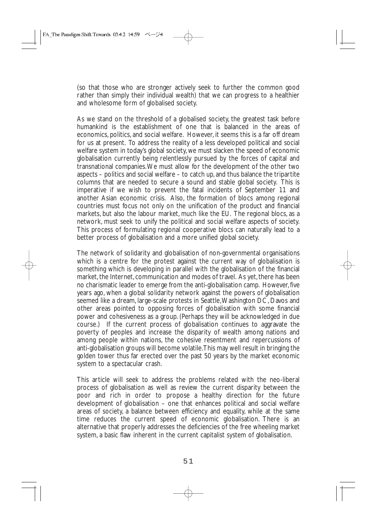(so that those who are stronger actively seek to further the common good rather than simply their individual wealth) that we can progress to a healthier and wholesome form of globalised society.

As we stand on the threshold of a globalised society, the greatest task before humankind is the establishment of one that is balanced in the areas of economics, politics, and social welfare. However, it seems this is a far off dream for us at present. To address the reality of a less developed political and social welfare system in today's global society, we must slacken the speed of economic globalisation currently being relentlessly pursued by the forces of capital and transnational companies.We must allow for the development of the other two aspects – politics and social welfare – to catch up, and thus balance the tripartite columns that are needed to secure a sound and stable global society. This is imperative if we wish to prevent the fatal incidents of September 11 and another Asian economic crisis. Also, the formation of blocs among regional countries must focus not only on the unification of the product and financial markets, but also the labour market, much like the EU. The regional blocs, as a network, must seek to unify the political and social welfare aspects of society. This process of formulating regional cooperative blocs can naturally lead to a better process of globalisation and a more unified global society.

The network of solidarity and globalisation of non-governmental organisations which is a centre for the protest against the current way of globalisation is something which is developing in parallel with the globalisation of the financial market, the Internet, communication and modes of travel. As yet, there has been no charismatic leader to emerge from the anti-globalisation camp. However, five years ago, when a global solidarity network against the powers of globalisation seemed like a dream, large-scale protests in Seattle,Washington DC, Davos and other areas pointed to opposing forces of globalisation with some financial power and cohesiveness as a group. (Perhaps they will be acknowledged in due course.) If the current process of globalisation continues to aggravate the poverty of peoples and increase the disparity of wealth among nations and among people within nations, the cohesive resentment and repercussions of anti-globalisation groups will become volatile.This may well result in bringing the golden tower thus far erected over the past 50 years by the market economic system to a spectacular crash.

This article will seek to address the problems related with the neo-liberal process of globalisation as well as review the current disparity between the poor and rich in order to propose a healthy direction for the future development of globalisation – one that enhances political and social welfare areas of society, a balance between efficiency and equality, while at the same time reduces the current speed of economic globalisation. There is an alternative that properly addresses the deficiencies of the free wheeling market system, a basic flaw inherent in the current capitalist system of globalisation.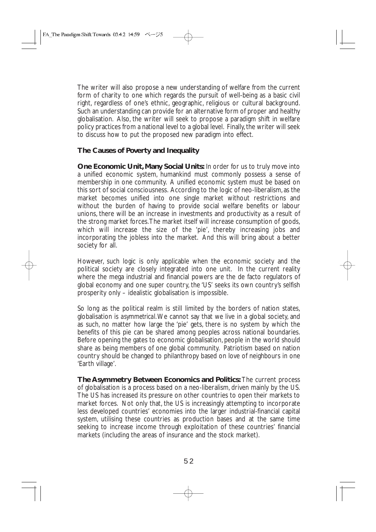The writer will also propose a new understanding of welfare from the current form of charity to one which regards the pursuit of well-being as a basic civil right, regardless of one's ethnic, geographic, religious or cultural background. Such an understanding can provide for an alternative form of proper and healthy globalisation. Also, the writer will seek to propose a paradigm shift in welfare policy practices from a national level to a global level. Finally, the writer will seek to discuss how to put the proposed new paradigm into effect.

## **The Causes of Poverty and Inequality**

**One Economic Unit, Many Social Units:** In order for us to truly move into a unified economic system, humankind must commonly possess a sense of membership in one community. A unified economic system must be based on this sort of social consciousness. According to the logic of neo-liberalism, as the market becomes unified into one single market without restrictions and without the burden of having to provide social welfare benefits or labour unions, there will be an increase in investments and productivity as a result of the strong market forces.The market itself will increase consumption of goods, which will increase the size of the 'pie', thereby increasing jobs and incorporating the jobless into the market. And this will bring about a better society for all.

However, such logic is only applicable when the economic society and the political society are closely integrated into one unit. In the current reality where the mega industrial and financial powers are the de facto regulators of global economy and one super country, the 'US' seeks its own country's selfish prosperity only – idealistic globalisation is impossible.

So long as the political realm is still limited by the borders of nation states, globalisation is *asymmetrical*.We cannot say that we live in a global society, and as such, no matter how large the 'pie' gets, there is no system by which the benefits of this pie can be shared among peoples across national boundaries. Before opening the gates to economic globalisation, people in the world should share as being members of one global community. Patriotism based on nation country should be changed to philanthropy based on love of neighbours in one 'Earth village'.

**The Asymmetry Between Economics and Politics:** The current process of globalisation is a process based on a neo-liberalism, driven mainly by the US. The US has increased its pressure on other countries to open their markets to market forces. Not only that, the US is increasingly attempting to incorporate less developed countries' economies into the larger industrial-financial capital system, utilising these countries as production bases and at the same time seeking to increase income through exploitation of these countries' financial markets (including the areas of insurance and the stock market).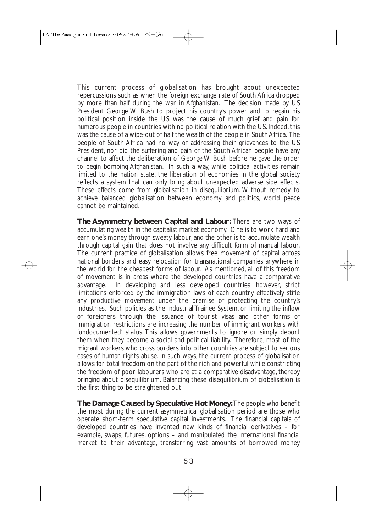This current process of globalisation has brought about unexpected repercussions such as when the foreign exchange rate of South Africa dropped by more than half during the war in Afghanistan. The decision made by US President George W Bush to project his country's power and to regain his political position inside the US was the cause of much grief and pain for numerous people in countries with no political relation with the US. Indeed, this was the cause of a wipe-out of half the wealth of the people in South Africa. The people of South Africa had no way of addressing their grievances to the US President, nor did the suffering and pain of the South African people have any channel to affect the deliberation of George W Bush before he gave the order to begin bombing Afghanistan. In such a way, while political activities remain limited to the nation state, the liberation of economies in the global society reflects a system that can only bring about unexpected adverse side effects. These effects come from globalisation in disequilibrium. Without remedy to achieve balanced globalisation between economy and politics, world peace cannot be maintained.

**The Asymmetry between Capital and Labour:** There are two ways of accumulating wealth in the capitalist market economy. One is to work hard and earn one's money through sweaty labour, and the other is to accumulate wealth through capital gain that does not involve any difficult form of manual labour. The current practice of globalisation allows free movement of capital across national borders and easy relocation for transnational companies anywhere in the world for the cheapest forms of labour. As mentioned, all of this freedom of movement is in areas where the developed countries have a comparative advantage. In developing and less developed countries, however, strict limitations enforced by the immigration laws of each country effectively stifle any productive movement under the premise of protecting the country's industries. Such policies as the Industrial Trainee System, or limiting the inflow of foreigners through the issuance of tourist visas and other forms of immigration restrictions are increasing the number of immigrant workers with 'undocumented' status. This allows governments to ignore or simply deport them when they become a social and political liability. Therefore, most of the migrant workers who cross borders into other countries are subject to serious cases of human rights abuse. In such ways, the current process of globalisation allows for total freedom on the part of the rich and powerful while constricting the freedom of poor labourers who are at a comparative disadvantage, thereby bringing about disequilibrium. Balancing these disequilibrium of globalisation is the first thing to be straightened out.

**The Damage Caused by Speculative Hot Money:**The people who benefit the most during the current asymmetrical globalisation period are those who operate short-term speculative capital investments. The financial capitals of developed countries have invented new kinds of financial derivatives – for example, swaps, futures, options – and manipulated the international financial market to their advantage, transferring vast amounts of borrowed money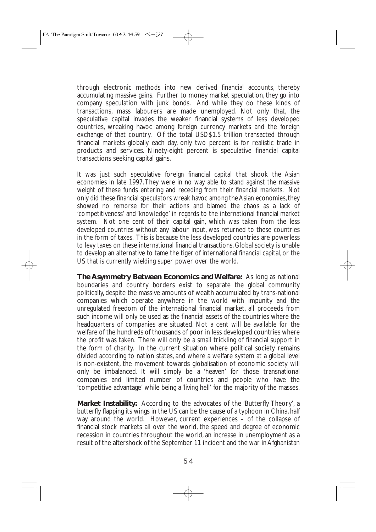through electronic methods into new derived financial accounts, thereby accumulating massive gains. Further to money market speculation, they go into company speculation with junk bonds. And while they do these kinds of transactions, mass labourers are made unemployed. Not only that, the speculative capital invades the weaker financial systems of less developed countries, wreaking havoc among foreign currency markets and the foreign exchange of that country. Of the total USD\$1.5 trillion transacted through financial markets globally each day, only two percent is for realistic trade in products and services. Ninety-eight percent is speculative financial capital transactions seeking capital gains.

It was just such speculative foreign financial capital that shook the Asian economies in late 1997.They were in no way able to stand against the massive weight of these funds entering and receding from their financial markets. Not only did these financial speculators wreak havoc among the Asian economies, they showed no remorse for their actions and blamed the chaos as a lack of 'competitiveness' and 'knowledge' in regards to the international financial market system. Not one cent of their capital gain, which was taken from the less developed countries without any labour input, was returned to these countries in the form of taxes. This is because the less developed countries are powerless to levy taxes on these international financial transactions. Global society is unable to develop an alternative to tame the tiger of international financial capital, or the US that is currently wielding super power over the world.

**The Asymmetry Between Economics and Welfare:** As long as national boundaries and country borders exist to separate the global community politically, despite the massive amounts of wealth accumulated by trans-national companies which operate anywhere in the world with impunity and the unregulated freedom of the international financial market, all proceeds from such income will only be used as the financial assets of the countries where the headquarters of companies are situated. Not a cent will be available for the welfare of the hundreds of thousands of poor in less developed countries where the profit was taken. There will only be a small trickling of financial support in the form of charity. In the current situation where political society remains divided according to nation states, and where a welfare system at a global level is non-existent, the movement towards globalisation of economic society will only be imbalanced. It will simply be a 'heaven' for those transnational companies and limited number of countries and people who have the 'competitive advantage' while being a 'living hell' for the majority of the masses.

**Market Instability:** According to the advocates of the 'Butterfly Theory', a butterfly flapping its wings in the US can be the cause of a typhoon in China, half way around the world. However, current experiences – of the collapse of financial stock markets all over the world, the speed and degree of economic recession in countries throughout the world, an increase in unemployment as a result of the aftershock of the September 11 incident and the war in Afghanistan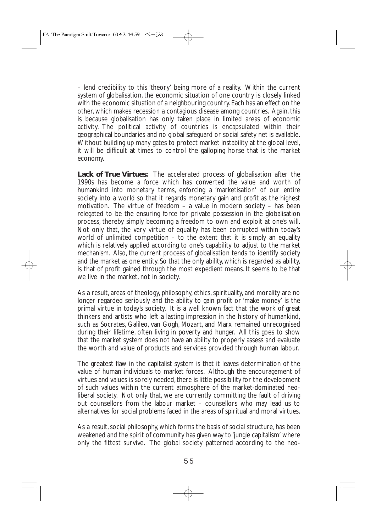– lend credibility to this 'theory' being more of a reality. Within the current system of globalisation, the economic situation of one country is closely linked with the economic situation of a neighbouring country. Each has an effect on the other, which makes recession a contagious disease among countries. Again, this is because globalisation has only taken place in limited areas of economic activity. The political activity of countries is encapsulated within their geographical boundaries and no global safeguard or social safety net is available. Without building up many gates to protect market instability at the global level, it will be difficult at times to control the galloping horse that is the market economy.

**Lack of True Virtues:** The accelerated process of globalisation after the 1990s has become a force which has converted the value and worth of humankind into monetary terms, enforcing a 'marketisation' of our entire society into a world so that it regards monetary gain and profit as the highest motivation. The virtue of freedom – a value in modern society – has been relegated to be the ensuring force for private possession in the globalisation process, thereby simply becoming a freedom to own and exploit at one's will. Not only that, the very virtue of equality has been corrupted within today's world of unlimited competition – to the extent that it is simply an equality which is relatively applied according to one's capability to adjust to the market mechanism. Also, the current process of globalisation tends to identify society and the market as one entity. So that the only ability, which is regarded as ability, is that of profit gained through the most expedient means. It seems to be that we live in the market, not in society.

As a result, areas of theology, philosophy, ethics, spirituality, and morality are no longer regarded seriously and the ability to gain profit or 'make money' is the primal virtue in today's society. It is a well known fact that the work of great thinkers and artists who left a lasting impression in the history of humankind, such as Socrates, Galileo, van Gogh, Mozart, and Marx remained unrecognised during their lifetime, often living in poverty and hunger. All this goes to show that the market system does not have an ability to properly assess and evaluate the worth and value of products and services provided through human labour.

The greatest flaw in the capitalist system is that it leaves determination of the value of human individuals to market forces. Although the encouragement of virtues and values is sorely needed, there is little possibility for the development of such values within the current atmosphere of the market-dominated neoliberal society. Not only that, we are currently committing the fault of driving out counsellors from the labour market – counsellors who may lead us to alternatives for social problems faced in the areas of spiritual and moral virtues.

As a result, social philosophy, which forms the basis of social structure, has been weakened and the spirit of community has given way to 'jungle capitalism' where only the fittest survive. The global society patterned according to the neo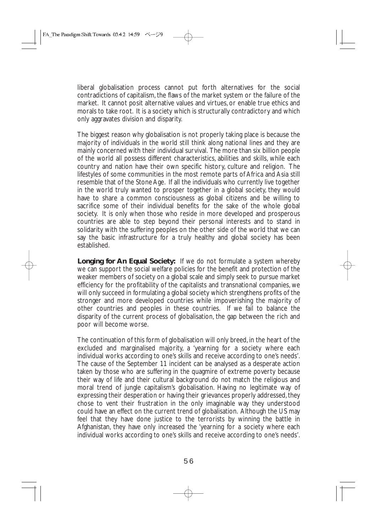liberal globalisation process cannot put forth alternatives for the social contradictions of capitalism, the flaws of the market system or the failure of the market. It cannot posit alternative values and virtues, or enable true ethics and morals to take root. It is a society which is structurally contradictory and which only aggravates division and disparity.

The biggest reason why globalisation is not properly taking place is because the majority of individuals in the world still think along national lines and they are mainly concerned with their individual survival. The more than six billion people of the world all possess different characteristics, abilities and skills, while each country and nation have their own specific history, culture and religion. The lifestyles of some communities in the most remote parts of Africa and Asia still resemble that of the Stone Age. If all the individuals who currently live together in the world truly wanted to prosper together in a global society, they would have to share a common consciousness as global citizens and be willing to sacrifice some of their individual benefits for the sake of the whole global society. It is only when those who reside in more developed and prosperous countries are able to step beyond their personal interests and to stand in solidarity with the suffering peoples on the other side of the world that we can say the basic infrastructure for a truly healthy and global society has been established.

**Longing for An Equal Society:** If we do not formulate a system whereby we can support the social welfare policies for the benefit and protection of the weaker members of society on a global scale and simply seek to pursue market efficiency for the profitability of the capitalists and transnational companies, we will only succeed in formulating a global society which strengthens profits of the stronger and more developed countries while impoverishing the majority of other countries and peoples in these countries. If we fail to balance the disparity of the current process of globalisation, the gap between the rich and poor will become worse.

The continuation of this form of globalisation will only breed, in the heart of the excluded and marginalised majority, a 'yearning for a society where each individual works according to one's skills and receive according to one's needs'. The cause of the September 11 incident can be analysed as a desperate action taken by those who are suffering in the quagmire of extreme poverty because their way of life and their cultural background do not match the religious and moral trend of jungle capitalism's globalisation. Having no legitimate way of expressing their desperation or having their grievances properly addressed, they chose to vent their frustration in the only imaginable way they understood could have an effect on the current trend of globalisation. Although the US may feel that they have done justice to the terrorists by winning the battle in Afghanistan, they have only increased the 'yearning for a society where each individual works according to one's skills and receive according to one's needs'.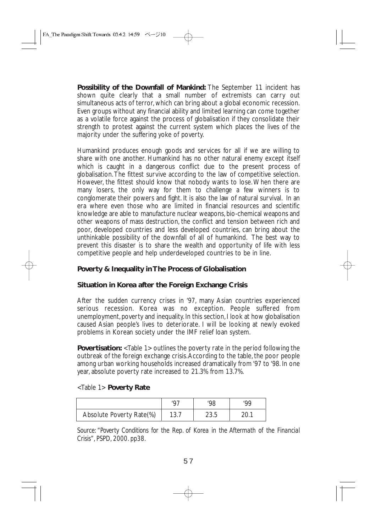**Possibility of the Downfall of Mankind:** The September 11 incident has shown quite clearly that a small number of extremists can carry out simultaneous acts of terror, which can bring about a global economic recession. Even groups without any financial ability and limited learning can come together as a volatile force against the process of globalisation if they consolidate their strength to protest against the current system which places the lives of the majority under the suffering yoke of poverty.

Humankind produces enough goods and services for all if we are willing to share with one another. Humankind has no other natural enemy except itself which is caught in a dangerous conflict due to the present process of globalisation.The fittest survive according to the law of competitive selection. However, the fittest should know that nobody wants to lose.When there are many losers, the only way for them to challenge a few winners is to conglomerate their powers and fight. It is also the law of natural survival. In an era where even those who are limited in financial resources and scientific knowledge are able to manufacture nuclear weapons, bio-chemical weapons and other weapons of mass destruction, the conflict and tension between rich and poor, developed countries and less developed countries, can bring about the unthinkable possibility of the downfall of all of humankind. The best way to prevent this disaster is to share the wealth and opportunity of life with less competitive people and help underdeveloped countries to be in line.

## **Poverty & Inequality in The Process of Globalisation**

## **Situation in Korea after the Foreign Exchange Crisis**

After the sudden currency crises in '97, many Asian countries experienced serious recession. Korea was no exception. People suffered from unemployment, poverty and inequality. In this section, I look at how globalisation caused Asian people's lives to deteriorate. I will be looking at newly evoked problems in Korean society under the IMF relief loan system.

**Povertisation:** <Table 1> outlines the poverty rate in the period following the outbreak of the foreign exchange crisis.According to the table, the poor people among urban working households increased dramatically from '97 to '98. In one year, absolute poverty rate increased to 21.3% from 13.7%.

#### <Table 1> **Poverty Rate**

| Absolute Poverty Rate(%) | 1 J.I | 23.5 |  |
|--------------------------|-------|------|--|

*Source: "Poverty Conditions for the Rep. of Korea in the Aftermath of the Financial Crisis", PSPD, 2000. pp38.*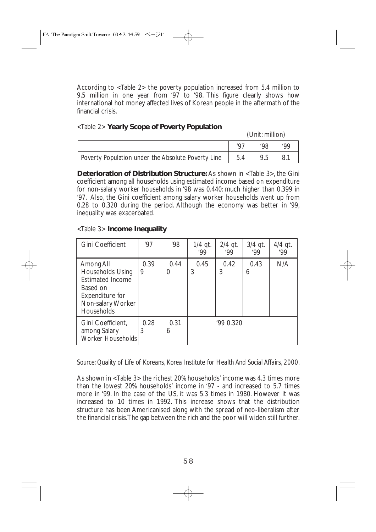According to <Table 2> the poverty population increased from 5.4 million to 9.5 million in one year from '97 to '98. This figure clearly shows how international hot money affected lives of Korean people in the aftermath of the financial crisis.

## <Table 2> **Yearly Scope of Poverty Population**

(Unit: million)

|                                                    | רמי | '98 | ٥Q، |
|----------------------------------------------------|-----|-----|-----|
| Poverty Population under the Absolute Poverty Line | 5.4 | 9.5 | 8.  |

**Deterioration of Distribution Structure:** As shown in <Table 3>, the Gini coefficient among all households using estimated income based on expenditure for non-salary worker households in '98 was 0.440: much higher than 0.399 in '97. Also, the Gini coefficient among salary worker households went up from 0.28 to 0.320 during the period. Although the economy was better in '99, inequality was exacerbated.

#### <Table 3> **Income Inequality**

| Gini Coefficient                                                                                                                         | '97       | '98       | $1/4$ qt.<br>99' | $2/4$ qt.<br>99' | $3/4$ qt.<br>99' | $4/4$ qt.<br>.99 |
|------------------------------------------------------------------------------------------------------------------------------------------|-----------|-----------|------------------|------------------|------------------|------------------|
| Among All<br><b>Households Using</b><br><b>Estimated Income</b><br>Based on<br>Expenditure for<br>Non-salary Worker<br><b>Households</b> | 0.39<br>9 | 0.44<br>0 | 0.45<br>3        | 0.42<br>3        | 0.43<br>6        | N/A              |
| Gini Coefficient,<br>among Salary<br>Worker Households                                                                                   | 0.28<br>3 | 0.31<br>6 |                  | '990.320         |                  |                  |

*Source: Quality of Life of Koreans, Korea Institute for Health And Social Affairs, 2000.*

As shown in <Table 3> the richest 20% households' income was 4.3 times more than the lowest 20% households' income in '97 - and increased to 5.7 times more in '99. In the case of the US, it was 5.3 times in 1980. However it was increased to 10 times in 1992. This increase shows that the distribution structure has been Americanised along with the spread of neo-liberalism after the financial crisis.The gap between the rich and the poor will widen still further.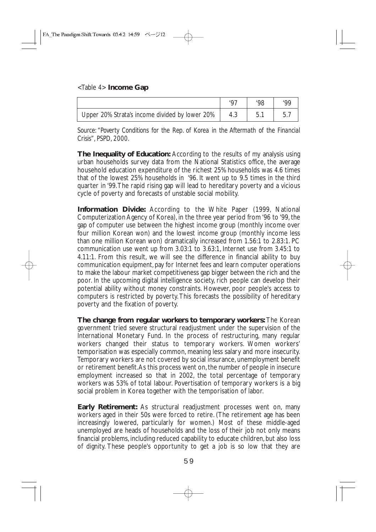## <Table 4> **Income Gap**

| Upper 20% Strata's income divided by lower 20% | b.1 |  |
|------------------------------------------------|-----|--|

*Source: "Poverty Conditions for the Rep. of Korea in the Aftermath of the Financial Crisis", PSPD, 2000.*

**The Inequality of Education:** According to the results of my analysis using urban households survey data from the National Statistics office, the average household education expenditure of the richest 25% households was 4.6 times that of the lowest 25% households in '96. It went up to 9.5 times in the third quarter in '99.The rapid rising gap will lead to hereditary poverty and a vicious cycle of poverty and forecasts of unstable social mobility.

**Information Divide:** According to the White Paper (1999, National Computerization Agency of Korea), in the three year period from '96 to '99, the gap of computer use between the highest income group (monthly income over four million Korean won) and the lowest income group (monthly income less than one million Korean won) dramatically increased from 1.56:1 to 2.83:1. PC communication use went up from 3.03:1 to 3.63:1, Internet use from 3.45:1 to 4.11:1. From this result, we will see the difference in financial ability to buy communication equipment, pay for Internet fees and learn computer operations to make the labour market competitiveness gap bigger between the rich and the poor. In the upcoming digital intelligence society, rich people can develop their potential ability without money constraints. However, poor people's access to computers is restricted by poverty.This forecasts the possibility of hereditary poverty and the fixation of poverty.

**The change from regular workers to temporary workers:** The Korean government tried severe structural readjustment under the supervision of the International Monetary Fund. In the process of restructuring, many regular workers changed their status to temporary workers. Women workers' temporisation was especially common, meaning less salary and more insecurity. Temporary workers are not covered by social insurance, unemployment benefit or retirement benefit.As this process went on, the number of people in insecure employment increased so that in 2002, the total percentage of temporary workers was 53% of total labour. Povertisation of temporary workers is a big social problem in Korea together with the temporisation of labor.

**Early Retirement:** As structural readjustment processes went on, many workers aged in their 50s were forced to retire. (The retirement age has been increasingly lowered, particularly for women.) Most of these middle-aged unemployed are heads of households and the loss of their job not only means financial problems, including reduced capability to educate children, but also loss of dignity. These people's opportunity to get a job is so low that they are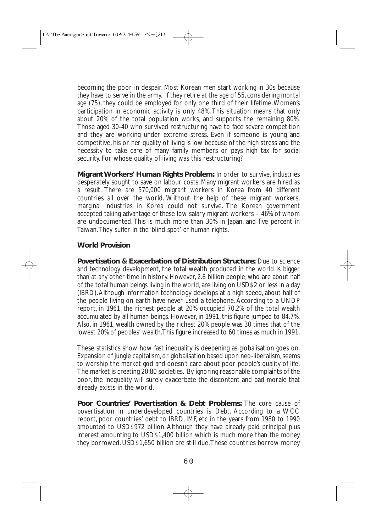becoming the poor in despair. Most Korean men start working in 30s because they have to serve in the army. If they retire at the age of 55, considering mortal age (75), they could be employed for only one third of their lifetime.Women's participation in economic activity is only 48%. This situation means that only about 20% of the total population works, and supports the remaining 80%. Those aged 30-40 who survived restructuring have to face severe competition and they are working under extreme stress. Even if someone is young and competitive, his or her quality of living is low because of the high stress and the necessity to take care of many family members or pays high tax for social security. For whose quality of living was this restructuring?

**Migrant Workers' Human Rights Problem:** In order to survive, industries desperately sought to save on labour costs. Many migrant workers are hired as a result. There are 570,000 migrant workers in Korea from 40 different countries all over the world. Without the help of these migrant workers, marginal industries in Korea could not survive. The Korean government accepted taking advantage of these low salary migrant workers – 46% of whom are undocumented. This is much more than 30% in Japan, and five percent in Taiwan.They suffer in the 'blind spot' of human rights.

## **World Provision**

**Povertisation & Exacerbation of Distribution Structure:** Due to science and technology development, the total wealth produced in the world is bigger than at any other time in history. However, 2.8 billion people, who are about half of the total human beings living in the world, are living on USD\$2 or less in a day (IBRD).Although information technology develops at a high speed, about half of the people living on earth have never used a telephone. According to a UNDP report, in 1961, the richest people at 20% occupied 70.2% of the total wealth accumulated by all human beings. However, in 1991, this figure jumped to 84.7%. Also, in 1961, wealth owned by the richest 20% people was 30 times that of the lowest 20% of peoples' wealth.This figure increased to 60 times as much in 1991.

These statistics show how fast inequality is deepening as globalisation goes on. Expansion of jungle capitalism, or globalisation based upon neo-liberalism, seems to worship the market god and doesn't care about poor people's quality of life. The market is creating 20:80 societies. By ignoring reasonable complaints of the poor, the inequality will surely exacerbate the discontent and bad morale that already exists in the world.

**Poor Countries' Povertisation & Debt Problems:** The core cause of povertisation in underdeveloped countries is Debt. According to a WCC report, poor countries' debt to IBRD, IMF, etc in the years from 1980 to 1990 amounted to USD\$972 billion. Although they have already paid principal plus interest amounting to USD\$1,400 billion which is much more than the money they borrowed, USD\$1,650 billion are still due.These countries borrow money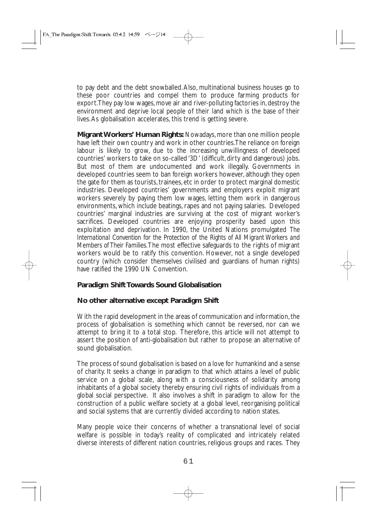to pay debt and the debt snowballed.Also, multinational business houses go to these poor countries and compel them to produce farming products for export.They pay low wages, move air and river-polluting factories in, destroy the environment and deprive local people of their land which is the base of their lives.As globalisation accelerates, this trend is getting severe.

**Migrant Workers' Human Rights:** Nowadays, more than one million people have left their own country and work in other countries.The reliance on foreign labour is likely to grow, due to the increasing unwillingness of developed countries' workers to take on so-called '3D' (difficult, dirty and dangerous) jobs. But most of them are undocumented and work illegally. Governments in developed countries seem to ban foreign workers however, although they open the gate for them as tourists, trainees, etc in order to protect marginal domestic industries. Developed countries' governments and employers exploit migrant workers severely by paying them low wages, letting them work in dangerous environments, which include beatings, rapes and not paying salaries. Developed countries' marginal industries are surviving at the cost of migrant worker's sacrifices. Developed countries are enjoying prosperity based upon this exploitation and deprivation. In 1990, the United Nations promulgated *The International Convention for the Protection of the Rights of All Migrant Workers and Members of Their Families*.The most effective safeguards to the rights of migrant workers would be to ratify this convention. However, not a single developed country (which consider themselves civilised and guardians of human rights) have ratified the 1990 UN Convention.

## **Paradigm Shift Towards Sound Globalisation**

## **No other alternative except Paradigm Shift**

With the rapid development in the areas of communication and information, the process of globalisation is something which cannot be reversed, nor can we attempt to bring it to a total stop. Therefore, this article will not attempt to assert the position of anti-globalisation but rather to propose an alternative of sound globalisation.

The process of sound globalisation is based on a love for humankind and a sense of charity. It seeks a change in paradigm to that which attains a level of public service on a global scale, along with a consciousness of solidarity among inhabitants of a global society thereby ensuring civil rights of individuals from a global social perspective. It also involves a shift in paradigm to allow for the construction of a public welfare society at a global level, reorganising political and social systems that are currently divided according to nation states.

Many people voice their concerns of whether a transnational level of social welfare is possible in today's reality of complicated and intricately related diverse interests of different nation countries, religious groups and races. They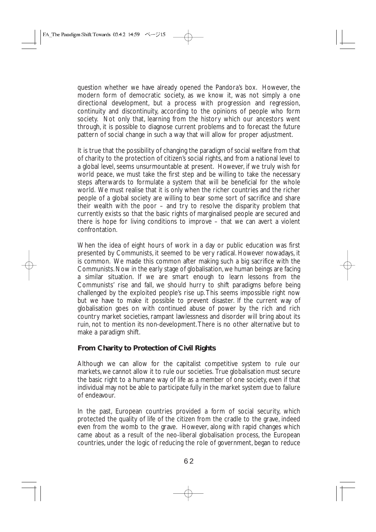question whether we have already opened the Pandora's box. However, the modern form of democratic society, as we know it, was not simply a one directional development, but a process with progression and regression, continuity and discontinuity, according to the opinions of people who form society. Not only that, learning from the history which our ancestors went through, it is possible to diagnose current problems and to forecast the future pattern of social change in such a way that will allow for proper adjustment.

It is true that the possibility of changing the paradigm of social welfare from that of charity to the protection of citizen's social rights, and from a national level to a global level, seems unsurmountable at present. However, if we truly wish for world peace, we must take the first step and be willing to take the necessary steps afterwards to formulate a system that will be beneficial for the whole world. We must realise that it is only when the richer countries and the richer people of a global society are willing to bear some sort of sacrifice and share their wealth with the poor – and try to resolve the disparity problem that currently exists so that the basic rights of marginalised people are secured and there is hope for living conditions to improve – that we can avert a violent confrontation.

When the idea of eight hours of work in a day or public education was first presented by Communists, it seemed to be very radical. However nowadays, it is common. We made this common after making such a big sacrifice with the Communists. Now in the early stage of globalisation, we human beings are facing a similar situation. If we are smart enough to learn lessons from the Communists' rise and fall, we should hurry to shift paradigms before being challenged by the exploited people's rise up. This seems impossible right now but we have to make it possible to prevent disaster. If the current way of globalisation goes on with continued abuse of power by the rich and rich country market societies, rampant lawlessness and disorder will bring about its ruin, not to mention its non-development.There is no other alternative but to make a paradigm shift.

## **From Charity to Protection of Civil Rights**

Although we can allow for the capitalist competitive system to rule our markets, we cannot allow it to rule our societies. True globalisation must secure the basic right to a humane way of life as a member of one society, even if that individual may not be able to participate fully in the market system due to failure of endeavour.

In the past, European countries provided a form of social security, which protected the quality of life of the citizen from the cradle to the grave, indeed even from the womb to the grave. However, along with rapid changes which came about as a result of the neo-liberal globalisation process, the European countries, under the logic of reducing the role of government, began to reduce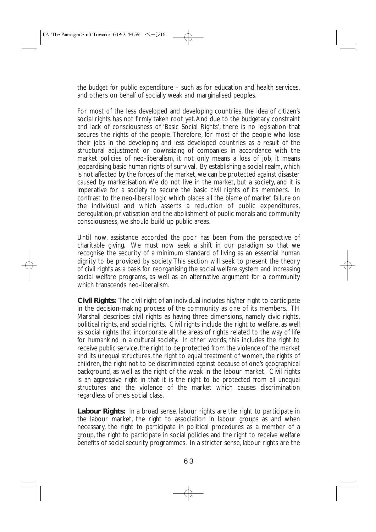the budget for public expenditure – such as for education and health services, and others on behalf of socially weak and marginalised peoples.

For most of the less developed and developing countries, the idea of citizen's social rights has not firmly taken root yet.And due to the budgetary constraint and lack of consciousness of 'Basic Social Rights', there is no legislation that secures the rights of the people. Therefore, for most of the people who lose their jobs in the developing and less developed countries as a result of the structural adjustment or downsizing of companies in accordance with the market policies of neo-liberalism, it not only means a loss of job, it means jeopardising basic human rights of survival. By establishing a social realm, which is not affected by the forces of the market, we can be protected against disaster caused by marketisation.We do not live in the market, but a society, and it is imperative for a society to secure the basic civil rights of its members. In contrast to the neo-liberal logic which places all the blame of market failure on the individual and which asserts a reduction of public expenditures, deregulation, privatisation and the abolishment of public morals and community consciousness, we should build up public areas.

Until now, assistance accorded the poor has been from the perspective of charitable giving. We must now seek a shift in our paradigm so that we recognise the security of a minimum standard of living as an essential human dignity to be provided by society.This section will seek to present the theory of civil rights as a basis for reorganising the social welfare system and increasing social welfare programs, as well as an alternative argument for a community which transcends neo-liberalism.

**Civil Rights:** The civil right of an individual includes his/her right to participate in the decision-making process of the community as one of its members. TH Marshall describes civil rights as having three dimensions, namely civic rights, political rights, and social rights. Civil rights include the right to welfare, as well as social rights that incorporate all the areas of rights related to the way of life for humankind in a cultural society. In other words, this includes the right to receive public service, the right to be protected from the violence of the market and its unequal structures, the right to equal treatment of women, the rights of children, the right not to be discriminated against because of one's geographical background, as well as the right of the weak in the labour market. Civil rights is an aggressive right in that it is the right to be protected from all unequal structures and the violence of the market which causes discrimination regardless of one's social class.

Labour Rights: In a broad sense, labour rights are the right to participate in the labour market, the right to association in labour groups as and when necessary, the right to participate in political procedures as a member of a group, the right to participate in social policies and the right to receive welfare benefits of social security programmes. In a stricter sense, labour rights are the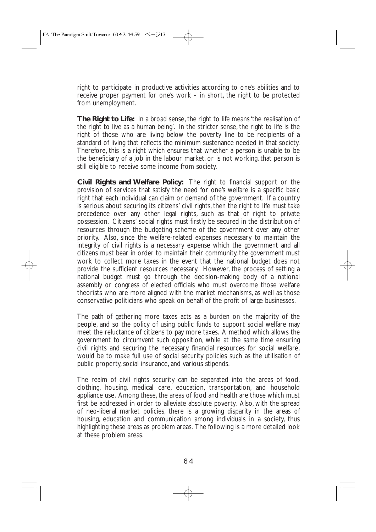right to participate in productive activities according to one's abilities and to receive proper payment for one's work – in short, the right to be protected from unemployment.

**The Right to Life:** In a broad sense, the right to life means 'the realisation of the right to live as a human being'. In the stricter sense, the right to life is the right of those who are living below the poverty line to be recipients of a standard of living that reflects the minimum sustenance needed in that society. Therefore, this is a right which ensures that whether a person is unable to be the beneficiary of a job in the labour market, or is not working, that person is still eligible to receive some income from society.

**Civil Rights and Welfare Policy:** The right to financial support or the provision of services that satisfy the need for one's welfare is a specific basic right that each individual can claim or demand of the government. If a country is serious about securing its citizens' civil rights, then the right to life must take precedence over any other legal rights, such as that of right to private possession. Citizens' social rights must firstly be secured in the distribution of resources through the budgeting scheme of the government over any other priority. Also, since the welfare-related expenses necessary to maintain the integrity of civil rights is a necessary expense which the government and all citizens must bear in order to maintain their community, the government must work to collect more taxes in the event that the national budget does not provide the sufficient resources necessary. However, the process of setting a national budget must go through the decision-making body of a national assembly or congress of elected officials who must overcome those welfare theorists who are more aligned with the market mechanisms, as well as those conservative politicians who speak on behalf of the profit of large businesses.

The path of gathering more taxes acts as a burden on the majority of the people, and so the policy of using public funds to support social welfare may meet the reluctance of citizens to pay more taxes. A method which allows the government to circumvent such opposition, while at the same time ensuring civil rights and securing the necessary financial resources for social welfare, would be to make full use of social security policies such as the utilisation of public property, social insurance, and various stipends.

The realm of civil rights security can be separated into the areas of food, clothing, housing, medical care, education, transportation, and household appliance use. Among these, the areas of food and health are those which must first be addressed in order to alleviate absolute poverty. Also, with the spread of neo-liberal market policies, there is a growing disparity in the areas of housing, education and communication among individuals in a society, thus highlighting these areas as problem areas. The following is a more detailed look at these problem areas.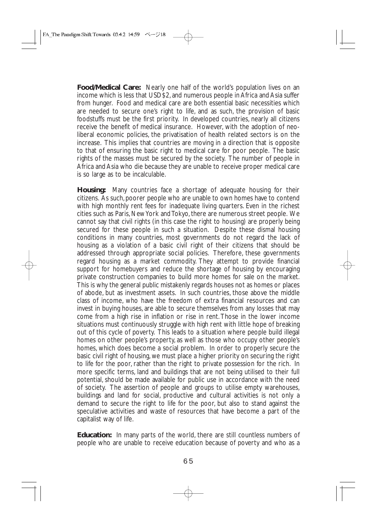**Food/Medical Care:** Nearly one half of the world's population lives on an income which is less that USD\$2, and numerous people in Africa and Asia suffer from hunger. Food and medical care are both essential basic necessities which are needed to secure one's right to life, and as such, the provision of basic foodstuffs must be the first priority. In developed countries, nearly all citizens receive the benefit of medical insurance. However, with the adoption of neoliberal economic policies, the privatisation of health related sectors is on the increase. This implies that countries are moving in a direction that is opposite to that of ensuring the basic right to medical care for poor people. The basic rights of the masses must be secured by the society. The number of people in Africa and Asia who die because they are unable to receive proper medical care is so large as to be incalculable.

**Housing:** Many countries face a shortage of adequate housing for their citizens. As such, poorer people who are unable to own homes have to contend with high monthly rent fees for inadequate living quarters. Even in the richest cities such as Paris, New York and Tokyo, there are numerous street people. We cannot say that civil rights (in this case the right to housing) are properly being secured for these people in such a situation. Despite these dismal housing conditions in many countries, most governments do not regard the lack of housing as a violation of a basic civil right of their citizens that should be addressed through appropriate social policies. Therefore, these governments regard housing as a market commodity. They attempt to provide financial support for homebuyers and reduce the shortage of housing by encouraging private construction companies to build more homes for sale on the market. This is why the general public mistakenly regards houses not as homes or places of abode, but as investment assets. In such countries, those above the middle class of income, who have the freedom of extra financial resources and can invest in buying houses, are able to secure themselves from any losses that may come from a high rise in inflation or rise in rent. Those in the lower income situations must continuously struggle with high rent with little hope of breaking out of this cycle of poverty. This leads to a situation where people build illegal homes on other people's property, as well as those who occupy other people's homes, which does become a social problem. In order to properly secure the basic civil right of housing, we must place a higher priority on securing the right to life for the poor, rather than the right to private possession for the rich. In more specific terms, land and buildings that are not being utilised to their full potential, should be made available for public use in accordance with the need of society. The assertion of people and groups to utilise empty warehouses, buildings and land for social, productive and cultural activities is not only a demand to secure the right to life for the poor, but also to stand against the speculative activities and waste of resources that have become a part of the capitalist way of life.

**Education:** In many parts of the world, there are still countless numbers of people who are unable to receive education because of poverty and who as a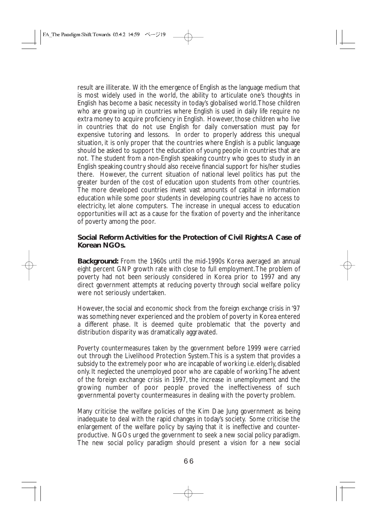result are illiterate. With the emergence of English as the language medium that is most widely used in the world, the ability to articulate one's thoughts in English has become a basic necessity in today's globalised world.Those children who are growing up in countries where English is used in daily life require no extra money to acquire proficiency in English. However, those children who live in countries that do not use English for daily conversation must pay for expensive tutoring and lessons. In order to properly address this unequal situation, it is only proper that the countries where English is a public language should be asked to support the education of young people in countries that are not. The student from a non-English speaking country who goes to study in an English speaking country should also receive financial support for his/her studies there. However, the current situation of national level politics has put the greater burden of the cost of education upon students from other countries. The more developed countries invest vast amounts of capital in information education while some poor students in developing countries have no access to electricity, let alone computers. The increase in unequal access to education opportunities will act as a cause for the fixation of poverty and the inheritance of poverty among the poor.

## **Social Reform Activities for the Protection of Civil Rights:A Case of Korean NGOs.**

**Background:** From the 1960s until the mid-1990s Korea averaged an annual eight percent GNP growth rate with close to full employment.The problem of poverty had not been seriously considered in Korea prior to 1997 and any direct government attempts at reducing poverty through social welfare policy were not seriously undertaken.

However, the social and economic shock from the foreign exchange crisis in '97 was something never experienced and the problem of poverty in Korea entered a different phase. It is deemed quite problematic that the poverty and distribution disparity was dramatically aggravated.

Poverty countermeasures taken by the government before 1999 were carried out through the Livelihood Protection System.This is a system that provides a subsidy to the extremely poor who are incapable of working i.e. elderly, disabled only. It neglected the unemployed poor who are capable of working.The advent of the foreign exchange crisis in 1997, the increase in unemployment and the growing number of poor people proved the ineffectiveness of such governmental poverty countermeasures in dealing with the poverty problem.

Many criticise the welfare policies of the Kim Dae Jung government as being inadequate to deal with the rapid changes in today's society. Some criticise the enlargement of the welfare policy by saying that it is ineffective and counterproductive. NGOs urged the government to seek a new social policy paradigm. The new social policy paradigm should present a vision for a new social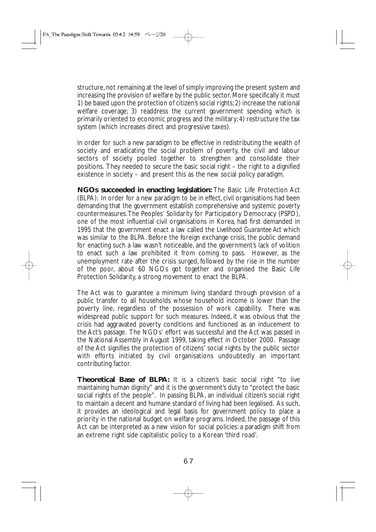structure, not remaining at the level of simply improving the present system and increasing the provision of welfare by the public sector. More specifically it must 1) be based upon the protection of citizen's social rights; 2) increase the national welfare coverage; 3) readdress the current government spending which is primarily oriented to economic progress and the military; 4) restructure the tax system (which increases direct and progressive taxes).

In order for such a new paradigm to be effective in redistributing the wealth of society and eradicating the social problem of poverty, the civil and labour sectors of society pooled together to strengthen and consolidate their positions. They needed to secure the basic social right – the right to a dignified existence in society – and present this as the new social policy paradigm.

**NGOs succeeded in enacting legislation:** The Basic Life Protection Act (BLPA): In order for a new paradigm to be in effect, civil organisations had been demanding that the government establish comprehensive and systemic poverty countermeasures.The Peoples' Solidarity for Participatory Democracy (PSPD), one of the most influential civil organisations in Korea, had first demanded in 1995 that the government enact a law called the *Livelihood Guarantee Act* which was similar to the BLPA. Before the foreign exchange crisis, the public demand for enacting such a law wasn't noticeable, and the government's lack of volition to enact such a law prohibited it from coming to pass. However, as the unemployment rate after the crisis surged, followed by the rise in the number of the poor, about 60 NGOs got together and organised the Basic Life Protection Solidarity, a strong movement to enact the BLPA.

The Act was to guarantee a minimum living standard through provision of a public transfer to all households whose household income is lower than the poverty line, regardless of the possession of work capability. There was widespread public support for such measures. Indeed, it was obvious that the crisis had aggravated poverty conditions and functioned as an inducement to the Act's passage. The NGOs' effort was successful and the Act was passed in the National Assembly in August 1999, taking effect in October 2000. Passage of the Act signifies the protection of citizens' social rights by the public sector with efforts initiated by civil organisations undoubtedly an important contributing factor.

**Theoretical Base of BLPA:** It is a citizen's basic social right "to live maintaining human dignity" and it is the government's duty to "protect the basic social rights of the people". In passing BLPA, an individual citizen's social right to maintain a decent and humane standard of living had been legalised. As such, it provides an ideological and legal basis for government policy to place a priority in the national budget on welfare programs. Indeed, the passage of this Act can be interpreted as a new vision for social policies: a paradigm shift from an extreme right side capitalistic policy to a Korean 'third road'.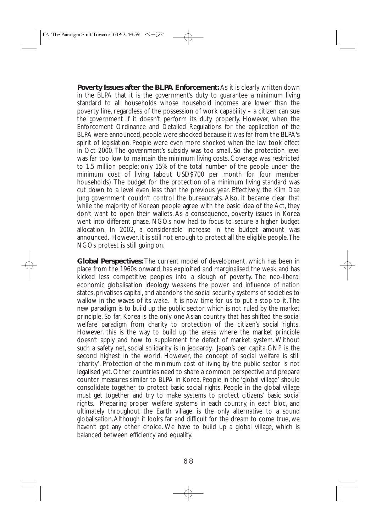**Poverty Issues after the BLPA Enforcement:** As it is clearly written down in the BLPA that it is the government's duty to guarantee a minimum living standard to all households whose household incomes are lower than the poverty line, regardless of the possession of work capability – a citizen can sue the government if it doesn't perform its duty properly. However, when the Enforcement Ordinance and Detailed Regulations for the application of the BLPA were announced, people were shocked because it was far from the BLPA's spirit of legislation. People were even more shocked when the law took effect in Oct 2000.The government's subsidy was too small. So the protection level was far too low to maintain the minimum living costs. Coverage was restricted to 1.5 million people: only 15% of the total number of the people under the minimum cost of living (about USD\$700 per month for four member households). The budget for the protection of a minimum living standard was cut down to a level even less than the previous year. Effectively, the Kim Dae Jung government couldn't control the bureaucrats. Also, it became clear that while the majority of Korean people agree with the basic idea of the Act, they don't want to open their wallets. As a consequence, poverty issues in Korea went into different phase. NGOs now had to focus to secure a higher budget allocation. In 2002, a considerable increase in the budget amount was announced. However, it is still not enough to protect all the eligible people.The NGOs protest is still going on.

**Global Perspectives:** The current model of development, which has been in place from the 1960s onward, has exploited and marginalised the weak and has kicked less competitive peoples into a slough of poverty. The neo-liberal economic globalisation ideology weakens the power and influence of nation states, privatises capital, and abandons the social security systems of societies to wallow in the waves of its wake. It is now time for us to put a stop to it.The new paradigm is to build up the public sector, which is not ruled by the market principle. So far, Korea is the only one Asian country that has shifted the social welfare paradigm from charity to protection of the citizen's social rights. However, this is the way to build up the areas where the market principle doesn't apply and how to supplement the defect of market system. Without such a safety net, social solidarity is in jeopardy. Japan's per capita GNP is the second highest in the world. However, the concept of social welfare is still 'charity'. Protection of the minimum cost of living by the public sector is not legalised yet. Other countries need to share a common perspective and prepare counter measures similar to BLPA in Korea. People in the 'global village' should consolidate together to protect basic social rights. People in the global village must get together and try to make systems to protect citizens' basic social rights. Preparing proper welfare systems in each country, in each bloc, and ultimately throughout the Earth village, is the only alternative to a sound globalisation.Although it looks far and difficult for the dream to come true, we haven't got any other choice. We have to build up a global village, which is balanced between efficiency and equality.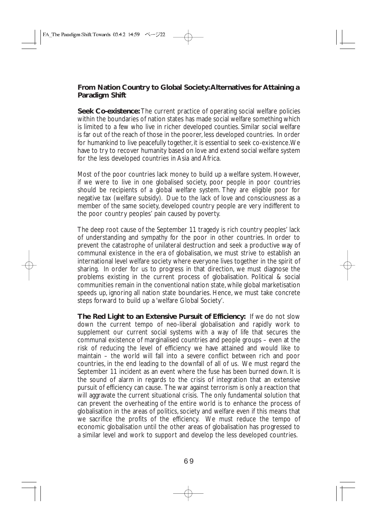#### **From Nation Country to Global Society:Alternatives for Attaining a Paradigm Shift**

**Seek Co-existence:** The current practice of operating social welfare policies within the boundaries of nation states has made social welfare something which is limited to a few who live in richer developed counties. Similar social welfare is far out of the reach of those in the poorer, less developed countries. In order for humankind to live peacefully together, it is essential to seek co-existence.We have to try to recover humanity based on love and extend social welfare system for the less developed countries in Asia and Africa.

Most of the poor countries lack money to build up a welfare system. However, if we were to live in one globalised society, poor people in poor countries should be recipients of a global welfare system. They are eligible poor for negative tax (welfare subsidy). Due to the lack of love and consciousness as a member of the same society, developed country people are very indifferent to the poor country peoples' pain caused by poverty.

The deep root cause of the September 11 tragedy is rich country peoples' lack of understanding and sympathy for the poor in other countries. In order to prevent the catastrophe of unilateral destruction and seek a productive way of communal existence in the era of globalisation, we must strive to establish an international level welfare society where everyone lives together in the spirit of sharing. In order for us to progress in that direction, we must diagnose the problems existing in the current process of globalisation. Political & social communities remain in the conventional nation state, while global marketisation speeds up, ignoring all nation state boundaries. Hence, we must take concrete steps forward to build up a 'welfare Global Society'.

**The Red Light to an Extensive Pursuit of Efficiency:** If we do not slow down the current tempo of neo-liberal globalisation and rapidly work to supplement our current social systems with a way of life that secures the communal existence of marginalised countries and people groups – even at the risk of reducing the level of efficiency we have attained and would like to maintain – the world will fall into a severe conflict between rich and poor countries, in the end leading to the downfall of all of us. We must regard the September 11 incident as an event where the fuse has been burned down. It is the sound of alarm in regards to the crisis of integration that an extensive pursuit of efficiency can cause. The war against terrorism is only a reaction that will aggravate the current situational crisis. The only fundamental solution that can prevent the overheating of the entire world is to enhance the process of globalisation in the areas of politics, society and welfare even if this means that we sacrifice the profits of the efficiency. We must reduce the tempo of economic globalisation until the other areas of globalisation has progressed to a similar level and work to support and develop the less developed countries.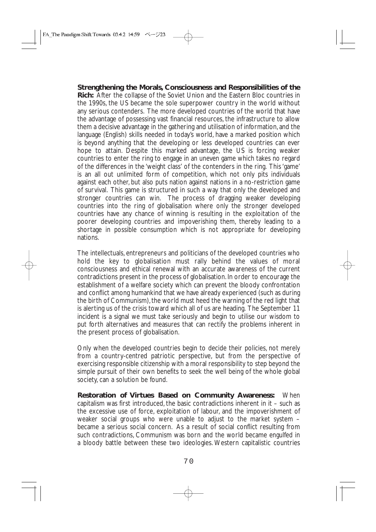**Strengthening the Morals, Consciousness and Responsibilities of the Rich:** After the collapse of the Soviet Union and the Eastern Bloc countries in the 1990s, the US became the sole superpower country in the world without any serious contenders. The more developed countries of the world that have the advantage of possessing vast financial resources, the infrastructure to allow them a decisive advantage in the gathering and utilisation of information, and the language (English) skills needed in today's world, have a marked position which is beyond anything that the developing or less developed countries can ever hope to attain. Despite this marked advantage, the US is forcing weaker countries to enter the ring to engage in an uneven game which takes no regard of the differences in the 'weight class' of the contenders in the ring. This 'game' is an all out unlimited form of competition, which not only pits individuals against each other, but also puts nation against nations in a no-restriction game of survival. This game is structured in such a way that only the developed and stronger countries can win. The process of dragging weaker developing countries into the ring of globalisation where only the stronger developed countries have any chance of winning is resulting in the exploitation of the poorer developing countries and impoverishing them, thereby leading to a shortage in possible consumption which is not appropriate for developing nations.

The intellectuals, entrepreneurs and politicians of the developed countries who hold the key to globalisation must rally behind the values of moral consciousness and ethical renewal with an accurate awareness of the current contradictions present in the process of globalisation. In order to encourage the establishment of a welfare society which can prevent the bloody confrontation and conflict among humankind that we have already experienced (such as during the birth of Communism), the world must heed the warning of the red light that is alerting us of the crisis toward which all of us are heading. The September 11 incident is a signal we must take seriously and begin to utilise our wisdom to put forth alternatives and measures that can rectify the problems inherent in the present process of globalisation.

Only when the developed countries begin to decide their policies, not merely from a country-centred patriotic perspective, but from the perspective of exercising responsible citizenship with a moral responsibility to step beyond the simple pursuit of their own benefits to seek the well being of the whole global society, can a solution be found.

**Restoration of Virtues Based on Community Awareness:** When capitalism was first introduced, the basic contradictions inherent in it – such as the excessive use of force, exploitation of labour, and the impoverishment of weaker social groups who were unable to adjust to the market system – became a serious social concern. As a result of social conflict resulting from such contradictions, Communism was born and the world became engulfed in a bloody battle between these two ideologies. Western capitalistic countries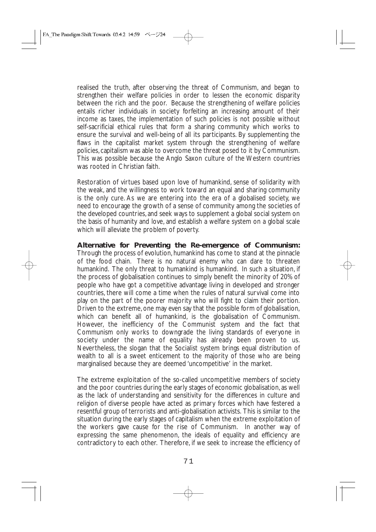realised the truth, after observing the threat of Communism, and began to strengthen their welfare policies in order to lessen the economic disparity between the rich and the poor. Because the strengthening of welfare policies entails richer individuals in society forfeiting an increasing amount of their income as taxes, the implementation of such policies is not possible without self-sacrificial ethical rules that form a sharing community which works to ensure the survival and well-being of all its participants. By supplementing the flaws in the capitalist market system through the strengthening of welfare policies, capitalism was able to overcome the threat posed to it by Communism. This was possible because the Anglo Saxon culture of the Western countries was rooted in Christian faith.

Restoration of virtues based upon love of humankind, sense of solidarity with the weak, and the willingness to work toward an equal and sharing community is the only cure. As we are entering into the era of a globalised society, we need to encourage the growth of a sense of community among the societies of the developed countries, and seek ways to supplement a global social system on the basis of humanity and love, and establish a welfare system on a global scale which will alleviate the problem of poverty.

**Alternative for Preventing the Re-emergence of Communism:** Through the process of evolution, humankind has come to stand at the pinnacle of the food chain. There is no natural enemy who can dare to threaten humankind. The only threat to humankind is humankind. In such a situation, if the process of globalisation continues to simply benefit the minority of 20% of people who have got a competitive advantage living in developed and stronger countries, there will come a time when the rules of natural survival come into play on the part of the poorer majority who will fight to claim their portion. Driven to the extreme, one may even say that the possible form of globalisation, which can benefit all of humankind, is the globalisation of Communism. However, the inefficiency of the Communist system and the fact that Communism only works to downgrade the living standards of everyone in society under the name of equality has already been proven to us. Nevertheless, the slogan that the Socialist system brings equal distribution of wealth to all is a sweet enticement to the majority of those who are being marginalised because they are deemed 'uncompetitive' in the market.

The extreme exploitation of the so-called uncompetitive members of society and the poor countries during the early stages of economic globalisation, as well as the lack of understanding and sensitivity for the differences in culture and religion of diverse people have acted as primary forces which have festered a resentful group of terrorists and anti-globalisation activists. This is similar to the situation during the early stages of capitalism when the extreme exploitation of the workers gave cause for the rise of Communism. In another way of expressing the same phenomenon, the ideals of equality and efficiency are contradictory to each other. Therefore, if we seek to increase the efficiency of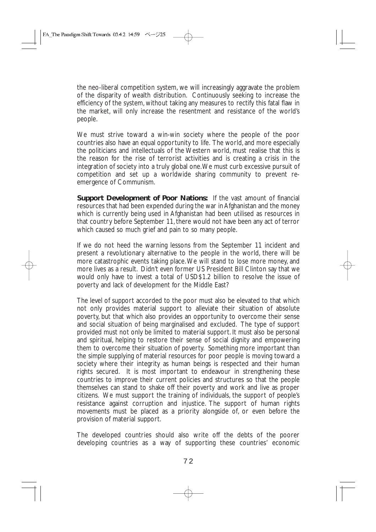the neo-liberal competition system, we will increasingly aggravate the problem of the disparity of wealth distribution. Continuously seeking to increase the efficiency of the system, without taking any measures to rectify this fatal flaw in the market, will only increase the resentment and resistance of the world's people.

We must strive toward a win-win society where the people of the poor countries also have an equal opportunity to life. The world, and more especially the politicians and intellectuals of the Western world, must realise that this is the reason for the rise of terrorist activities and is creating a crisis in the integration of society into a truly global one.We must curb excessive pursuit of competition and set up a worldwide sharing community to prevent reemergence of Communism.

**Support Development of Poor Nations:** If the vast amount of financial resources that had been expended during the war in Afghanistan and the money which is currently being used in Afghanistan had been utilised as resources in that country before September 11, there would not have been any act of terror which caused so much grief and pain to so many people.

If we do not heed the warning lessons from the September 11 incident and present a revolutionary alternative to the people in the world, there will be more catastrophic events taking place.We will stand to lose more money, and more lives as a result. Didn't even former US President Bill Clinton say that we would only have to invest a total of USD\$1.2 billion to resolve the issue of poverty and lack of development for the Middle East?

The level of support accorded to the poor must also be elevated to that which not only provides material support to alleviate their situation of absolute poverty, but that which also provides an opportunity to overcome their sense and social situation of being marginalised and excluded. The type of support provided must not only be limited to material support. It must also be personal and spiritual, helping to restore their sense of social dignity and empowering them to overcome their situation of poverty. Something more important than the simple supplying of material resources for poor people is moving toward a society where their integrity as human beings is respected and their human rights secured. It is most important to endeavour in strengthening these countries to improve their current policies and structures so that the people themselves can stand to shake off their poverty and work and live as proper citizens. We must support the training of individuals, the support of people's resistance against corruption and injustice. The support of human rights movements must be placed as a priority alongside of, or even before the provision of material support.

The developed countries should also write off the debts of the poorer developing countries as a way of supporting these countries' economic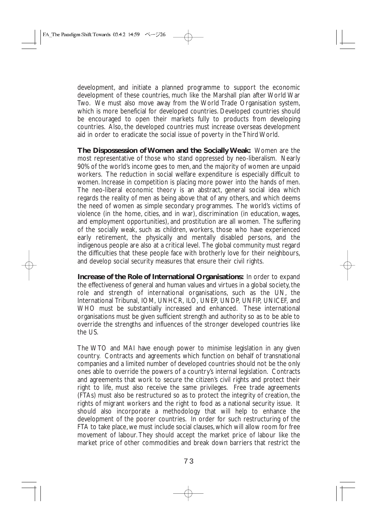development, and initiate a planned programme to support the economic development of these countries, much like the Marshall plan after World War Two. We must also move away from the World Trade Organisation system, which is more beneficial for developed countries. Developed countries should be encouraged to open their markets fully to products from developing countries. Also, the developed countries must increase overseas development aid in order to eradicate the social issue of poverty in the Third World.

**The Dispossession of Women and the Socially Weak:** Women are the most representative of those who stand oppressed by neo-liberalism. Nearly 90% of the world's income goes to men, and the majority of women are unpaid workers. The reduction in social welfare expenditure is especially difficult to women. Increase in competition is placing more power into the hands of men. The neo-liberal economic theory is an abstract, general social idea which regards the reality of men as being above that of any others, and which deems the need of women as simple secondary programmes. The world's victims of violence (in the home, cities, and in war), discrimination (in education, wages, and employment opportunities), and prostitution are all women. The suffering of the socially weak, such as children, workers, those who have experienced early retirement, the physically and mentally disabled persons, and the indigenous people are also at a critical level. The global community must regard the difficulties that these people face with brotherly love for their neighbours, and develop social security measures that ensure their civil rights.

**Increase of the Role of International Organisations:** In order to expand the effectiveness of general and human values and virtues in a global society, the role and strength of international organisations, such as the UN, the International Tribunal, IOM, UNHCR, ILO, UNEP, UNDP, UNFIP, UNICEF, and WHO must be substantially increased and enhanced. These international organisations must be given sufficient strength and authority so as to be able to override the strengths and influences of the stronger developed countries like the US.

The WTO and MAI have enough power to minimise legislation in any given country. Contracts and agreements which function on behalf of transnational companies and a limited number of developed countries should not be the only ones able to override the powers of a country's internal legislation. Contracts and agreements that work to secure the citizen's civil rights and protect their right to life, must also receive the same privileges. Free trade agreements (FTAs) must also be restructured so as to protect the integrity of creation, the rights of migrant workers and the right to food as a national security issue. It should also incorporate a methodology that will help to enhance the development of the poorer countries. In order for such restructuring of the FTA to take place, we must include social clauses, which will allow room for free movement of labour. They should accept the market price of labour like the market price of other commodities and break down barriers that restrict the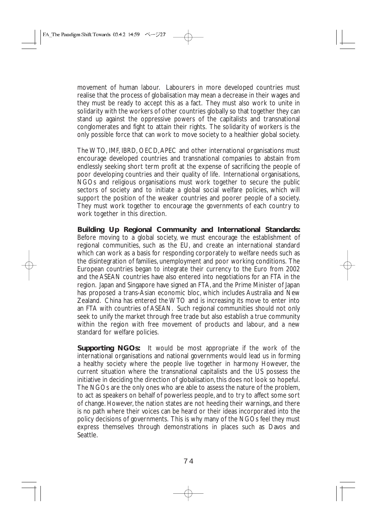movement of human labour. Labourers in more developed countries must realise that the process of globalisation may mean a decrease in their wages and they must be ready to accept this as a fact. They must also work to unite in solidarity with the workers of other countries globally so that together they can stand up against the oppressive powers of the capitalists and transnational conglomerates and fight to attain their rights. The solidarity of workers is the only possible force that can work to move society to a healthier global society.

The WTO, IMF, IBRD, OECD,APEC and other international organisations must encourage developed countries and transnational companies to abstain from endlessly seeking short term profit at the expense of sacrificing the people of poor developing countries and their quality of life. International organisations, NGOs and religious organisations must work together to secure the public sectors of society and to initiate a global social welfare policies, which will support the position of the weaker countries and poorer people of a society. They must work together to encourage the governments of each country to work together in this direction.

**Building Up Regional Community and International Standards:** Before moving to a global society, we must encourage the establishment of regional communities, such as the EU, and create an international standard which can work as a basis for responding corporately to welfare needs such as the disintegration of families, unemployment and poor working conditions. The European countries began to integrate their currency to the Euro from 2002 and the ASEAN countries have also entered into negotiations for an FTA in the region. Japan and Singapore have signed an FTA, and the Prime Minister of Japan has proposed a trans-Asian economic bloc, which includes Australia and New Zealand. China has entered the WTO and is increasing its move to enter into an FTA with countries of ASEAN. Such regional communities should not only seek to unify the market through free trade but also establish a true community within the region with free movement of products and labour, and a new standard for welfare policies.

**Supporting NGOs:** It would be most appropriate if the work of the international organisations and national governments would lead us in forming a healthy society where the people live together in harmony However, the current situation where the transnational capitalists and the US possess the initiative in deciding the direction of globalisation, this does not look so hopeful. The NGOs are the only ones who are able to assess the nature of the problem, to act as speakers on behalf of powerless people, and to try to affect some sort of change. However, the nation states are not heeding their warnings, and there is no path where their voices can be heard or their ideas incorporated into the policy decisions of governments. This is why many of the NGOs feel they must express themselves through demonstrations in places such as Davos and Seattle.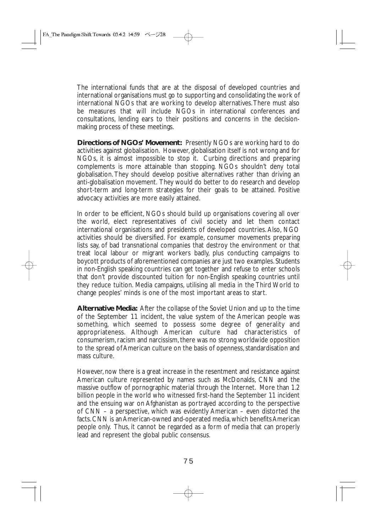The international funds that are at the disposal of developed countries and international organisations must go to supporting and consolidating the work of international NGOs that are working to develop alternatives.There must also be measures that will include NGOs in international conferences and consultations, lending ears to their positions and concerns in the decisionmaking process of these meetings.

**Directions of NGOs' Movement:** Presently NGOs are working hard to do activities against globalisation. However, globalisation itself is not wrong and for NGOs, it is almost impossible to stop it. Curbing directions and preparing complements is more attainable than stopping. NGOs shouldn't deny total globalisation. They should develop positive alternatives rather than driving an anti-globalisation movement. They would do better to do research and develop short-term and long-term strategies for their goals to be attained. Positive advocacy activities are more easily attained.

In order to be efficient, NGOs should build up organisations covering all over the world, elect representatives of civil society and let them contact international organisations and presidents of developed countries. Also, NGO activities should be diversified. For example, consumer movements preparing lists say, of bad transnational companies that destroy the environment or that treat local labour or migrant workers badly, plus conducting campaigns to boycott products of aforementioned companies are just two examples. Students in non-English speaking countries can get together and refuse to enter schools that don't provide discounted tuition for non-English speaking countries until they reduce tuition. Media campaigns, utilising all media in the Third World to change peoples' minds is one of the most important areas to start.

**Alternative Media:** After the collapse of the Soviet Union and up to the time of the September 11 incident, the value system of the American people was something, which seemed to possess some degree of generality and appropriateness. Although American culture had characteristics of consumerism, racism and narcissism, there was no strong worldwide opposition to the spread of American culture on the basis of openness, standardisation and mass culture.

However, now there is a great increase in the resentment and resistance against American culture represented by names such as McDonalds, CNN and the massive outflow of pornographic material through the Internet. More than 1.2 billion people in the world who witnessed first-hand the September 11 incident and the ensuing war on Afghanistan as portrayed according to the perspective of CNN – a perspective, which was evidently American – even distorted the facts.CNN is an American-owned and-operated media,which benefits American people only. Thus, it cannot be regarded as a form of media that can properly lead and represent the global public consensus.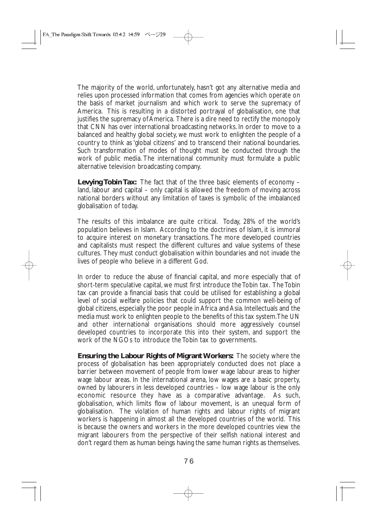The majority of the world, unfortunately, hasn't got any alternative media and relies upon processed information that comes from agencies which operate on the basis of market journalism and which work to serve the supremacy of America. This is resulting in a distorted portrayal of globalisation, one that justifies the supremacy of America. There is a dire need to rectify the monopoly that CNN has over international broadcasting networks. In order to move to a balanced and healthy global society, we must work to enlighten the people of a country to think as 'global citizens' and to transcend their national boundaries. Such transformation of modes of thought must be conducted through the work of public media. The international community must formulate a public alternative television broadcasting company.

**Levying Tobin Tax:** The fact that of the three basic elements of economy – land, labour and capital – only capital is allowed the freedom of moving across national borders without any limitation of taxes is symbolic of the imbalanced globalisation of today.

The results of this imbalance are quite critical. Today, 28% of the world's population believes in Islam. According to the doctrines of Islam, it is immoral to acquire interest on monetary transactions. The more developed countries and capitalists must respect the different cultures and value systems of these cultures. They must conduct globalisation within boundaries and not invade the lives of people who believe in a different God.

In order to reduce the abuse of financial capital, and more especially that of short-term speculative capital, we must first introduce the Tobin tax. The Tobin tax can provide a financial basis that could be utilised for establishing a global level of social welfare policies that could support the common well-being of global citizens, especially the poor people in Africa and Asia. Intellectuals and the media must work to enlighten people to the benefits of this tax system.The UN and other international organisations should more aggressively counsel developed countries to incorporate this into their system, and support the work of the NGOs to introduce the Tobin tax to governments.

**Ensuring the Labour Rights of Migrant Workers:** The society where the process of globalisation has been appropriately conducted does not place a barrier between movement of people from lower wage labour areas to higher wage labour areas. In the international arena, low wages are a basic property, owned by labourers in less developed countries – low wage labour is the only economic resource they have as a comparative advantage. As such, globalisation, which limits flow of labour movement, is an unequal form of globalisation. The violation of human rights and labour rights of migrant workers is happening in almost all the developed countries of the world. This is because the owners and workers in the more developed countries view the migrant labourers from the perspective of their selfish national interest and don't regard them as human beings having the same human rights as themselves.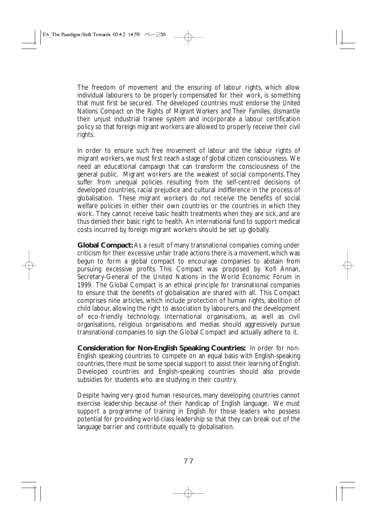The freedom of movement and the ensuring of labour rights, which allow individual labourers to be properly compensated for their work, is something that must first be secured. The developed countries must endorse the *United Nations Compact on the Rights of Migrant Workers and Their Families*, dismantle their unjust industrial trainee system and incorporate a labour certification policy so that foreign migrant workers are allowed to properly receive their civil rights.

In order to ensure such free movement of labour and the labour rights of migrant workers, we must first reach a stage of global citizen consciousness. We need an educational campaign that can transform the consciousness of the general public. Migrant workers are the weakest of social components. They suffer from unequal policies resulting from the self-centred decisions of developed countries, racial prejudice and cultural indifference in the process of globalisation. These migrant workers do not receive the benefits of social welfare policies in either their own countries or the countries in which they work. They cannot receive basic health treatments when they are sick, and are thus denied their basic right to health. An international fund to support medical costs incurred by foreign migrant workers should be set up globally.

**Global Compact:** As a result of many transnational companies coming under criticism for their excessive unfair trade actions there is a movement, which was begun to form a global compact to encourage companies to abstain from pursuing excessive profits. This Compact was proposed by Kofi Annan, Secretary-General of the United Nations in the World Economic Forum in 1999. The Global Compact is an ethical principle for transnational companies to ensure that the benefits of globalisation are shared with all. This Compact comprises nine articles, which include protection of human rights, abolition of child labour, allowing the right to association by labourers, and the development of eco-friendly technology. International organisations, as well as civil organisations, religious organisations and medias should aggressively pursue transnational companies to sign the Global Compact and actually adhere to it.

**Consideration for Non-English Speaking Countries:** In order for non-English speaking countries to compete on an equal basis with English-speaking countries, there must be some special support to assist their learning of English. Developed countries and English-speaking countries should also provide subsidies for students who are studying in their country.

Despite having very good human resources, many developing countries cannot exercise leadership because of their handicap of English language. We must support a programme of training in English for those leaders who possess potential for providing world-class leadership so that they can break out of the language barrier and contribute equally to globalisation.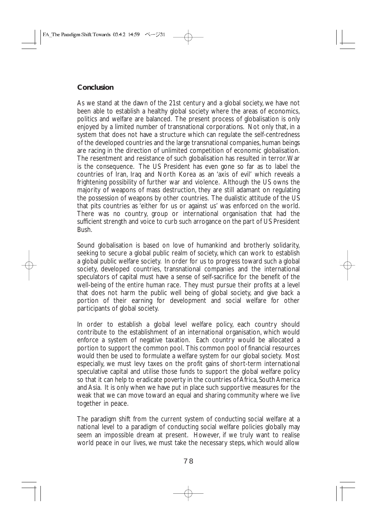# **Conclusion**

As we stand at the dawn of the 21st century and a global society, we have not been able to establish a healthy global society where the areas of economics, politics and welfare are balanced. The present process of globalisation is only enjoyed by a limited number of transnational corporations. Not only that, in a system that does not have a structure which can regulate the self-centredness of the developed countries and the large transnational companies, human beings are racing in the direction of unlimited competition of economic globalisation. The resentment and resistance of such globalisation has resulted in terror.War is the consequence. The US President has even gone so far as to label the countries of Iran, Iraq and North Korea as an 'axis of evil' which reveals a frightening possibility of further war and violence. Although the US owns the majority of weapons of mass destruction, they are still adamant on regulating the possession of weapons by other countries. The dualistic attitude of the US that pits countries as 'either for us or against us' was enforced on the world. There was no country, group or international organisation that had the sufficient strength and voice to curb such arrogance on the part of US President Bush.

Sound globalisation is based on love of humankind and brotherly solidarity, seeking to secure a global public realm of society, which can work to establish a global public welfare society. In order for us to progress toward such a global society, developed countries, transnational companies and the international speculators of capital must have a sense of self-sacrifice for the benefit of the well-being of the entire human race. They must pursue their profits at a level that does not harm the public well being of global society, and give back a portion of their earning for development and social welfare for other participants of global society.

In order to establish a global level welfare policy, each country should contribute to the establishment of an international organisation, which would enforce a system of negative taxation. Each country would be allocated a portion to support the common pool. This common pool of financial resources would then be used to formulate a welfare system for our global society. Most especially, we must levy taxes on the profit gains of short-term international speculative capital and utilise those funds to support the global welfare policy so that it can help to eradicate poverty in the countries of Africa, South America and Asia. It is only when we have put in place such supportive measures for the weak that we can move toward an equal and sharing community where we live together in peace.

The paradigm shift from the current system of conducting social welfare at a national level to a paradigm of conducting social welfare policies globally may seem an impossible dream at present. However, if we truly want to realise world peace in our lives, we must take the necessary steps, which would allow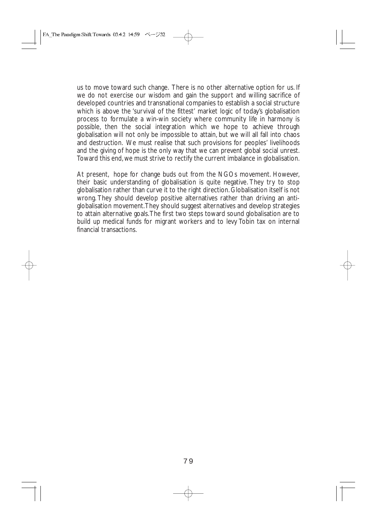us to move toward such change. There is no other alternative option for us. If we do not exercise our wisdom and gain the support and willing sacrifice of developed countries and transnational companies to establish a social structure which is above the 'survival of the fittest' market logic of today's globalisation process to formulate a win-win society where community life in harmony is possible, then the social integration which we hope to achieve through globalisation will not only be impossible to attain, but we will all fall into chaos and destruction. We must realise that such provisions for peoples' livelihoods and the giving of hope is the only way that we can prevent global social unrest. Toward this end, we must strive to rectify the current imbalance in globalisation.

At present, hope for change buds out from the NGOs movement. However, their basic understanding of globalisation is quite negative. They try to stop globalisation rather than curve it to the right direction. Globalisation itself is not wrong. They should develop positive alternatives rather than driving an antiglobalisation movement.They should suggest alternatives and develop strategies to attain alternative goals.The first two steps toward sound globalisation are to build up medical funds for migrant workers and to levy Tobin tax on internal financial transactions.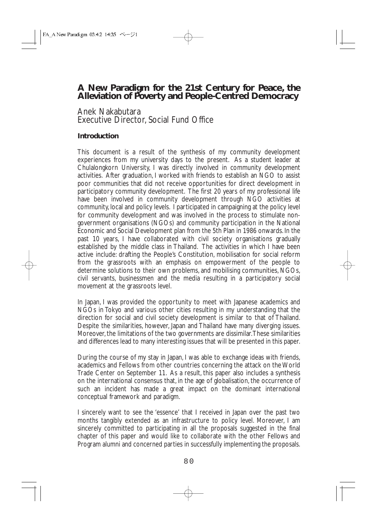# **A New Paradigm for the 21st Century for Peace, the Alleviation of Poverty and People-Centred Democracy**

### Anek Nakabutara Executive Director, Social Fund Office

### **Introduction**

This document is a result of the synthesis of my community development experiences from my university days to the present. As a student leader at Chulalongkorn University, I was directly involved in community development activities. After graduation, I worked with friends to establish an NGO to assist poor communities that did not receive opportunities for direct development in participatory community development. The first 20 years of my professional life have been involved in community development through NGO activities at community, local and policy levels. I participated in campaigning at the policy level for community development and was involved in the process to stimulate nongovernment organisations (NGOs) and community participation in the National Economic and Social Development plan from the 5th Plan in 1986 onwards. In the past 10 years, I have collaborated with civil society organisations gradually established by the middle class in Thailand. The activities in which I have been active include: drafting the People's Constitution, mobilisation for social reform from the grassroots with an emphasis on empowerment of the people to determine solutions to their own problems, and mobilising communities, NGOs, civil servants, businessmen and the media resulting in a participatory social movement at the grassroots level.

In Japan, I was provided the opportunity to meet with Japanese academics and NGOs in Tokyo and various other cities resulting in my understanding that the direction for social and civil society development is similar to that of Thailand. Despite the similarities, however, Japan and Thailand have many diverging issues. Moreover, the limitations of the two governments are dissimilar.These similarities and differences lead to many interesting issues that will be presented in this paper.

During the course of my stay in Japan, I was able to exchange ideas with friends, academics and Fellows from other countries concerning the attack on the World Trade Center on September 11. As a result, this paper also includes a synthesis on the international consensus that, in the age of globalisation, the occurrence of such an incident has made a great impact on the dominant international conceptual framework and paradigm.

I sincerely want to see the 'essence' that I received in Japan over the past two months tangibly extended as an infrastructure to policy level. Moreover, I am sincerely committed to participating in all the proposals suggested in the final chapter of this paper and would like to collaborate with the other Fellows and Program alumni and concerned parties in successfully implementing the proposals.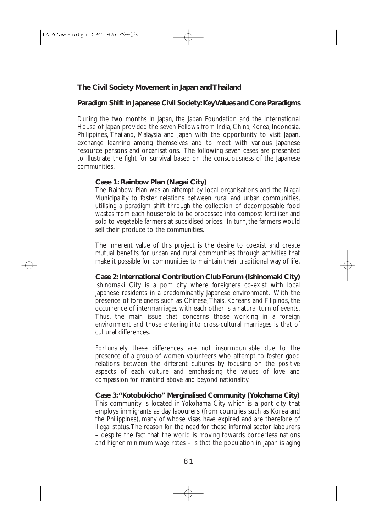### **The Civil Society Movement in Japan and Thailand**

#### **Paradigm Shift in Japanese Civil Society: Key Values and Core Paradigms**

During the two months in Japan, the Japan Foundation and the International House of Japan provided the seven Fellows from India, China, Korea, Indonesia, Philippines, Thailand, Malaysia and Japan with the opportunity to visit Japan, exchange learning among themselves and to meet with various Japanese resource persons and organisations. The following seven cases are presented to illustrate the fight for survival based on the consciousness of the Japanese communities.

#### **Case 1: Rainbow Plan (Nagai City)**

The Rainbow Plan was an attempt by local organisations and the Nagai Municipality to foster relations between rural and urban communities, utilising a paradigm shift through the collection of decomposable food wastes from each household to be processed into compost fertiliser and sold to vegetable farmers at subsidised prices. In turn, the farmers would sell their produce to the communities.

The inherent value of this project is the desire to coexist and create mutual benefits for urban and rural communities through activities that make it possible for communities to maintain their traditional way of life.

**Case 2: International Contribution Club Forum (Ishinomaki City)** Ishinomaki City is a port city where foreigners co-exist with local Japanese residents in a predominantly Japanese environment. With the presence of foreigners such as Chinese,Thais, Koreans and Filipinos, the occurrence of intermarriages with each other is a natural turn of events. Thus, the main issue that concerns those working in a foreign environment and those entering into cross-cultural marriages is that of cultural differences.

Fortunately these differences are not insurmountable due to the presence of a group of women volunteers who attempt to foster good relations between the different cultures by focusing on the positive aspects of each culture and emphasising the values of love and compassion for mankind above and beyond nationality.

**Case 3:"Kotobukicho" Marginalised Community (Yokohama City)** This community is located in Yokohama City which is a port city that employs immigrants as day labourers (from countries such as Korea and the Philippines), many of whose visas have expired and are therefore of illegal status.The reason for the need for these informal sector labourers – despite the fact that the world is moving towards borderless nations and higher minimum wage rates – is that the population in Japan is aging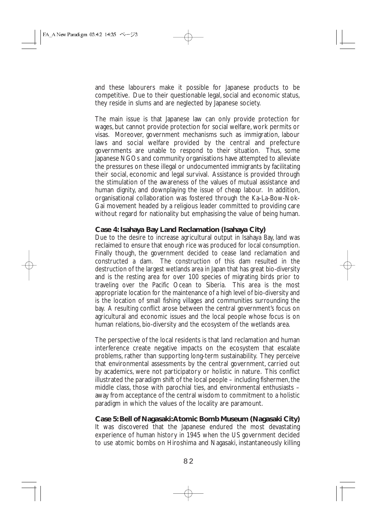and these labourers make it possible for Japanese products to be competitive. Due to their questionable legal, social and economic status, they reside in slums and are neglected by Japanese society.

The main issue is that Japanese law can only provide protection for wages, but cannot provide protection for social welfare, work permits or visas. Moreover, government mechanisms such as immigration, labour laws and social welfare provided by the central and prefecture governments are unable to respond to their situation. Thus, some Japanese NGOs and community organisations have attempted to alleviate the pressures on these illegal or undocumented immigrants by facilitating their social, economic and legal survival. Assistance is provided through the stimulation of the awareness of the values of mutual assistance and human dignity, and downplaying the issue of cheap labour. In addition, organisational collaboration was fostered through the Ka-La-Bow-Nok-Gai movement headed by a religious leader committed to providing care without regard for nationality but emphasising the value of being human.

#### **Case 4: Isahaya Bay Land Reclamation (Isahaya City)**

Due to the desire to increase agricultural output in Isahaya Bay, land was reclaimed to ensure that enough rice was produced for local consumption. Finally though, the government decided to cease land reclamation and constructed a dam. The construction of this dam resulted in the destruction of the largest wetlands area in Japan that has great bio-diversity and is the resting area for over 100 species of migrating birds prior to traveling over the Pacific Ocean to Siberia. This area is the most appropriate location for the maintenance of a high level of bio-diversity and is the location of small fishing villages and communities surrounding the bay. A resulting conflict arose between the central government's focus on agricultural and economic issues and the local people whose focus is on human relations, bio-diversity and the ecosystem of the wetlands area.

The perspective of the local residents is that land reclamation and human interference create negative impacts on the ecosystem that escalate problems, rather than supporting long-term sustainability. They perceive that environmental assessments by the central government, carried out by academics, were not participatory or holistic in nature. This conflict  $\mu$ illustrated the paradigm shift of the local people – including fishermen, the middle class, those with parochial ties, and environmental enthusiasts – away from acceptance of the central wisdom to commitment to a holistic paradigm in which the values of the locality are paramount.

#### **Case 5: Bell of Nagasaki:Atomic Bomb Museum (Nagasaki City)**

It was discovered that the Japanese endured the most devastating experience of human history in 1945 when the US government decided to use atomic bombs on Hiroshima and Nagasaki, instantaneously killing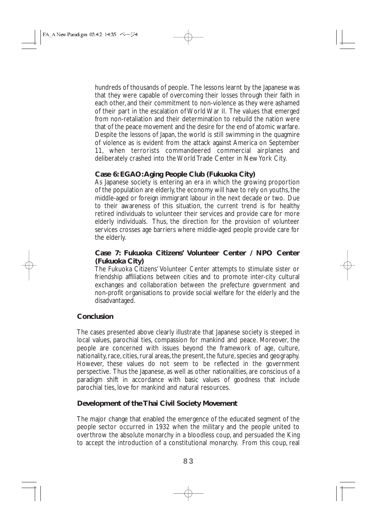hundreds of thousands of people. The lessons learnt by the Japanese was that they were capable of overcoming their losses through their faith in each other, and their commitment to non-violence as they were ashamed of their part in the escalation of World War II. The values that emerged from non-retaliation and their determination to rebuild the nation were that of the peace movement and the desire for the end of atomic warfare. Despite the lessons of Japan, the world is still swimming in the quagmire of violence as is evident from the attack against America on September 11, when terrorists commandeered commercial airplanes and deliberately crashed into the World Trade Center in New York City.

# **Case 6: EGAO:Aging People Club (Fukuoka City)**

As Japanese society is entering an era in which the growing proportion of the population are elderly, the economy will have to rely on youths, the middle-aged or foreign immigrant labour in the next decade or two. Due to their awareness of this situation, the current trend is for healthy retired individuals to volunteer their services and provide care for more elderly individuals. Thus, the direction for the provision of volunteer services crosses age barriers where middle-aged people provide care for the elderly.

#### **Case 7: Fukuoka Citizens' Volunteer Center / NPO Center (Fukuoka City)**

The Fukuoka Citizens' Volunteer Center attempts to stimulate sister or friendship affiliations between cities and to promote inter-city cultural exchanges and collaboration between the prefecture government and non-profit organisations to provide social welfare for the elderly and the disadvantaged.

### **Conclusion**

The cases presented above clearly illustrate that Japanese society is steeped in local values, parochial ties, compassion for mankind and peace. Moreover, the people are concerned with issues beyond the framework of age, culture, nationality, race, cities, rural areas, the present, the future, species and geography. However, these values do not seem to be reflected in the government perspective. Thus the Japanese, as well as other nationalities, are conscious of a paradigm shift in accordance with basic values of goodness that include parochial ties, love for mankind and natural resources.

### **Development of the Thai Civil Society Movement**

The major change that enabled the emergence of the educated segment of the people sector occurred in 1932 when the military and the people united to overthrow the absolute monarchy in a bloodless coup, and persuaded the King to accept the introduction of a constitutional monarchy. From this coup, real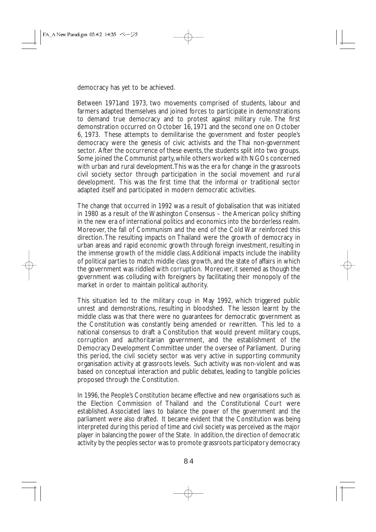democracy has yet to be achieved.

Between 1971and 1973, two movements comprised of students, labour and farmers adapted themselves and joined forces to participate in demonstrations to demand true democracy and to protest against military rule. The first demonstration occurred on October 16, 1971 and the second one on October 6, 1973. These attempts to demilitarise the government and foster people's democracy were the genesis of civic activists and the Thai non-government sector. After the occurrence of these events, the students split into two groups. Some joined the Communist party, while others worked with NGOs concerned with urban and rural development.This was the era for change in the grassroots civil society sector through participation in the social movement and rural development. This was the first time that the informal or traditional sector adapted itself and participated in modern democratic activities.

The change that occurred in 1992 was a result of globalisation that was initiated in 1980 as a result of the Washington Consensus – the American policy shifting in the new era of international politics and economics into the borderless realm. Moreover, the fall of Communism and the end of the Cold War reinforced this direction. The resulting impacts on Thailand were the growth of democracy in urban areas and rapid economic growth through foreign investment, resulting in the immense growth of the middle class.Additional impacts include the inability of political parties to match middle class growth, and the state of affairs in which the government was riddled with corruption. Moreover, it seemed as though the government was colluding with foreigners by facilitating their monopoly of the market in order to maintain political authority.

This situation led to the military coup in May 1992, which triggered public unrest and demonstrations, resulting in bloodshed. The lesson learnt by the middle class was that there were no guarantees for democratic government as the Constitution was constantly being amended or rewritten. This led to a national consensus to draft a Constitution that would prevent military coups, corruption and authoritarian government, and the establishment of the Democracy Development Committee under the oversee of Parliament. During this period, the civil society sector was very active in supporting community organisation activity at grassroots levels. Such activity was non-violent and was based on conceptual interaction and public debates, leading to tangible policies proposed through the Constitution.

In 1996, the People's Constitution became effective and new organisations such as the Election Commission of Thailand and the Constitutional Court were established. Associated laws to balance the power of the government and the parliament were also drafted. It became evident that the Constitution was being interpreted during this period of time and civil society was perceived as the major player in balancing the power of the State. In addition, the direction of democratic activity by the peoples sector was to promote grassroots participatory democracy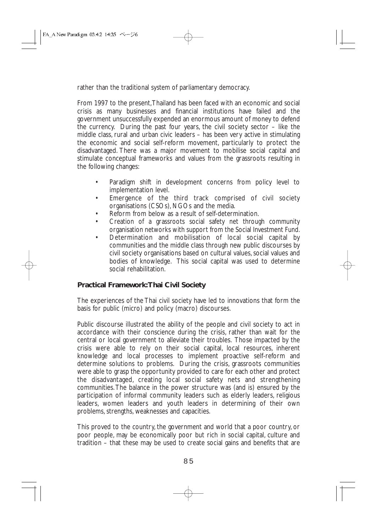rather than the traditional system of parliamentary democracy.

From 1997 to the present,Thailand has been faced with an economic and social crisis as many businesses and financial institutions have failed and the government unsuccessfully expended an enormous amount of money to defend the currency. During the past four years, the civil society sector – like the middle class, rural and urban civic leaders – has been very active in stimulating the economic and social self-reform movement, particularly to protect the disadvantaged. There was a major movement to mobilise social capital and stimulate conceptual frameworks and values from the grassroots resulting in the following changes:

- Paradigm shift in development concerns from policy level to implementation level.
- Emergence of the third track comprised of civil society organisations (CSOs), NGOs and the media.
- Reform from below as a result of self-determination.
- Creation of a grassroots social safety net through community organisation networks with support from the Social Investment Fund.
- Determination and mobilisation of local social capital by communities and the middle class through new public discourses by civil society organisations based on cultural values, social values and bodies of knowledge. This social capital was used to determine social rehabilitation.

# **Practical Framework:Thai Civil Society**

The experiences of the Thai civil society have led to innovations that form the basis for public (micro) and policy (macro) discourses.

Public discourse illustrated the ability of the people and civil society to act in accordance with their conscience during the crisis, rather than wait for the central or local government to alleviate their troubles. Those impacted by the crisis were able to rely on their social capital, local resources, inherent knowledge and local processes to implement proactive self-reform and determine solutions to problems. During the crisis, grassroots communities were able to grasp the opportunity provided to care for each other and protect the disadvantaged, creating local social safety nets and strengthening communities.The balance in the power structure was (and is) ensured by the participation of informal community leaders such as elderly leaders, religious leaders, women leaders and youth leaders in determining of their own problems, strengths, weaknesses and capacities.

This proved to the country, the government and world that a poor country, or poor people, may be economically poor but rich in social capital, culture and tradition – that these may be used to create social gains and benefits that are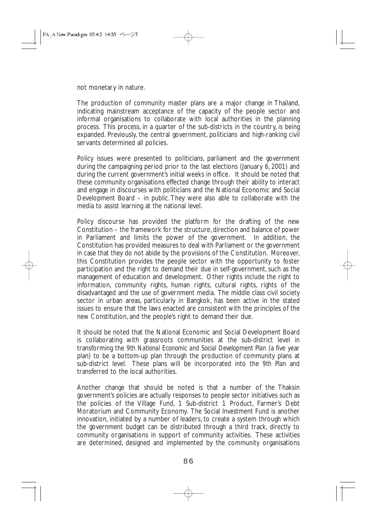not monetary in nature.

The production of community master plans are a major change in Thailand, indicating mainstream acceptance of the capacity of the people sector and informal organisations to collaborate with local authorities in the planning process. This process, in a quarter of the sub-districts in the country, is being expanded. Previously, the central government, politicians and high-ranking civil servants determined all policies.

Policy issues were presented to politicians, parliament and the government during the campaigning period prior to the last elections (January 6, 2001) and during the current government's initial weeks in office. It should be noted that these community organisations effected change through their ability to interact and engage in discourses with politicians and the National Economic and Social Development Board – in public. They were also able to collaborate with the media to assist learning at the national level.

Policy discourse has provided the platform for the drafting of the new Constitution – the framework for the structure, direction and balance of power in Parliament and limits the power of the government. In addition, the Constitution has provided measures to deal with Parliament or the government in case that they do not abide by the provisions of the Constitution. Moreover, this Constitution provides the people sector with the opportunity to foster participation and the right to demand their due in self-government, such as the management of education and development. Other rights include the right to information, community rights, human rights, cultural rights, rights of the disadvantaged and the use of government media. The middle class civil society sector in urban areas, particularly in Bangkok, has been active in the stated issues to ensure that the laws enacted are consistent with the principles of the new Constitution, and the people's right to demand their due.

It should be noted that the National Economic and Social Development Board is collaborating with grassroots communities at the sub-district level in transforming the *9th National Economic and Social Development Plan* (a five year plan) to be a bottom-up plan through the production of community plans at sub-district level. These plans will be incorporated into the *9th Plan* and transferred to the local authorities.

Another change that should be noted is that a number of the Thaksin government's policies are actually responses to people sector initiatives such as the policies of the Village Fund, 1 Sub-district 1 Product, Farmer's Debt Moratorium and Community Economy. The Social Investment Fund is another innovation, initiated by a number of leaders, to create a system through which the government budget can be distributed through a third track, directly to community organisations in support of community activities. These activities are determined, designed and implemented by the community organisations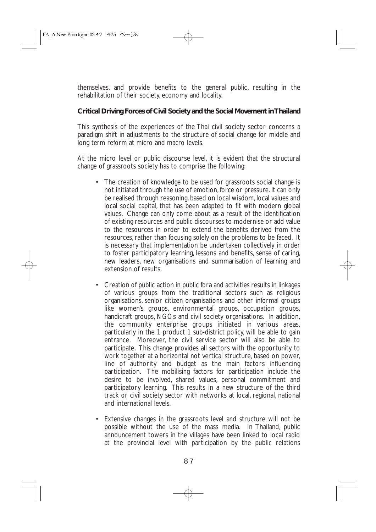themselves, and provide benefits to the general public, resulting in the rehabilitation of their society, economy and locality.

### **Critical Driving Forces of Civil Society and the Social Movement in Thailand**

This synthesis of the experiences of the Thai civil society sector concerns a paradigm shift in adjustments to the structure of social change for middle and long term reform at micro and macro levels.

At the micro level or public discourse level, it is evident that the structural change of grassroots society has to comprise the following:

- The creation of knowledge to be used for grassroots social change is not initiated through the use of emotion, force or pressure. It can only be realised through reasoning, based on local wisdom, local values and local social capital, that has been adapted to fit with modern global values. Change can only come about as a result of the identification of existing resources and public discourses to modernise or add value to the resources in order to extend the benefits derived from the resources, rather than focusing solely on the problems to be faced. It is necessary that implementation be undertaken collectively in order to foster participatory learning, lessons and benefits, sense of caring, new leaders, new organisations and summarisation of learning and extension of results.
- Creation of public action in public fora and activities results in linkages of various groups from the traditional sectors such as religious organisations, senior citizen organisations and other informal groups like women's groups, environmental groups, occupation groups, handicraft groups, NGOs and civil society organisations. In addition, the community enterprise groups initiated in various areas, particularly in the 1 product 1 sub-district policy, will be able to gain entrance. Moreover, the civil service sector will also be able to participate. This change provides all sectors with the opportunity to work together at a horizontal not vertical structure, based on power, line of authority and budget as the main factors influencing participation. The mobilising factors for participation include the desire to be involved, shared values, personal commitment and participatory learning. This results in a new structure of the third track or civil society sector with networks at local, regional, national and international levels.
- Extensive changes in the grassroots level and structure will not be possible without the use of the mass media. In Thailand, public announcement towers in the villages have been linked to local radio at the provincial level with participation by the public relations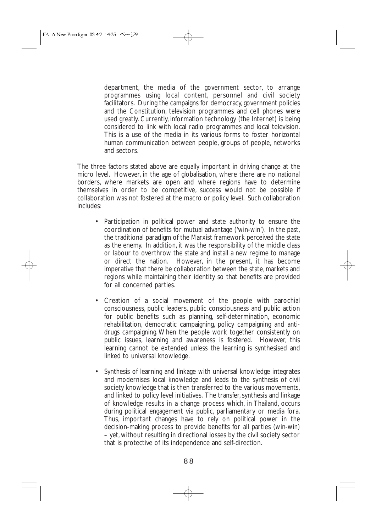department, the media of the government sector, to arrange programmes using local content, personnel and civil society facilitators. During the campaigns for democracy, government policies and the Constitution, television programmes and cell phones were used greatly. Currently, information technology (the Internet) is being considered to link with local radio programmes and local television. This is a use of the media in its various forms to foster horizontal human communication between people, groups of people, networks and sectors.

The three factors stated above are equally important in driving change at the micro level. However, in the age of globalisation, where there are no national borders, where markets are open and where regions have to determine themselves in order to be competitive, success would not be possible if collaboration was not fostered at the macro or policy level. Such collaboration includes:

- Participation in political power and state authority to ensure the coordination of benefits for mutual advantage ('win-win'). In the past, the traditional paradigm of the Marxist framework perceived the state as the enemy. In addition, it was the responsibility of the middle class or labour to overthrow the state and install a new regime to manage or direct the nation. However, in the present, it has become imperative that there be collaboration between the state, markets and regions while maintaining their identity so that benefits are provided for all concerned parties.
- Creation of a social movement of the people with parochial consciousness, public leaders, public consciousness and public action for public benefits such as planning, self-determination, economic rehabilitation, democratic campaigning, policy campaigning and antidrugs campaigning. When the people work together consistently on public issues, learning and awareness is fostered. However, this learning cannot be extended unless the learning is synthesised and linked to universal knowledge.
- Synthesis of learning and linkage with universal knowledge integrates and modernises local knowledge and leads to the synthesis of civil society knowledge that is then transferred to the various movements, and linked to policy level initiatives. The transfer, synthesis and linkage of knowledge results in a change process which, in Thailand, occurs during political engagement via public, parliamentary or media fora. Thus, important changes have to rely on political power in the decision-making process to provide benefits for all parties (win-win) – yet, without resulting in directional losses by the civil society sector that is protective of its independence and self-direction.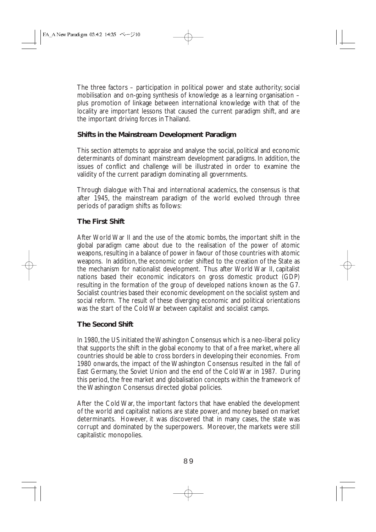The three factors – participation in political power and state authority; social mobilisation and on-going synthesis of knowledge as a learning organisation – plus promotion of linkage between international knowledge with that of the locality are important lessons that caused the current paradigm shift, and are the important driving forces in Thailand.

# **Shifts in the Mainstream Development Paradigm**

This section attempts to appraise and analyse the social, political and economic determinants of dominant mainstream development paradigms. In addition, the issues of conflict and challenge will be illustrated in order to examine the validity of the current paradigm dominating all governments.

Through dialogue with Thai and international academics, the consensus is that after 1945, the mainstream paradigm of the world evolved through three periods of paradigm shifts as follows:

# **The First Shift**

After World War II and the use of the atomic bombs, the important shift in the global paradigm came about due to the realisation of the power of atomic weapons, resulting in a balance of power in favour of those countries with atomic weapons. In addition, the economic order shifted to the creation of the State as the mechanism for nationalist development. Thus after World War II, capitalist nations based their economic indicators on gross domestic product (GDP) resulting in the formation of the group of developed nations known as the G7. Socialist countries based their economic development on the socialist system and social reform. The result of these diverging economic and political orientations was the start of the Cold War between capitalist and socialist camps.

### **The Second Shift**

In 1980, the US initiated the Washington Consensus which is a neo-liberal policy that supports the shift in the global economy to that of a free market, where all countries should be able to cross borders in developing their economies. From 1980 onwards, the impact of the Washington Consensus resulted in the fall of East Germany, the Soviet Union and the end of the Cold War in 1987. During this period, the free market and globalisation concepts within the framework of the Washington Consensus directed global policies.

After the Cold War, the important factors that have enabled the development of the world and capitalist nations are state power, and money based on market determinants. However, it was discovered that in many cases, the state was corrupt and dominated by the superpowers. Moreover, the markets were still capitalistic monopolies.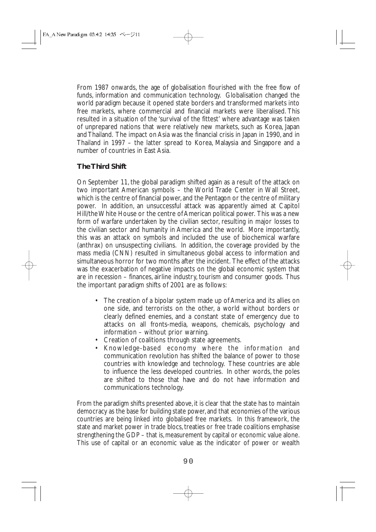From 1987 onwards, the age of globalisation flourished with the free flow of funds, information and communication technology. Globalisation changed the world paradigm because it opened state borders and transformed markets into free markets, where commercial and financial markets were liberalised. This resulted in a situation of the 'survival of the fittest' where advantage was taken of unprepared nations that were relatively new markets, such as Korea, Japan and Thailand. The impact on Asia was the financial crisis in Japan in 1990, and in Thailand in 1997 – the latter spread to Korea, Malaysia and Singapore and a number of countries in East Asia.

# **The Third Shift**

On September 11, the global paradigm shifted again as a result of the attack on two important American symbols – the World Trade Center in Wall Street, which is the centre of financial power, and the Pentagon or the centre of military power. In addition, an unsuccessful attack was apparently aimed at Capitol Hill/the White House or the centre of American political power. This was a new form of warfare undertaken by the civilian sector, resulting in major losses to the civilian sector and humanity in America and the world. More importantly, this was an attack on symbols and included the use of biochemical warfare (anthrax) on unsuspecting civilians. In addition, the coverage provided by the mass media (CNN) resulted in simultaneous global access to information and simultaneous horror for two months after the incident. The effect of the attacks was the exacerbation of negative impacts on the global economic system that are in recession – finances, airline industry, tourism and consumer goods. Thus the important paradigm shifts of 2001 are as follows:

- The creation of a bipolar system made up of America and its allies on one side, and terrorists on the other, a world without borders or clearly defined enemies, and a constant state of emergency due to attacks on all fronts-media, weapons, chemicals, psychology and information – without prior warning.
- Creation of coalitions through state agreements.
- Knowledge-based economy where the information and communication revolution has shifted the balance of power to those countries with knowledge and technology. These countries are able to influence the less developed countries. In other words, the poles are shifted to those that have and do not have information and communications technology.

From the paradigm shifts presented above, it is clear that the state has to maintain democracy as the base for building state power, and that economies of the various countries are being linked into globalised free markets. In this framework, the state and market power in trade blocs, treaties or free trade coalitions emphasise strengthening the GDP – that is, measurement by capital or economic value alone. This use of capital or an economic value as the indicator of power or wealth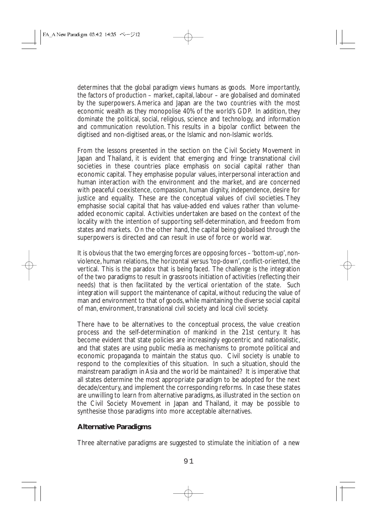determines that the global paradigm views humans as goods. More importantly, the factors of production – market, capital, labour – are globalised and dominated by the superpowers. America and Japan are the two countries with the most economic wealth as they monopolise 40% of the world's GDP. In addition, they dominate the political, social, religious, science and technology, and information and communication revolution. This results in a bipolar conflict between the digitised and non-digitised areas, or the Islamic and non-Islamic worlds.

From the lessons presented in the section on the Civil Society Movement in Japan and Thailand, it is evident that emerging and fringe transnational civil societies in these countries place emphasis on social capital rather than economic capital. They emphasise popular values, interpersonal interaction and human interaction with the environment and the market, and are concerned with peaceful coexistence, compassion, human dignity, independence, desire for justice and equality. These are the conceptual values of civil societies. They emphasise social capital that has value-added end values rather than volumeadded economic capital. Activities undertaken are based on the context of the locality with the intention of supporting self-determination, and freedom from states and markets. On the other hand, the capital being globalised through the superpowers is directed and can result in use of force or world war.

It is obvious that the two emerging forces are opposing forces – 'bottom-up', nonviolence, human relations, the horizontal versus 'top-down', conflict-oriented, the vertical. This is the paradox that is being faced. The challenge is the integration of the two paradigms to result in grassroots initiation of activities (reflecting their needs) that is then facilitated by the vertical orientation of the state. Such integration will support the maintenance of capital, without reducing the value of man and environment to that of goods, while maintaining the diverse social capital of man, environment, transnational civil society and local civil society.

There have to be alternatives to the conceptual process, the value creation process and the self-determination of mankind in the 21st century. It has become evident that state policies are increasingly egocentric and nationalistic, and that states are using public media as mechanisms to promote political and economic propaganda to maintain the status quo. Civil society is unable to respond to the complexities of this situation. In such a situation, should the mainstream paradigm in Asia and the world be maintained? It is imperative that all states determine the most appropriate paradigm to be adopted for the next decade/century, and implement the corresponding reforms. In case these states are unwilling to learn from alternative paradigms, as illustrated in the section on the Civil Society Movement in Japan and Thailand, it may be possible to synthesise those paradigms into more acceptable alternatives.

### **Alternative Paradigms**

Three alternative paradigms are suggested to stimulate the initiation of a new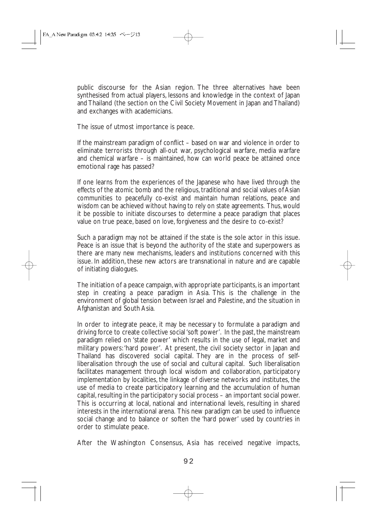public discourse for the Asian region. The three alternatives have been synthesised from actual players, lessons and knowledge in the context of Japan and Thailand (the section on the Civil Society Movement in Japan and Thailand) and exchanges with academicians.

The issue of utmost importance is peace.

If the mainstream paradigm of conflict – based on war and violence in order to eliminate terrorists through all-out war, psychological warfare, media warfare and chemical warfare – is maintained, how can world peace be attained once emotional rage has passed?

If one learns from the experiences of the Japanese who have lived through the effects of the atomic bomb and the religious, traditional and social values of Asian communities to peacefully co-exist and maintain human relations, peace and wisdom can be achieved without having to rely on state agreements. Thus, would it be possible to initiate discourses to determine a peace paradigm that places value on true peace, based on love, forgiveness and the desire to co-exist?

Such a paradigm may not be attained if the state is the sole actor in this issue. Peace is an issue that is beyond the authority of the state and superpowers as there are many new mechanisms, leaders and institutions concerned with this issue. In addition, these new actors are transnational in nature and are capable of initiating dialogues.

The initiation of a peace campaign, with appropriate participants, is an important step in creating a peace paradigm in Asia. This is the challenge in the environment of global tension between Israel and Palestine, and the situation in Afghanistan and South Asia.

In order to integrate peace, it may be necessary to formulate a paradigm and driving force to create collective social 'soft power'. In the past, the mainstream paradigm relied on 'state power' which results in the use of legal, market and military powers:'hard power'. At present, the civil society sector in Japan and Thailand has discovered social capital. They are in the process of selfliberalisation through the use of social and cultural capital. Such liberalisation facilitates management through local wisdom and collaboration, participatory implementation by localities, the linkage of diverse networks and institutes, the use of media to create participatory learning and the accumulation of human capital, resulting in the participatory social process – an important social power. This is occurring at local, national and international levels, resulting in shared interests in the international arena. This new paradigm can be used to influence social change and to balance or soften the 'hard power' used by countries in order to stimulate peace.

After the Washington Consensus, Asia has received negative impacts,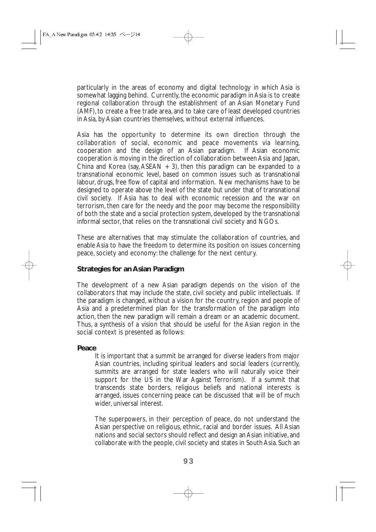particularly in the areas of economy and digital technology in which Asia is somewhat lagging behind. Currently, the economic paradigm in Asia is to create regional collaboration through the establishment of an Asian Monetary Fund (AMF), to create a free trade area, and to take care of least developed countries in Asia, by Asian countries themselves, without external influences.

Asia has the opportunity to determine its own direction through the collaboration of social, economic and peace movements via learning, cooperation and the design of an Asian paradigm. If Asian economic cooperation and the design of an Asian paradigm. cooperation is moving in the direction of collaboration between Asia and Japan, China and Korea (say, ASEAN  $+$  3), then this paradigm can be expanded to a transnational economic level, based on common issues such as transnational labour, drugs, free flow of capital and information. New mechanisms have to be designed to operate above the level of the state but under that of transnational civil society. If Asia has to deal with economic recession and the war on terrorism, then care for the needy and the poor may become the responsibility of both the state and a social protection system, developed by the transnational informal sector, that relies on the transnational civil society and NGOs.

These are alternatives that may stimulate the collaboration of countries, and enable Asia to have the freedom to determine its position on issues concerning peace, society and economy: the challenge for the next century.

#### **Strategies for an Asian Paradigm**

The development of a new Asian paradigm depends on the vision of the collaborators that may include the state, civil society and public intellectuals. If the paradigm is changed, without a vision for the country, region and people of Asia and a predetermined plan for the transformation of the paradigm into action, then the new paradigm will remain a dream or an academic document. Thus, a synthesis of a vision that should be useful for the Asian region in the social context is presented as follows:

#### **Peace**

It is important that a summit be arranged for diverse leaders from major Asian countries, including spiritual leaders and social leaders (currently, summits are arranged for state leaders who will naturally voice their support for the US in the War Against Terrorism). If a summit that transcends state borders, religious beliefs and national interests is arranged, issues concerning peace can be discussed that will be of much wider, universal interest.

The superpowers, in their perception of peace, do not understand the Asian perspective on religious, ethnic, racial and border issues. All Asian nations and social sectors should reflect and design an Asian initiative, and collaborate with the people, civil society and states in South Asia. Such an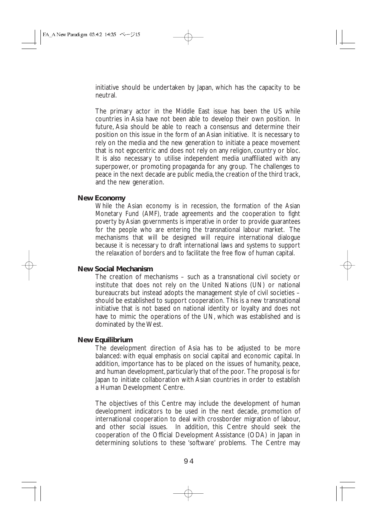initiative should be undertaken by Japan, which has the capacity to be neutral.

The primary actor in the Middle East issue has been the US while countries in Asia have not been able to develop their own position. In future, Asia should be able to reach a consensus and determine their position on this issue in the form of an Asian initiative. It is necessary to rely on the media and the new generation to initiate a peace movement that is not egocentric and does not rely on any religion, country or bloc. It is also necessary to utilise independent media unaffiliated with any superpower, or promoting propaganda for any group. The challenges to peace in the next decade are public media, the creation of the third track, and the new generation.

#### **New Economy**

While the Asian economy is in recession, the formation of the Asian Monetary Fund (AMF), trade agreements and the cooperation to fight poverty by Asian governments is imperative in order to provide guarantees for the people who are entering the transnational labour market. The mechanisms that will be designed will require international dialogue because it is necessary to draft international laws and systems to support the relaxation of borders and to facilitate the free flow of human capital.

#### **New Social Mechanism**

The creation of mechanisms – such as a transnational civil society or institute that does not rely on the United Nations (UN) or national bureaucrats but instead adopts the management style of civil societies – should be established to support cooperation. This is a new transnational initiative that is not based on national identity or loyalty and does not have to mimic the operations of the UN, which was established and is dominated by the West.

#### **New Equilibrium**

The development direction of Asia has to be adjusted to be more balanced: with equal emphasis on social capital and economic capital. In addition, importance has to be placed on the issues of humanity, peace, and human development, particularly that of the poor. The proposal is for Japan to initiate collaboration with Asian countries in order to establish a Human Development Centre.

The objectives of this Centre may include the development of human development indicators to be used in the next decade, promotion of international cooperation to deal with crossborder migration of labour, and other social issues. In addition, this Centre should seek the cooperation of the Official Development Assistance (ODA) in Japan in determining solutions to these 'software' problems. The Centre may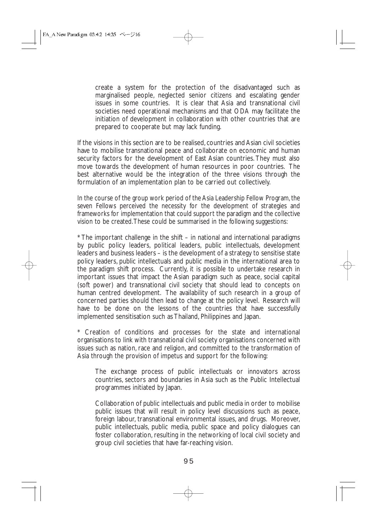create a system for the protection of the disadvantaged such as marginalised people, neglected senior citizens and escalating gender issues in some countries. It is clear that Asia and transnational civil societies need operational mechanisms and that ODA may facilitate the initiation of development in collaboration with other countries that are prepared to cooperate but may lack funding.

If the visions in this section are to be realised, countries and Asian civil societies have to mobilise transnational peace and collaborate on economic and human security factors for the development of East Asian countries. They must also move towards the development of human resources in poor countries. The best alternative would be the integration of the three visions through the formulation of an implementation plan to be carried out collectively.

In the course of the group work period of the Asia Leadership Fellow Program, the seven Fellows perceived the necessity for the development of strategies and frameworks for implementation that could support the paradigm and the collective vision to be created.These could be summarised in the following suggestions:

\* The important challenge in the shift – in national and international paradigms by public policy leaders, political leaders, public intellectuals, development leaders and business leaders – is the development of a strategy to sensitise state policy leaders, public intellectuals and public media in the international area to the paradigm shift process. Currently, it is possible to undertake research in important issues that impact the Asian paradigm such as peace, social capital (soft power) and transnational civil society that should lead to concepts on human centred development. The availability of such research in a group of concerned parties should then lead to change at the policy level. Research will have to be done on the lessons of the countries that have successfully implemented sensitisation such as Thailand, Philippines and Japan.

\* Creation of conditions and processes for the state and international organisations to link with transnational civil society organisations concerned with issues such as nation, race and religion, and committed to the transformation of Asia through the provision of impetus and support for the following:

The exchange process of public intellectuals or innovators across countries, sectors and boundaries in Asia such as the Public Intellectual programmes initiated by Japan.

Collaboration of public intellectuals and public media in order to mobilise public issues that will result in policy level discussions such as peace, foreign labour, transnational environmental issues, and drugs. Moreover, public intellectuals, public media, public space and policy dialogues can foster collaboration, resulting in the networking of local civil society and group civil societies that have far-reaching vision.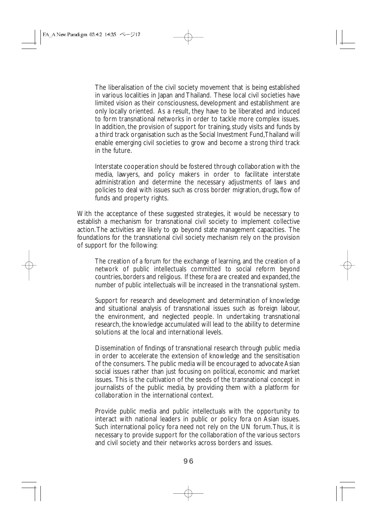The liberalisation of the civil society movement that is being established in various localities in Japan and Thailand. These local civil societies have limited vision as their consciousness, development and establishment are only locally oriented. As a result, they have to be liberated and induced to form transnational networks in order to tackle more complex issues. In addition, the provision of support for training, study visits and funds by a third track organisation such as the Social Investment Fund,Thailand will enable emerging civil societies to grow and become a strong third track in the future.

Interstate cooperation should be fostered through collaboration with the media, lawyers, and policy makers in order to facilitate interstate administration and determine the necessary adjustments of laws and policies to deal with issues such as cross border migration, drugs, flow of funds and property rights.

With the acceptance of these suggested strategies, it would be necessary to establish a mechanism for transnational civil society to implement collective action.The activities are likely to go beyond state management capacities. The foundations for the transnational civil society mechanism rely on the provision of support for the following:

The creation of a forum for the exchange of learning, and the creation of a network of public intellectuals committed to social reform beyond countries, borders and religious. If these fora are created and expanded, the number of public intellectuals will be increased in the transnational system.

Support for research and development and determination of knowledge and situational analysis of transnational issues such as foreign labour, the environment, and neglected people. In undertaking transnational research, the knowledge accumulated will lead to the ability to determine solutions at the local and international levels.

Dissemination of findings of transnational research through public media in order to accelerate the extension of knowledge and the sensitisation of the consumers. The public media will be encouraged to advocate Asian social issues rather than just focusing on political, economic and market issues. This is the cultivation of the seeds of the transnational concept in journalists of the public media, by providing them with a platform for collaboration in the international context.

Provide public media and public intellectuals with the opportunity to interact with national leaders in public or policy fora on Asian issues. Such international policy fora need not rely on the UN forum.Thus, it is necessary to provide support for the collaboration of the various sectors and civil society and their networks across borders and issues.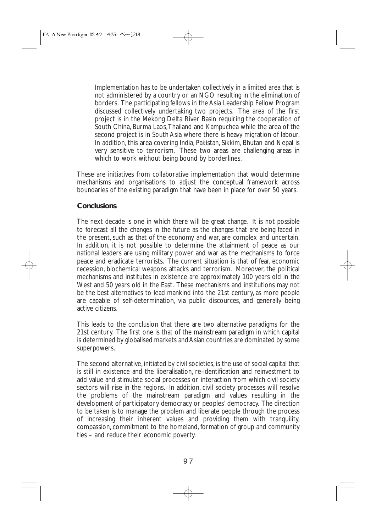Implementation has to be undertaken collectively in a limited area that is not administered by a country or an NGO resulting in the elimination of borders. The participating fellows in the Asia Leadership Fellow Program discussed collectively undertaking two projects. The area of the first project is in the Mekong Delta River Basin requiring the cooperation of South China, Burma Laos,Thailand and Kampuchea while the area of the second project is in South Asia where there is heavy migration of labour. In addition, this area covering India, Pakistan, Sikkim, Bhutan and Nepal is very sensitive to terrorism. These two areas are challenging areas in which to work without being bound by borderlines.

These are initiatives from collaborative implementation that would determine mechanisms and organisations to adjust the conceptual framework across boundaries of the existing paradigm that have been in place for over 50 years.

### **Conclusions**

The next decade is one in which there will be great change. It is not possible to forecast all the changes in the future as the changes that are being faced in the present, such as that of the economy and war, are complex and uncertain. In addition, it is not possible to determine the attainment of peace as our national leaders are using military power and war as the mechanisms to force peace and eradicate terrorists. The current situation is that of fear, economic recession, biochemical weapons attacks and terrorism. Moreover, the political mechanisms and institutes in existence are approximately 100 years old in the West and 50 years old in the East. These mechanisms and institutions may not be the best alternatives to lead mankind into the 21st century, as more people are capable of self-determination, via public discources, and generally being active citizens.

This leads to the conclusion that there are two alternative paradigms for the 21st century. The first one is that of the mainstream paradigm in which capital is determined by globalised markets and Asian countries are dominated by some superpowers.

The second alternative, initiated by civil societies, is the use of social capital that is still in existence and the liberalisation, re-identification and reinvestment to add value and stimulate social processes or interaction from which civil society sectors will rise in the regions. In addition, civil society processes will resolve the problems of the mainstream paradigm and values resulting in the development of participatory democracy or peoples' democracy. The direction to be taken is to manage the problem and liberate people through the process of increasing their inherent values and providing them with tranquility, compassion, commitment to the homeland, formation of group and community ties – and reduce their economic poverty.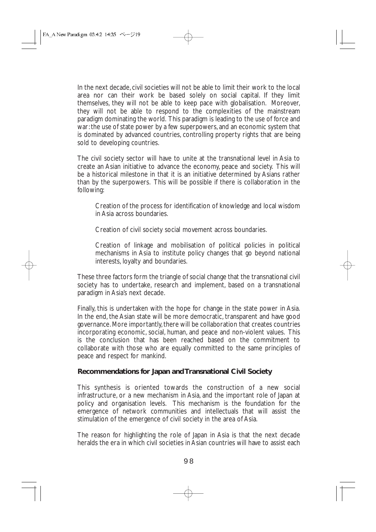In the next decade, civil societies will not be able to limit their work to the local area nor can their work be based solely on social capital. If they limit themselves, they will not be able to keep pace with globalisation. Moreover, they will not be able to respond to the complexities of the mainstream paradigm dominating the world. This paradigm is leading to the use of force and war: the use of state power by a few superpowers, and an economic system that is dominated by advanced countries, controlling property rights that are being sold to developing countries.

The civil society sector will have to unite at the transnational level in Asia to create an Asian initiative to advance the economy, peace and society. This will be a historical milestone in that it is an initiative determined by Asians rather than by the superpowers. This will be possible if there is collaboration in the following:

Creation of the process for identification of knowledge and local wisdom in Asia across boundaries.

Creation of civil society social movement across boundaries.

Creation of linkage and mobilisation of political policies in political mechanisms in Asia to institute policy changes that go beyond national interests, loyalty and boundaries.

These three factors form the triangle of social change that the transnational civil society has to undertake, research and implement, based on a transnational paradigm in Asia's next decade.

Finally, this is undertaken with the hope for change in the state power in Asia. In the end, the Asian state will be more democratic, transparent and have good governance. More importantly, there will be collaboration that creates countries incorporating economic, social, human, and peace and non-violent values. This is the conclusion that has been reached based on the commitment to collaborate with those who are equally committed to the same principles of peace and respect for mankind.

### **Recommendations for Japan and Transnational Civil Society**

This synthesis is oriented towards the construction of a new social infrastructure, or a new mechanism in Asia, and the important role of Japan at policy and organisation levels. This mechanism is the foundation for the emergence of network communities and intellectuals that will assist the stimulation of the emergence of civil society in the area of Asia.

The reason for highlighting the role of Japan in Asia is that the next decade heralds the era in which civil societies in Asian countries will have to assist each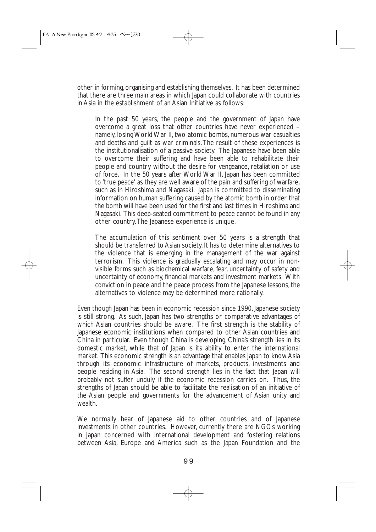other in forming, organising and establishing themselves. It has been determined that there are three main areas in which Japan could collaborate with countries in Asia in the establishment of an Asian Initiative as follows:

In the past 50 years, the people and the government of Japan have overcome a great loss that other countries have never experienced – namely, losing World War II, two atomic bombs, numerous war casualties and deaths and guilt as war criminals.The result of these experiences is the institutionalisation of a passive society. The Japanese have been able to overcome their suffering and have been able to rehabilitate their people and country without the desire for vengeance, retaliation or use of force. In the 50 years after World War II, Japan has been committed to 'true peace' as they are well aware of the pain and suffering of warfare, such as in Hiroshima and Nagasaki. Japan is committed to disseminating information on human suffering caused by the atomic bomb in order that the bomb will have been used for the first and last times in Hiroshima and Nagasaki. This deep-seated commitment to peace cannot be found in any other country.The Japanese experience is unique.

The accumulation of this sentiment over 50 years is a strength that should be transferred to Asian society. It has to determine alternatives to the violence that is emerging in the management of the war against terrorism. This violence is gradually escalating and may occur in nonvisible forms such as biochemical warfare, fear, uncertainty of safety and uncertainty of economy, financial markets and investment markets. With conviction in peace and the peace process from the Japanese lessons, the alternatives to violence may be determined more rationally.

Even though Japan has been in economic recession since 1990, Japanese society is still strong. As such, Japan has two strengths or comparative advantages of which Asian countries should be aware. The first strength is the stability of Japanese economic institutions when compared to other Asian countries and China in particular. Even though China is developing, China's strength lies in its domestic market, while that of Japan is its ability to enter the international market. This economic strength is an advantage that enables Japan to know Asia through its economic infrastructure of markets, products, investments and people residing in Asia. The second strength lies in the fact that Japan will probably not suffer unduly if the economic recession carries on. Thus, the strengths of Japan should be able to facilitate the realisation of an initiative of the Asian people and governments for the advancement of Asian unity and wealth.

We normally hear of Japanese aid to other countries and of Japanese investments in other countries. However, currently there are NGOs working in Japan concerned with international development and fostering relations between Asia, Europe and America such as the Japan Foundation and the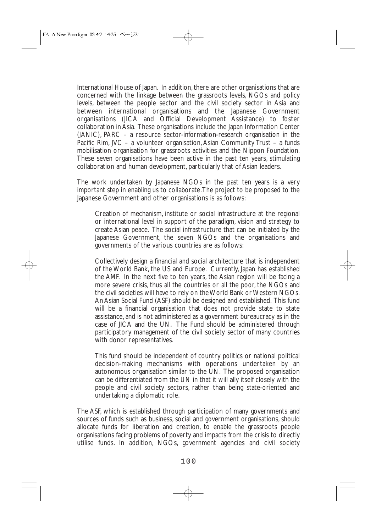International House of Japan. In addition, there are other organisations that are concerned with the linkage between the grassroots levels, NGOs and policy levels, between the people sector and the civil society sector in Asia and between international organisations and the Japanese Government organisations (JICA and Official Development Assistance) to foster collaboration in Asia. These organisations include the Japan Information Center (JANIC), PARC – a resource sector-information-research organisation in the Pacific Rim, JVC – a volunteer organisation, Asian Community Trust – a funds mobilisation organisation for grassroots activities and the Nippon Foundation. These seven organisations have been active in the past ten years, stimulating collaboration and human development, particularly that of Asian leaders.

The work undertaken by Japanese NGOs in the past ten years is a very important step in enabling us to collaborate.The project to be proposed to the Japanese Government and other organisations is as follows:

Creation of mechanism, institute or social infrastructure at the regional or international level in support of the paradigm, vision and strategy to create Asian peace. The social infrastructure that can be initiated by the Japanese Government, the seven NGOs and the organisations and governments of the various countries are as follows:

Collectively design a financial and social architecture that is independent of the World Bank, the US and Europe. Currently, Japan has established the AMF. In the next five to ten years, the Asian region will be facing a more severe crisis, thus all the countries or all the poor, the NGOs and the civil societies will have to rely on the World Bank or Western NGOs. An Asian Social Fund (ASF) should be designed and established. This fund will be a financial organisation that does not provide state to state assistance, and is not administered as a government bureaucracy as in the case of JICA and the UN. The Fund should be administered through participatory management of the civil society sector of many countries with donor representatives.

This fund should be independent of country politics or national political decision-making mechanisms with operations undertaken by an autonomous organisation similar to the UN. The proposed organisation can be differentiated from the UN in that it will ally itself closely with the people and civil society sectors, rather than being state-oriented and undertaking a diplomatic role.

The ASF, which is established through participation of many governments and sources of funds such as business, social and government organisations, should allocate funds for liberation and creation, to enable the grassroots people organisations facing problems of poverty and impacts from the crisis to directly utilise funds. In addition, NGOs, government agencies and civil society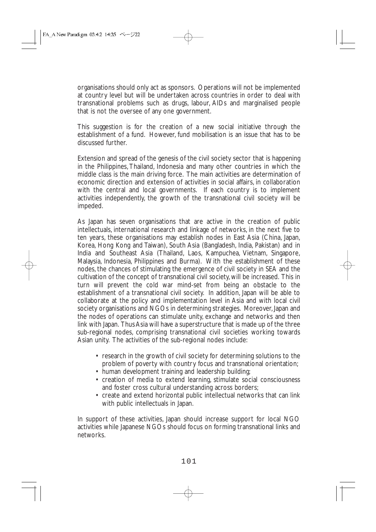organisations should only act as sponsors. Operations will not be implemented at country level but will be undertaken across countries in order to deal with transnational problems such as drugs, labour, AIDs and marginalised people that is not the oversee of any one government.

This suggestion is for the creation of a new social initiative through the establishment of a fund. However, fund mobilisation is an issue that has to be discussed further.

Extension and spread of the genesis of the civil society sector that is happening in the Philippines, Thailand, Indonesia and many other countries in which the middle class is the main driving force. The main activities are determination of economic direction and extension of activities in social affairs, in collaboration with the central and local governments. If each country is to implement activities independently, the growth of the transnational civil society will be impeded.

As Japan has seven organisations that are active in the creation of public intellectuals, international research and linkage of networks, in the next five to ten years, these organisations may establish nodes in East Asia (China, Japan, Korea, Hong Kong and Taiwan), South Asia (Bangladesh, India, Pakistan) and in India and Southeast Asia (Thailand, Laos, Kampuchea, Vietnam, Singapore, Malaysia, Indonesia, Philippines and Burma). With the establishment of these nodes, the chances of stimulating the emergence of civil society in SEA and the cultivation of the concept of transnational civil society, will be increased. This in turn will prevent the cold war mind-set from being an obstacle to the establishment of a transnational civil society. In addition, Japan will be able to collaborate at the policy and implementation level in Asia and with local civil society organisations and NGOs in determining strategies. Moreover, Japan and the nodes of operations can stimulate unity, exchange and networks and then link with Japan. Thus Asia will have a superstructure that is made up of the three sub-regional nodes, comprising transnational civil societies working towards Asian unity. The activities of the sub-regional nodes include:

- research in the growth of civil society for determining solutions to the problem of poverty with country focus and transnational orientation;
- human development training and leadership building;
- creation of media to extend learning, stimulate social consciousness and foster cross cultural understanding across borders;
- create and extend horizontal public intellectual networks that can link with public intellectuals in Japan.

In support of these activities, Japan should increase support for local NGO activities while Japanese NGOs should focus on forming transnational links and networks.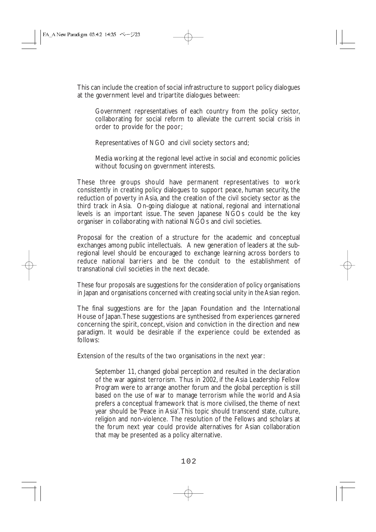This can include the creation of social infrastructure to support policy dialogues at the government level and tripartite dialogues between:

Government representatives of each country from the policy sector, collaborating for social reform to alleviate the current social crisis in order to provide for the poor;

Representatives of NGO and civil society sectors and;

Media working at the regional level active in social and economic policies without focusing on government interests.

These three groups should have permanent representatives to work consistently in creating policy dialogues to support peace, human security, the reduction of poverty in Asia, and the creation of the civil society sector as the third track in Asia. On-going dialogue at national, regional and international levels is an important issue. The seven Japanese NGOs could be the key organiser in collaborating with national NGOs and civil societies.

Proposal for the creation of a structure for the academic and conceptual exchanges among public intellectuals. A new generation of leaders at the subregional level should be encouraged to exchange learning across borders to reduce national barriers and be the conduit to the establishment of transnational civil societies in the next decade.

These four proposals are suggestions for the consideration of policy organisations in Japan and organisations concerned with creating social unity in the Asian region.

The final suggestions are for the Japan Foundation and the International House of Japan.These suggestions are synthesised from experiences garnered concerning the spirit, concept, vision and conviction in the direction and new paradigm. It would be desirable if the experience could be extended as follows:

Extension of the results of the two organisations in the next year:

September 11, changed global perception and resulted in the declaration of the war against terrorism. Thus in 2002, if the Asia Leadership Fellow Program were to arrange another forum and the global perception is still based on the use of war to manage terrorism while the world and Asia prefers a conceptual framework that is more civilised, the theme of next year should be 'Peace in Asia'.This topic should transcend state, culture, religion and non-violence. The resolution of the Fellows and scholars at the forum next year could provide alternatives for Asian collaboration that may be presented as a policy alternative.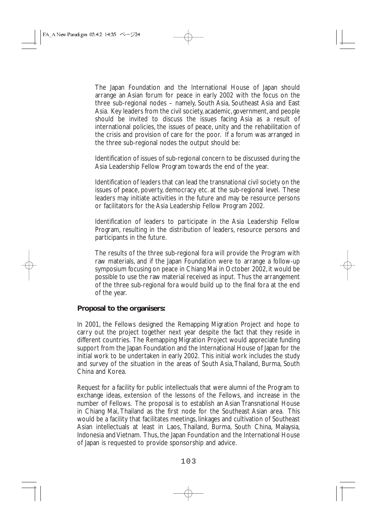The Japan Foundation and the International House of Japan should arrange an Asian forum for peace in early 2002 with the focus on the three sub-regional nodes – namely, South Asia, Southeast Asia and East Asia. Key leaders from the civil society,academic,government,and people should be invited to discuss the issues facing Asia as a result of international policies, the issues of peace, unity and the rehabilitation of the crisis and provision of care for the poor. If a forum was arranged in the three sub-regional nodes the output should be:

Identification of issues of sub-regional concern to be discussed during the Asia Leadership Fellow Program towards the end of the year.

Identification of leaders that can lead the transnational civil society on the issues of peace, poverty, democracy etc. at the sub-regional level. These leaders may initiate activities in the future and may be resource persons or facilitators for the Asia Leadership Fellow Program 2002.

Identification of leaders to participate in the Asia Leadership Fellow Program, resulting in the distribution of leaders, resource persons and participants in the future.

The results of the three sub-regional fora will provide the Program with raw materials, and if the Japan Foundation were to arrange a follow-up symposium focusing on peace in Chiang Mai in October 2002, it would be possible to use the raw material received as input. Thus the arrangement of the three sub-regional fora would build up to the final fora at the end of the year.

#### **Proposal to the organisers:**

In 2001, the Fellows designed the Remapping Migration Project and hope to carry out the project together next year despite the fact that they reside in different countries. The Remapping Migration Project would appreciate funding support from the Japan Foundation and the International House of Japan for the initial work to be undertaken in early 2002. This initial work includes the study and survey of the situation in the areas of South Asia, Thailand, Burma, South China and Korea.

Request for a facility for public intellectuals that were alumni of the Program to exchange ideas, extension of the lessons of the Fellows, and increase in the number of Fellows. The proposal is to establish an Asian Transnational House in Chiang Mai, Thailand as the first node for the Southeast Asian area. This would be a facility that facilitates meetings, linkages and cultivation of Southeast Asian intellectuals at least in Laos, Thailand, Burma, South China, Malaysia, Indonesia and Vietnam. Thus, the Japan Foundation and the International House of Japan is requested to provide sponsorship and advice.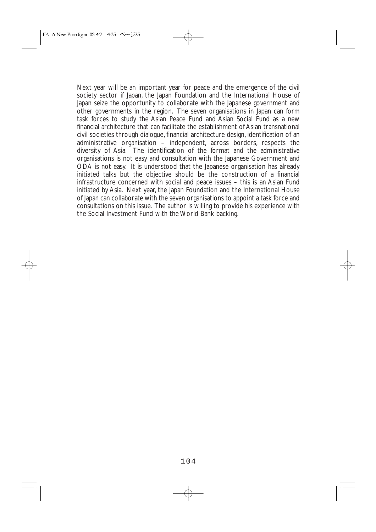Next year will be an important year for peace and the emergence of the civil society sector if Japan, the Japan Foundation and the International House of Japan seize the opportunity to collaborate with the Japanese government and other governments in the region. The seven organisations in Japan can form task forces to study the Asian Peace Fund and Asian Social Fund as a new financial architecture that can facilitate the establishment of Asian transnational civil societies through dialogue, financial architecture design, identification of an administrative organisation – independent, across borders, respects the diversity of Asia. The identification of the format and the administrative organisations is not easy and consultation with the Japanese Government and ODA is not easy. It is understood that the Japanese organisation has already initiated talks but the objective should be the construction of a financial infrastructure concerned with social and peace issues – this is an Asian Fund initiated by Asia. Next year, the Japan Foundation and the International House of Japan can collaborate with the seven organisations to appoint a task force and consultations on this issue. The author is willing to provide his experience with the Social Investment Fund with the World Bank backing.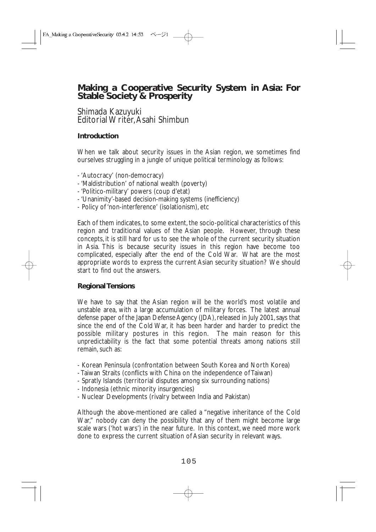# **Making a Cooperative Security System in Asia: For Stable Society & Prosperity**

### Shimada Kazuyuki Editorial Writer,Asahi Shimbun

# **Introduction**

When we talk about security issues in the Asian region, we sometimes find ourselves struggling in a jungle of unique political terminology as follows:

- 'Autocracy' (non-democracy)
- 'Maldistribution' of national wealth (poverty)
- 'Politico-military' powers (coup d'etat)
- 'Unanimity'-based decision-making systems (inefficiency)
- Policy of 'non-interference' (isolationism), etc

Each of them indicates, to some extent, the socio-political characteristics of this region and traditional values of the Asian people. However, through these concepts, it is still hard for us to see the whole of the current security situation in Asia. This is because security issues in this region have become too complicated, especially after the end of the Cold War. What are the most appropriate words to express the current Asian security situation? We should start to find out the answers.

#### **Regional Tensions**

We have to say that the Asian region will be the world's most volatile and unstable area, with a large accumulation of military forces. The latest annual defense paper of the Japan Defense Agency (JDA), released in July 2001, says that since the end of the Cold War, it has been harder and harder to predict the possible military postures in this region. The main reason for this unpredictability is the fact that some potential threats among nations still remain, such as:

- Korean Peninsula (confrontation between South Korea and North Korea)
- Taiwan Straits (conflicts with China on the independence of Taiwan)
- Spratly Islands (territorial disputes among six surrounding nations)
- Indonesia (ethnic minority insurgencies)
- Nuclear Developments (rivalry between India and Pakistan)

Although the above-mentioned are called a "negative inheritance of the Cold War," nobody can deny the possibility that any of them might become large scale wars ('hot wars') in the near future. In this context, we need more work done to express the current situation of Asian security in relevant ways.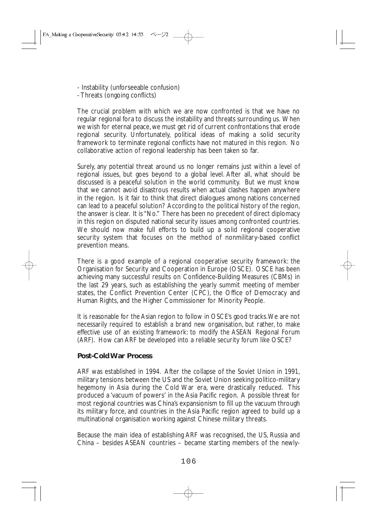- Instability (unforseeable confusion)
- Threats (ongoing conflicts)

The crucial problem with which we are now confronted is that we have no regular regional fora to discuss the instability and threats surrounding us. When we wish for eternal peace, we must get rid of current confrontations that erode regional security. Unfortunately, political ideas of making a solid security framework to terminate regional conflicts have not matured in this region. No collaborative action of regional leadership has been taken so far.

Surely, any potential threat around us no longer remains just within a level of regional issues, but goes beyond to a global level. After all, what should be discussed is a peaceful solution in the world community. But we must know that we cannot avoid disastrous results when actual clashes happen anywhere in the region. Is it fair to think that direct dialogues among nations concerned can lead to a peaceful solution? According to the political history of the region, the answer is clear. It is "No." There has been no precedent of direct diplomacy in this region on disputed national security issues among confronted countries. We should now make full efforts to build up a solid regional cooperative security system that focuses on the method of nonmilitary-based conflict prevention means.

There is a good example of a regional cooperative security framework: the Organisation for Security and Cooperation in Europe (OSCE). OSCE has been achieving many successful results on Confidence-Building Measures (CBMs) in the last 29 years, such as establishing the yearly summit meeting of member states, the Conflict Prevention Center (CPC), the Office of Democracy and Human Rights, and the Higher Commissioner for Minority People.

It is reasonable for the Asian region to follow in OSCE's good tracks.We are not necessarily required to establish a brand new organisation, but rather, to make effective use of an existing framework: to modify the ASEAN Regional Forum (ARF). How can ARF be developed into a reliable security forum like OSCE?

# **Post-Cold War Process**

ARF was established in 1994. After the collapse of the Soviet Union in 1991, military tensions between the US and the Soviet Union seeking politico-military hegemony in Asia during the Cold War era, were drastically reduced. This produced a 'vacuum of powers' in the Asia Pacific region. A possible threat for most regional countries was China's expansionism to fill up the vacuum through its military force, and countries in the Asia Pacific region agreed to build up a multinational organisation working against Chinese military threats.

Because the main idea of establishing ARF was recognised, the US, Russia and China – besides ASEAN countries – became starting members of the newly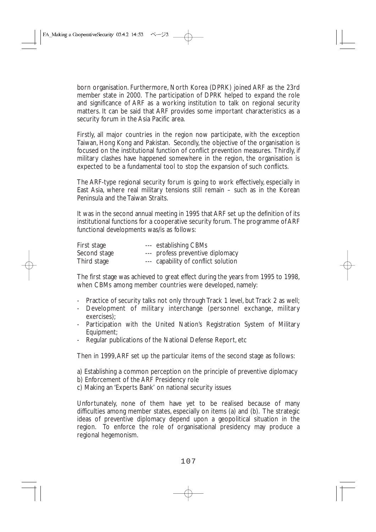born organisation. Furthermore, North Korea (DPRK) joined ARF as the 23rd member state in 2000. The participation of DPRK helped to expand the role and significance of ARF as a working institution to talk on regional security matters. It can be said that ARF provides some important characteristics as a security forum in the Asia Pacific area.

Firstly, all major countries in the region now participate, with the exception Taiwan, Hong Kong and Pakistan. Secondly, the objective of the organisation is focused on the institutional function of conflict prevention measures. Thirdly, if military clashes have happened somewhere in the region, the organisation is expected to be a fundamental tool to stop the expansion of such conflicts.

The ARF-type regional security forum is going to work effectively, especially in East Asia, where real military tensions still remain – such as in the Korean Peninsula and the Taiwan Straits.

It was in the second annual meeting in 1995 that ARF set up the definition of its institutional functions for a cooperative security forum. The programme of ARF functional developments was/is as follows:

| First stage  | --- establishing CBMs               |
|--------------|-------------------------------------|
| Second stage | --- profess preventive diplomacy    |
| Third stage  | --- capability of conflict solution |

The first stage was achieved to great effect during the years from 1995 to 1998, when CBMs among member countries were developed, namely:

- Practice of security talks not only through Track 1 level, but Track 2 as well;
- Development of military interchange (personnel exchange, military exercises);
- Participation with the United Nation's Registration System of Military Equipment;
- Regular publications of the National Defense Report, etc

Then in 1999,ARF set up the particular items of the second stage as follows:

- a) Establishing a common perception on the principle of preventive diplomacy
- b) Enforcement of the ARF Presidency role
- c) Making an 'Experts Bank' on national security issues

Unfortunately, none of them have yet to be realised because of many difficulties among member states, especially on items (a) and (b). The strategic ideas of preventive diplomacy depend upon a geopolitical situation in the region. To enforce the role of organisational presidency may produce a regional hegemonism.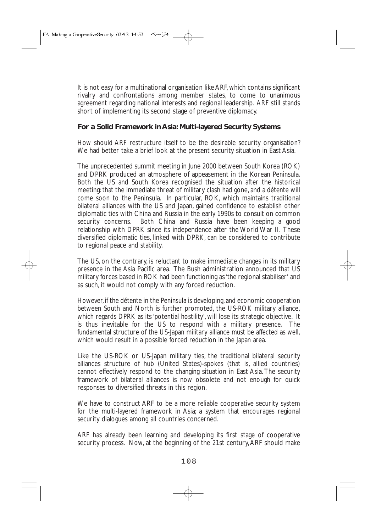It is not easy for a multinational organisation like ARF, which contains significant rivalry and confrontations among member states, to come to unanimous agreement regarding national interests and regional leadership. ARF still stands short of implementing its second stage of preventive diplomacy.

### **For a Solid Framework in Asia: Multi-layered Security Systems**

How should ARF restructure itself to be the desirable security organisation? We had better take a brief look at the present security situation in East Asia.

The unprecedented summit meeting in June 2000 between South Korea (ROK) and DPRK produced an atmosphere of appeasement in the Korean Peninsula. Both the US and South Korea recognised the situation after the historical meeting: that the immediate threat of military clash had gone, and a détente will come soon to the Peninsula. In particular, ROK, which maintains traditional bilateral alliances with the US and Japan, gained confidence to establish other diplomatic ties with China and Russia in the early 1990s to consult on common security concerns. Both China and Russia have been keeping a good relationship with DPRK since its independence after the World War II. These diversified diplomatic ties, linked with DPRK, can be considered to contribute to regional peace and stability.

The US, on the contrary, is reluctant to make immediate changes in its military presence in the Asia Pacific area. The Bush administration announced that US military forces based in ROK had been functioning as 'the regional stabiliser' and as such, it would not comply with any forced reduction.

However, if the détente in the Peninsula is developing, and economic cooperation between South and North is further promoted, the US-ROK military alliance, which regards DPRK as its 'potential hostility', will lose its strategic objective. It is thus inevitable for the US to respond with a military presence. The fundamental structure of the US-Japan military alliance must be affected as well, which would result in a possible forced reduction in the Japan area.

Like the US-ROK or US-Japan military ties, the traditional bilateral security alliances structure of hub (United States)-spokes (that is, allied countries) cannot effectively respond to the changing situation in East Asia. The security framework of bilateral alliances is now obsolete and not enough for quick responses to diversified threats in this region.

We have to construct ARF to be a more reliable cooperative security system for the multi-layered framework in Asia; a system that encourages regional security dialogues among all countries concerned.

ARF has already been learning and developing its first stage of cooperative security process. Now, at the beginning of the 21st century, ARF should make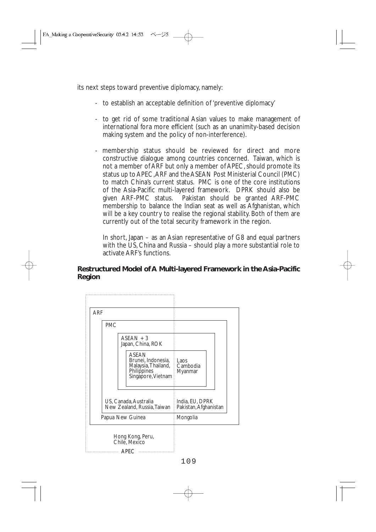its next steps toward preventive diplomacy, namely:

- to establish an acceptable definition of 'preventive diplomacy'
- to get rid of some traditional Asian values to make management of international fora more efficient (such as an unanimity-based decision making system and the policy of non-interference).
- membership status should be reviewed for direct and more constructive dialogue among countries concerned. Taiwan, which is not a member of ARF but only a member of APEC, should promote its status up to APEC,ARF and the ASEAN Post Ministerial Council (PMC) to match China's current status. PMC is one of the core institutions of the Asia-Pacific multi-layered framework. DPRK should also be given ARF-PMC status. Pakistan should be granted ARF-PMC membership to balance the Indian seat as well as Afghanistan, which will be a key country to realise the regional stability. Both of them are currently out of the total security framework in the region.

In short, Japan – as an Asian representative of G8 and equal partners with the US, China and Russia – should play a more substantial role to activate ARF's functions.

### **Restructured Model of A Multi-layered Framework in the Asia-Pacific Region**

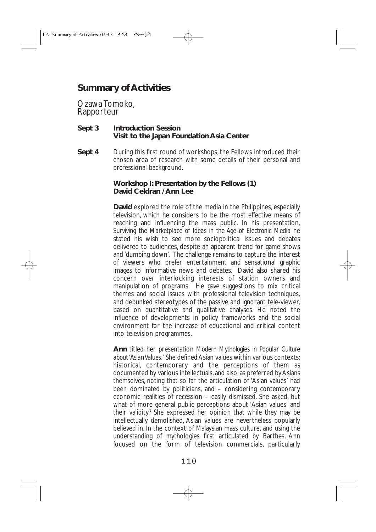# **Summary of Activities**

Ozawa Tomoko, Rapporteur

#### **Sept 3 Introduction Session Visit to the Japan Foundation Asia Center**

**Sept 4** During this first round of workshops, the Fellows introduced their chosen area of research with some details of their personal and professional background.

#### **Workshop I: Presentation by the Fellows (1) David Celdran / Ann Lee**

**David** explored the role of the media in the Philippines, especially television, which he considers to be the most effective means of reaching and influencing the mass public. In his presentation, *Surviving the Marketplace of Ideas in the Age of Electronic Media* he stated his wish to see more sociopolitical issues and debates delivered to audiences, despite an apparent trend for game shows and 'dumbing down'. The challenge remains to capture the interest of viewers who prefer entertainment and sensational graphic images to informative news and debates. David also shared his concern over interlocking interests of station owners and manipulation of programs. He gave suggestions to mix critical themes and social issues with professional television techniques, and debunked stereotypes of the passive and ignorant tele-viewer, based on quantitative and qualitative analyses. He noted the influence of developments in policy frameworks and the social environment for the increase of educational and critical content into television programmes.

**Ann** titled her presentation *Modern Mythologies in Popular Culture about 'Asian Values.*' She defined Asian values within various contexts; historical, contemporary and the perceptions of them as documented by various intellectuals, and also, as preferred by Asians themselves, noting that so far the articulation of 'Asian values' had been dominated by politicians, and – considering contemporary economic realities of recession – easily dismissed. She asked, but what of more general public perceptions about 'Asian values' and their validity? She expressed her opinion that while they may be intellectually demolished, Asian values are nevertheless popularly believed in. In the context of Malaysian mass culture, and using the understanding of mythologies first articulated by Barthes, Ann focused on the form of television commercials, particularly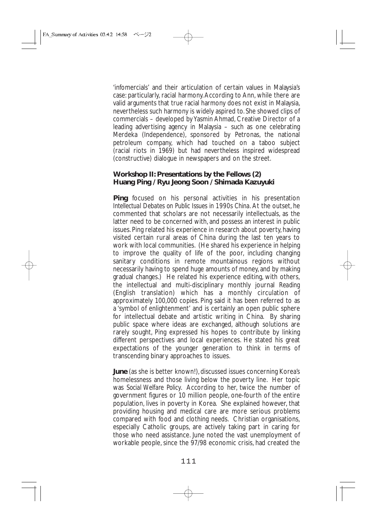'infomercials' and their articulation of certain values in Malaysia's case: particularly, racial harmony.According to Ann, while there are valid arguments that true racial harmony does not exist in Malaysia, nevertheless such harmony is widely aspired to. She showed clips of commercials – developed by Yasmin Ahmad, Creative Director of a leading advertising agency in Malaysia – such as one celebrating Merdeka (Independence), sponsored by Petronas, the national petroleum company, which had touched on a taboo subject (racial riots in 1969) but had nevertheless inspired widespread (constructive) dialogue in newspapers and on the street.

#### **Workshop II: Presentations by the Fellows (2) Huang Ping / Ryu Jeong Soon / Shimada Kazuyuki**

**Ping** focused on his personal activities in his presentation *Intellectual Debates on Public Issues in 1990s China.* At the outset, he commented that scholars are not necessarily intellectuals, as the latter need to be concerned with, and possess an interest in public issues. Ping related his experience in research about poverty, having visited certain rural areas of China during the last ten years to work with local communities. (He shared his experience in helping to improve the quality of life of the poor, including changing sanitary conditions in remote mountainous regions without necessarily having to spend huge amounts of money, and by making gradual changes.) He related his experience editing, with others, the intellectual and multi-disciplinary monthly journal *Reading* (English translation) which has a monthly circulation of approximately 100,000 copies. Ping said it has been referred to as a 'symbol of enlightenment' and is certainly an open public sphere for intellectual debate and artistic writing in China. By sharing public space where ideas are exchanged, although solutions are rarely sought, Ping expressed his hopes to contribute by linking different perspectives and local experiences. He stated his great expectations of the younger generation to think in terms of transcending binary approaches to issues.

**June** (as she is better known!), discussed issues concerning Korea's homelessness and those living below the poverty line. Her topic was *Social Welfare Policy*. According to her, twice the number of government figures or 10 million people, one-fourth of the entire population, lives in poverty in Korea. She explained however, that providing housing and medical care are more serious problems compared with food and clothing needs. Christian organisations, especially Catholic groups, are actively taking part in caring for those who need assistance. June noted the vast unemployment of workable people, since the 97/98 economic crisis, had created the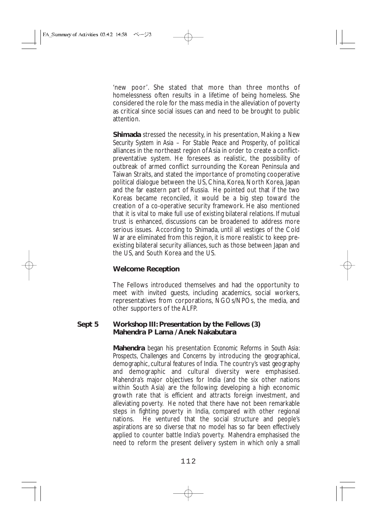'new poor'. She stated that more than three months of homelessness often results in a lifetime of being homeless. She considered the role for the mass media in the alleviation of poverty as critical since social issues can and need to be brought to public attention.

**Shimada** stressed the necessity, in his presentation, *Making a New Security System in Asia* – *For Stable Peace and Prosperity*, of political alliances in the northeast region of Asia in order to create a conflictpreventative system. He foresees as realistic, the possibility of outbreak of armed conflict surrounding the Korean Peninsula and Taiwan Straits, and stated the importance of promoting cooperative political dialogue between the US, China, Korea, North Korea, Japan and the far eastern part of Russia. He pointed out that if the two Koreas became reconciled, it would be a big step toward the creation of a co-operative security framework. He also mentioned that it is vital to make full use of existing bilateral relations. If mutual trust is enhanced, discussions can be broadened to address more serious issues. According to Shimada, until all vestiges of the Cold War are eliminated from this region, it is more realistic to keep preexisting bilateral security alliances, such as those between Japan and the US, and South Korea and the US.

#### **Welcome Reception**

The Fellows introduced themselves and had the opportunity to meet with invited guests, including academics, social workers, representatives from corporations, NGOs/NPOs, the media, and other supporters of the ALFP.

#### **Sept 5 Workshop III: Presentation by the Fellows (3) Mahendra P Lama / Anek Nakabutara**

**Mahendra** began his presentation *Economic Reforms in South Asia: Prospects, Challenges and Concerns* by introducing the geographical, demographic, cultural features of India. The country's vast geography and demographic and cultural diversity were emphasised. Mahendra's major objectives for India (and the six other nations within South Asia) are the following: developing a high economic growth rate that is efficient and attracts foreign investment, and alleviating poverty. He noted that there have not been remarkable steps in fighting poverty in India, compared with other regional nations. He ventured that the social structure and people's aspirations are so diverse that no model has so far been effectively applied to counter battle India's poverty. Mahendra emphasised the need to reform the present delivery system in which only a small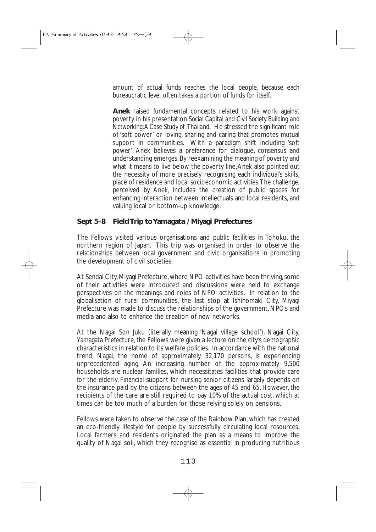amount of actual funds reaches the local people, because each bureaucratic level often takes a portion of funds for itself.

**Anek** raised fundamental concepts related to his work against poverty in his presentation *Social Capital and Civil Society Building and Networking:A Case Study of Thailand.* He stressed the significant role of 'soft power' or loving, sharing and caring that promotes mutual support in communities. With a paradigm shift including 'soft power', Anek believes a preference for dialogue, consensus and understanding emerges. By reexamining the meaning of poverty and what it means to live below the poverty line,Anek also pointed out the necessity of more precisely recognising each individual's skills, place of residence and local socioeconomic activities.The challenge, perceived by Anek, includes the creation of public spaces for enhancing interaction between intellectuals and local residents, and valuing local or bottom-up knowledge.

## **Sept 5–8 Field Trip to Yamagata / Miyagi Prefectures**

The Fellows visited various organisations and public facilities in Tohoku, the northern region of Japan. This trip was organised in order to observe the relationships between local government and civic organisations in promoting the development of civil societies.

At Sendai City,Miyagi Prefecture,where NPO activities have been thriving,some of their activities were introduced and discussions were held to exchange perspectives on the meanings and roles of NPO activities. In relation to the globalisation of rural communities, the last stop at Ishinomaki City, Miyagi Prefecture was made to discuss the relationships of the government, NPOs and media and also to enhance the creation of new networks.

At the Nagai Son Juku (literally meaning 'Nagai village school'), Nagai City, Yamagata Prefecture, the Fellows were given a lecture on the city's demographic characteristics in relation to its welfare policies. In accordance with the national trend, Nagai, the home of approximately 32,170 persons, is experiencing unprecedented aging. An increasing number of the approximately 9,500 households are nuclear families, which necessitates facilities that provide care for the elderly. Financial support for nursing senior citizens largely depends on the insurance paid by the citizens between the ages of 45 and 65. However, the recipients of the care are still required to pay 10% of the actual cost, which at times can be too much of a burden for those relying solely on pensions.

Fellows were taken to observe the case of the Rainbow Plan, which has created an eco-friendly lifestyle for people by successfully circulating local resources. Local farmers and residents originated the plan as a means to improve the quality of Nagai soil, which they recognise as essential in producing nutritious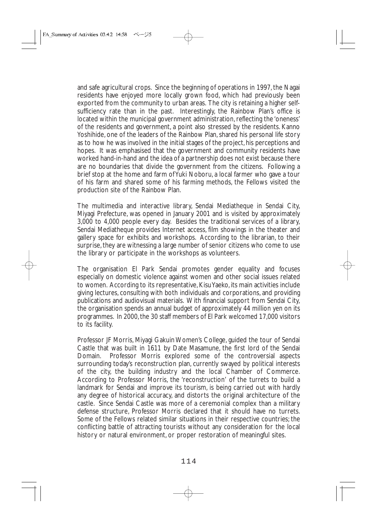and safe agricultural crops. Since the beginning of operations in 1997, the Nagai residents have enjoyed more locally grown food, which had previously been exported from the community to urban areas. The city is retaining a higher selfsufficiency rate than in the past. Interestingly, the Rainbow Plan's office is located within the municipal government administration, reflecting the 'oneness' of the residents and government, a point also stressed by the residents. Kanno Yoshihide, one of the leaders of the Rainbow Plan, shared his personal life story as to how he was involved in the initial stages of the project, his perceptions and hopes. It was emphasised that the government and community residents have worked hand-in-hand and the idea of a partnership does not exist because there are no boundaries that divide the government from the citizens. Following a brief stop at the home and farm of Yuki Noboru, a local farmer who gave a tour of his farm and shared some of his farming methods, the Fellows visited the production site of the Rainbow Plan.

The multimedia and interactive library, Sendai Mediatheque in Sendai City, Miyagi Prefecture, was opened in January 2001 and is visited by approximately 3,000 to 4,000 people every day. Besides the traditional services of a library, Sendai Mediatheque provides Internet access, film showings in the theater and gallery space for exhibits and workshops. According to the librarian, to their surprise, they are witnessing a large number of senior citizens who come to use the library or participate in the workshops as volunteers.

The organisation El Park Sendai promotes gender equality and focuses especially on domestic violence against women and other social issues related to women. According to its representative, Kisu Yaeko, its main activities include giving lectures, consulting with both individuals and corporations, and providing publications and audiovisual materials. With financial support from Sendai City, the organisation spends an annual budget of approximately 44 million yen on its programmes. In 2000, the 30 staff members of El Park welcomed 17,000 visitors to its facility.

Professor JF Morris, Miyagi Gakuin Women's College, guided the tour of Sendai Castle that was built in 1611 by Date Masamune, the first lord of the Sendai Domain. Professor Morris explored some of the controversial aspects surrounding today's reconstruction plan, currently swayed by political interests of the city, the building industry and the local Chamber of Commerce. According to Professor Morris, the 'reconstruction' of the turrets to build a landmark for Sendai and improve its tourism, is being carried out with hardly any degree of historical accuracy, and distorts the original architecture of the castle. Since Sendai Castle was more of a ceremonial complex than a military defense structure, Professor Morris declared that it should have no turrets. Some of the Fellows related similar situations in their respective countries; the conflicting battle of attracting tourists without any consideration for the local history or natural environment, or proper restoration of meaningful sites.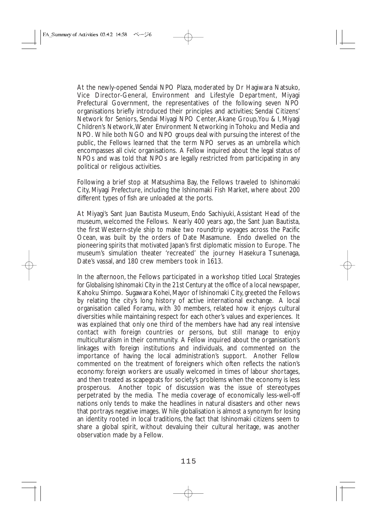At the newly-opened Sendai NPO Plaza, moderated by Dr Hagiwara Natsuko, Vice Director-General, Environment and Lifestyle Department, Miyagi Prefectural Government, the representatives of the following seven NPO organisations briefly introduced their principles and activities; Sendai Citizens' Network for Seniors, Sendai Miyagi NPO Center,Akane Group,You & I, Miyagi Children's Network,Water Environment Networking in Tohoku and Media and NPO. While both NGO and NPO groups deal with pursuing the interest of the public, the Fellows learned that the term NPO serves as an umbrella which encompasses all civic organisations. A Fellow inquired about the legal status of NPOs and was told that NPOs are legally restricted from participating in any political or religious activities.

Following a brief stop at Matsushima Bay, the Fellows traveled to Ishinomaki City, Miyagi Prefecture, including the Ishinomaki Fish Market, where about 200 different types of fish are unloaded at the ports.

At Miyagi's Sant Juan Bautista Museum, Endo Sachiyuki, Assistant Head of the museum, welcomed the Fellows. Nearly 400 years ago, the Sant Juan Bautista, the first Western-style ship to make two roundtrip voyages across the Pacific Ocean, was built by the orders of Date Masamune. Endo dwelled on the pioneering spirits that motivated Japan's first diplomatic mission to Europe. The museum's simulation theater 'recreated' the journey Hasekura Tsunenaga, Date's vassal, and 180 crew members took in 1613.

In the afternoon, the Fellows participated in a workshop titled *Local Strategies for Globalising Ishinomaki City in the 21st Century* at the office of a local newspaper, Kahoku Shimpo. Sugawara Kohei, Mayor of Ishinomaki City, greeted the Fellows by relating the city's long history of active international exchange. A local organisation called Foramu, with 30 members, related how it enjoys cultural diversities while maintaining respect for each other's values and experiences. It was explained that only one third of the members have had any real intensive contact with foreign countries or persons, but still manage to enjoy multiculturalism in their community. A Fellow inquired about the organisation's linkages with foreign institutions and individuals, and commented on the importance of having the local administration's support. Another Fellow commented on the treatment of foreigners which often reflects the nation's economy: foreign workers are usually welcomed in times of labour shortages, and then treated as scapegoats for society's problems when the economy is less prosperous. Another topic of discussion was the issue of stereotypes perpetrated by the media. The media coverage of economically less-well-off nations only tends to make the headlines in natural disasters and other news that portrays negative images. While globalisation is almost a synonym for losing an identity rooted in local traditions, the fact that Ishinomaki citizens seem to share a global spirit, without devaluing their cultural heritage, was another observation made by a Fellow.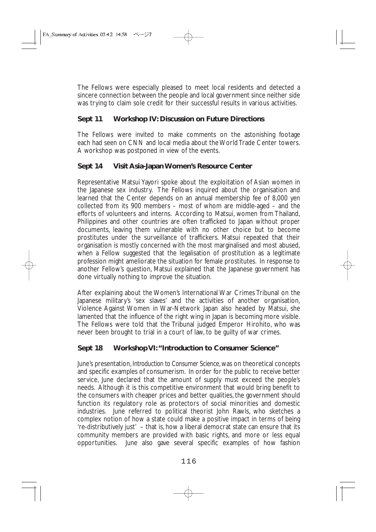The Fellows were especially pleased to meet local residents and detected a sincere connection between the people and local government since neither side was trying to claim sole credit for their successful results in various activities.

# **Sept 11 Workshop IV: Discussion on Future Directions**

The Fellows were invited to make comments on the astonishing footage each had seen on CNN and local media about the World Trade Center towers. A workshop was postponed in view of the events.

# **Sept 14 Visit Asia-Japan Women's Resource Center**

Representative Matsui Yayori spoke about the exploitation of Asian women in the Japanese sex industry. The Fellows inquired about the organisation and learned that the Center depends on an annual membership fee of 8,000 yen collected from its 900 members – most of whom are middle-aged – and the efforts of volunteers and interns. According to Matsui, women from Thailand, Philippines and other countries are often trafficked to Japan without proper documents, leaving them vulnerable with no other choice but to become prostitutes under the surveillance of traffickers. Matsui repeated that their organisation is mostly concerned with the most marginalised and most abused, when a Fellow suggested that the legalisation of prostitution as a legitimate profession might ameliorate the situation for female prostitutes. In response to another Fellow's question, Matsui explained that the Japanese government has done virtually nothing to improve the situation.

After explaining about the Women's International War Crimes Tribunal on the Japanese military's 'sex slaves' and the activities of another organisation, Violence Against Women in War-Network Japan also headed by Matsui, she lamented that the influence of the right wing in Japan is becoming more visible. The Fellows were told that the Tribunal judged Emperor Hirohito, who was never been brought to trial in a court of law, to be guilty of war crimes.

# **Sept 18 Workshop VI:"Introduction to Consumer Science"**

June's presentation, *Introduction to Consumer Science*, was on theoretical concepts and specific examples of consumerism. In order for the public to receive better service, June declared that the amount of supply must exceed the people's needs. Although it is this competitive environment that would bring benefit to the consumers with cheaper prices and better qualities, the government should function its regulatory role as protectors of social minorities and domestic industries. June referred to political theorist John Rawls, who sketches a complex notion of how a state could make a positive impact in terms of being 're-distributively just' – that is, how a liberal democrat state can ensure that its community members are provided with basic rights, and more or less equal opportunities. June also gave several specific examples of how fashion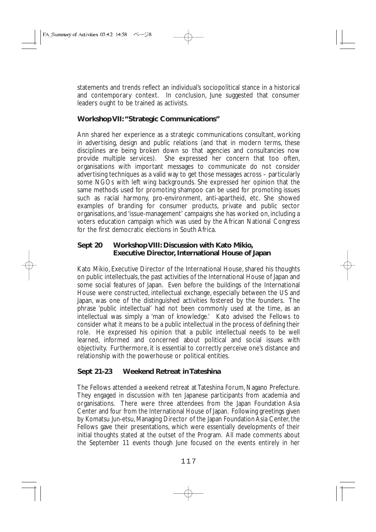statements and trends reflect an individual's sociopolitical stance in a historical and contemporary context. In conclusion, June suggested that consumer leaders ought to be trained as activists.

## **Workshop VII:"Strategic Communications"**

Ann shared her experience as a strategic communications consultant, working in advertising, design and public relations (and that in modern terms, these disciplines are being broken down so that agencies and consultancies now provide multiple services). She expressed her concern that too often, organisations with important messages to communicate do not consider advertising techniques as a valid way to get those messages across – particularly some NGOs with left wing backgrounds. She expressed her opinion that the same methods used for promoting shampoo can be used for promoting issues such as racial harmony, pro-environment, anti-apartheid, etc. She showed examples of branding for consumer products, private and public sector organisations, and 'issue-management' campaigns she has worked on, including a voters education campaign which was used by the African National Congress for the first democratic elections in South Africa.

### **Sept 20 Workshop VIII: Discussion with Kato Mikio, Executive Director, International House of Japan**

Kato Mikio, Executive Director of the International House, shared his thoughts on public intellectuals, the past activities of the International House of Japan and some social features of Japan. Even before the buildings of the International House were constructed, intellectual exchange, especially between the US and Japan, was one of the distinguished activities fostered by the founders. The phrase 'public intellectual' had not been commonly used at the time, as an intellectual was simply a 'man of knowledge.' Kato advised the Fellows to consider what it means to be a public intellectual in the process of defining their role. He expressed his opinion that a public intellectual needs to be well learned, informed and concerned about political and social issues with objectivity. Furthermore, it is essential to correctly perceive one's distance and relationship with the powerhouse or political entities.

# **Sept 21-23 Weekend Retreat in Tateshina**

The Fellows attended a weekend retreat at Tateshina Forum, Nagano Prefecture. They engaged in discussion with ten Japanese participants from academia and organisations. There were three attendees from the Japan Foundation Asia Center and four from the International House of Japan. Following greetings given by Komatsu Jun-etsu, Managing Director of the Japan Foundation Asia Center, the Fellows gave their presentations, which were essentially developments of their initial thoughts stated at the outset of the Program. All made comments about the September 11 events though June focused on the events entirely in her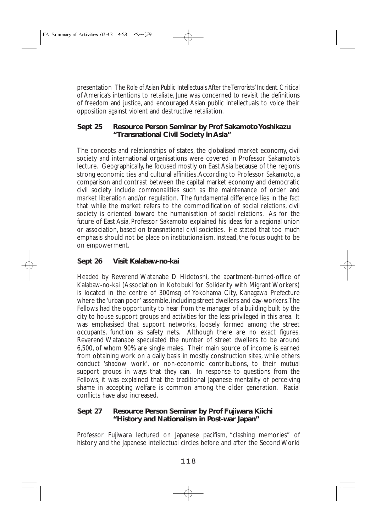presentation *The Role of Asian Public Intellectuals After the Terrorists' Incident*. Critical of America's intentions to retaliate, June was concerned to revisit the definitions of freedom and justice, and encouraged Asian public intellectuals to voice their opposition against violent and destructive retaliation.

## **Sept 25 Resource Person Seminar by Prof Sakamoto Yoshikazu "Transnational Civil Society in Asia"**

The concepts and relationships of states, the globalised market economy, civil society and international organisations were covered in Professor Sakamoto's lecture. Geographically, he focused mostly on East Asia because of the region's strong economic ties and cultural affinities.According to Professor Sakamoto, a comparison and contrast between the capital market economy and democratic civil society include commonalities such as the maintenance of order and market liberation and/or regulation. The fundamental difference lies in the fact that while the market refers to the commodification of social relations, civil society is oriented toward the humanisation of social relations. As for the future of East Asia, Professor Sakamoto explained his ideas for a regional union or association, based on transnational civil societies. He stated that too much emphasis should not be place on institutionalism. Instead, the focus ought to be on empowerment.

# **Sept 26 Visit Kalabaw-no-kai**

Headed by Reverend Watanabe D Hidetoshi, the apartment-turned-office of Kalabaw-no-kai (Association in Kotobuki for Solidarity with Migrant Workers) is located in the centre of 300msq of Yokohama City, Kanagawa Prefecture where the 'urban poor' assemble, including street dwellers and day-workers.The Fellows had the opportunity to hear from the manager of a building built by the city to house support groups and activities for the less privileged in this area. It was emphasised that support networks, loosely formed among the street occupants, function as safety nets. Although there are no exact figures, Reverend Watanabe speculated the number of street dwellers to be around 6,500, of whom 90% are single males. Their main source of income is earned from obtaining work on a daily basis in mostly construction sites, while others conduct 'shadow work', or non-economic contributions, to their mutual support groups in ways that they can. In response to questions from the Fellows, it was explained that the traditional Japanese mentality of perceiving shame in accepting welfare is common among the older generation. Racial conflicts have also increased.

## **Sept 27 Resource Person Seminar by Prof Fujiwara Kiichi "History and Nationalism in Post-war Japan"**

Professor Fujiwara lectured on Japanese pacifism, "clashing memories" of history and the Japanese intellectual circles before and after the Second World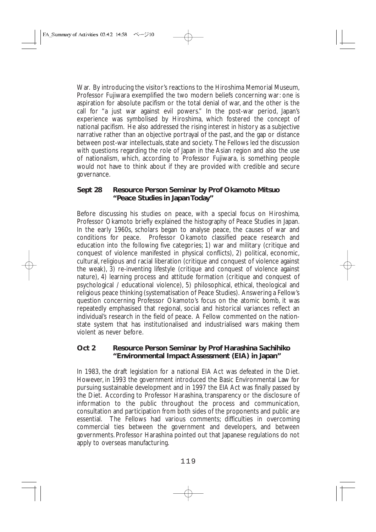War. By introducing the visitor's reactions to the Hiroshima Memorial Museum, Professor Fujiwara exemplified the two modern beliefs concerning war: one is aspiration for absolute pacifism or the total denial of war, and the other is the call for "a just war against evil powers." In the post-war period, Japan's experience was symbolised by Hiroshima, which fostered the concept of national pacifism. He also addressed the rising interest in history as a subjective narrative rather than an objective portrayal of the past, and the gap or distance between post-war intellectuals, state and society. The Fellows led the discussion with questions regarding the role of Japan in the Asian region and also the use of nationalism, which, according to Professor Fujiwara, is something people would not have to think about if they are provided with credible and secure governance.

## **Sept 28 Resource Person Seminar by Prof Okamoto Mitsuo "Peace Studies in Japan Today"**

Before discussing his studies on peace, with a special focus on Hiroshima, Professor Okamoto briefly explained the histography of Peace Studies in Japan. In the early 1960s, scholars began to analyse peace, the causes of war and conditions for peace. Professor Okamoto classified peace research and education into the following five categories; 1) war and military (critique and conquest of violence manifested in physical conflicts), 2) political, economic, cultural, religious and racial liberation (critique and conquest of violence against the weak), 3) re-inventing lifestyle (critique and conquest of violence against nature), 4) learning process and attitude formation (critique and conquest of psychological / educational violence), 5) philosophical, ethical, theological and religious peace thinking (systematisation of Peace Studies). Answering a Fellow's question concerning Professor Okamoto's focus on the atomic bomb, it was repeatedly emphasised that regional, social and historical variances reflect an individual's research in the field of peace. A Fellow commented on the nationstate system that has institutionalised and industrialised wars making them violent as never before.

#### **Oct 2 Resource Person Seminar by Prof Harashina Sachihiko "Environmental Impact Assessment (EIA) in Japan"**

In 1983, the draft legislation for a national EIA Act was defeated in the Diet. However, in 1993 the government introduced the Basic Environmental Law for pursuing sustainable development and in 1997 the EIA Act was finally passed by the Diet. According to Professor Harashina, transparency or the disclosure of information to the public throughout the process and communication, consultation and participation from both sides of the proponents and public are essential. The Fellows had various comments; difficulties in overcoming commercial ties between the government and developers, and between governments. Professor Harashina pointed out that Japanese regulations do not apply to overseas manufacturing.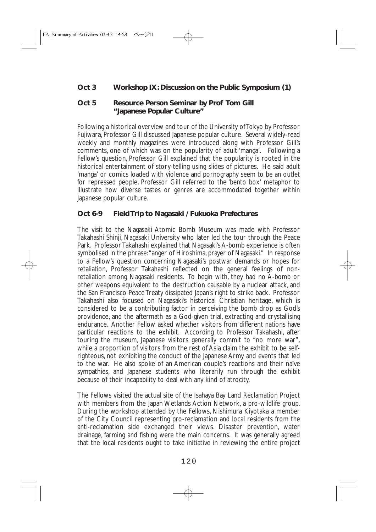## **Oct 3 Workshop IX: Discussion on the Public Symposium (1)**

#### **Oct 5 Resource Person Seminar by Prof Tom Gill "Japanese Popular Culture"**

Following a historical overview and tour of the University of Tokyo by Professor Fujiwara, Professor Gill discussed Japanese popular culture. Several widely-read weekly and monthly magazines were introduced along with Professor Gill's comments, one of which was on the popularity of adult 'manga'. Following a Fellow's question, Professor Gill explained that the popularity is rooted in the historical entertainment of story-telling using slides of pictures. He said adult 'manga' or comics loaded with violence and pornography seem to be an outlet for repressed people. Professor Gill referred to the 'bento box' metaphor to illustrate how diverse tastes or genres are accommodated together within Japanese popular culture.

## **Oct 6-9 Field Trip to Nagasaki / Fukuoka Prefectures**

The visit to the Nagasaki Atomic Bomb Museum was made with Professor Takahashi Shinji, Nagasaki University who later led the tour through the Peace Park. Professor Takahashi explained that Nagasaki's A-bomb experience is often symbolised in the phrase:"anger of Hiroshima, prayer of Nagasaki." In response to a Fellow's question concerning Nagasaki's postwar demands or hopes for retaliation, Professor Takahashi reflected on the general feelings of nonretaliation among Nagasaki residents. To begin with, they had no A-bomb or other weapons equivalent to the destruction causable by a nuclear attack, and the San Francisco Peace Treaty dissipated Japan's right to strike back. Professor Takahashi also focused on Nagasaki's historical Christian heritage, which is considered to be a contributing factor in perceiving the bomb drop as God's providence, and the aftermath as a God-given trial, extracting and crystallising endurance. Another Fellow asked whether visitors from different nations have particular reactions to the exhibit. According to Professor Takahashi, after touring the museum, Japanese visitors generally commit to "no more war", while a proportion of visitors from the rest of Asia claim the exhibit to be selfrighteous, not exhibiting the conduct of the Japanese Army and events that led to the war. He also spoke of an American couple's reactions and their naïve sympathies, and Japanese students who literarily run through the exhibit because of their incapability to deal with any kind of atrocity.

The Fellows visited the actual site of the Isahaya Bay Land Reclamation Project with members from the Japan Wetlands Action Network, a pro-wildlife group. During the workshop attended by the Fellows, Nishimura Kiyotaka a member of the City Council representing pro-reclamation and local residents from the anti-reclamation side exchanged their views. Disaster prevention, water drainage, farming and fishing were the main concerns. It was generally agreed that the local residents ought to take initiative in reviewing the entire project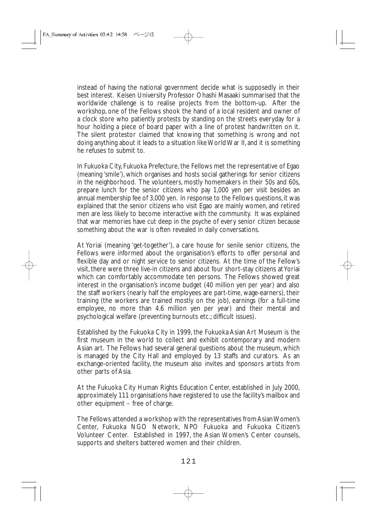instead of having the national government decide what is supposedly in their best interest. Keisen University Professor Ohashi Masaaki summarised that the worldwide challenge is to realise projects from the bottom-up. After the workshop, one of the Fellows shook the hand of a local resident and owner of a clock store who patiently protests by standing on the streets everyday for a hour holding a piece of board paper with a line of protest handwritten on it. The silent protestor claimed that knowing that something is wrong and not doing anything about it leads to a situation like World War II, and it is something he refuses to submit to.

In Fukuoka City, Fukuoka Prefecture, the Fellows met the representative of Egao (meaning 'smile'), which organises and hosts social gatherings for senior citizens in the neighborhood. The volunteers, mostly homemakers in their 50s and 60s, prepare lunch for the senior citizens who pay 1,000 yen per visit besides an annual membership fee of 3,000 yen. In response to the Fellows questions, it was explained that the senior citizens who visit Egao are mainly women, and retired men are less likely to become interactive with the community. It was explained that war memories have cut deep in the psyche of every senior citizen because something about the war is often revealed in daily conversations.

At Yoriai (meaning 'get-together'), a care house for senile senior citizens, the Fellows were informed about the organisation's efforts to offer personal and flexible day and or night service to senior citizens. At the time of the Fellow's visit, there were three live-in citizens and about four short-stay citizens at Yoriai which can comfortably accommodate ten persons. The Fellows showed great interest in the organisation's income budget (40 million yen per year) and also the staff workers (nearly half the employees are part-time, wage-earners), their training (the workers are trained mostly on the job), earnings (for a full-time employee, no more than 4.6 million yen per year) and their mental and psychological welfare (preventing burnouts etc.; difficult issues).

Established by the Fukuoka City in 1999, the Fukuoka Asian Art Museum is the first museum in the world to collect and exhibit contemporary and modern Asian art. The Fellows had several general questions about the museum, which is managed by the City Hall and employed by 13 staffs and curators. As an exchange-oriented facility, the museum also invites and sponsors artists from other parts of Asia.

At the Fukuoka City Human Rights Education Center, established in July 2000, approximately 111 organisations have registered to use the facility's mailbox and other equipment – free of charge.

The Fellows attended a workshop with the representatives from Asian Women's Center, Fukuoka NGO Network, NPO Fukuoka and Fukuoka Citizen's Volunteer Center. Established in 1997, the Asian Women's Center counsels, supports and shelters battered women and their children.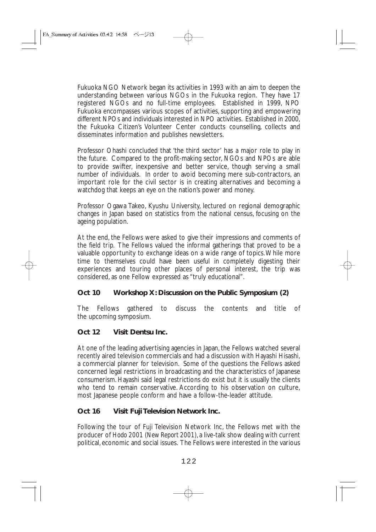Fukuoka NGO Network began its activities in 1993 with an aim to deepen the understanding between various NGOs in the Fukuoka region. They have 17 registered NGOs and no full-time employees. Established in 1999, NPO Fukuoka encompasses various scopes of activities, supporting and empowering different NPOs and individuals interested in NPO activities. Established in 2000, the Fukuoka Citizen's Volunteer Center conducts counselling, collects and disseminates information and publishes newsletters.

Professor Ohashi concluded that 'the third sector' has a major role to play in the future. Compared to the profit-making sector, NGOs and NPOs are able to provide swifter, inexpensive and better service, though serving a small number of individuals. In order to avoid becoming mere sub-contractors, an important role for the civil sector is in creating alternatives and becoming a watchdog that keeps an eye on the nation's power and money.

Professor Ogawa Takeo, Kyushu University, lectured on regional demographic changes in Japan based on statistics from the national census, focusing on the ageing population.

At the end, the Fellows were asked to give their impressions and comments of the field trip. The Fellows valued the informal gatherings that proved to be a valuable opportunity to exchange ideas on a wide range of topics.While more time to themselves could have been useful in completely digesting their experiences and touring other places of personal interest, the trip was considered, as one Fellow expressed as "truly educational".

# **Oct 10 Workshop X: Discussion on the Public Symposium (2)**

The Fellows gathered to discuss the contents and title of the upcoming symposium.

# **Oct 12 Visit Dentsu Inc.**

At one of the leading advertising agencies in Japan, the Fellows watched several recently aired television commercials and had a discussion with Hayashi Hisashi, a commercial planner for television. Some of the questions the Fellows asked concerned legal restrictions in broadcasting and the characteristics of Japanese consumerism. Hayashi said legal restrictions do exist but it is usually the clients who tend to remain conservative. According to his observation on culture, most Japanese people conform and have a follow-the-leader attitude.

# **Oct 16 Visit Fuji Television Network Inc.**

Following the tour of Fuji Television Network Inc, the Fellows met with the producer of *Hodo 2001 (New Report 2001)*, a live-talk show dealing with current political, economic and social issues. The Fellows were interested in the various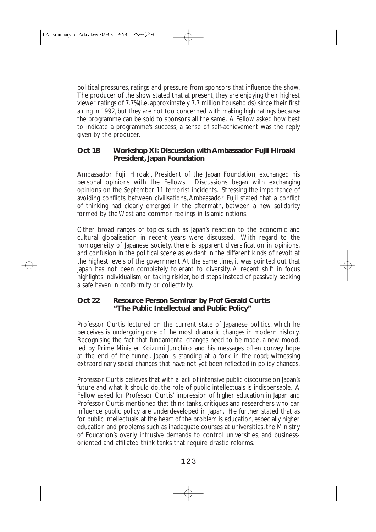political pressures, ratings and pressure from sponsors that influence the show. The producer of the show stated that at present, they are enjoying their highest viewer ratings of 7.7%(i.e. approximately 7.7 million households) since their first airing in 1992, but they are not too concerned with making high ratings because the programme can be sold to sponsors all the same. A Fellow asked how best to indicate a programme's success; a sense of self-achievement was the reply given by the producer.

## **Oct 18 Workshop XI: Discussion with Ambassador Fujii Hiroaki President, Japan Foundation**

Ambassador Fujii Hiroaki, President of the Japan Foundation, exchanged his personal opinions with the Fellows. Discussions began with exchanging opinions on the September 11 terrorist incidents. Stressing the importance of avoiding conflicts between civilisations, Ambassador Fujii stated that a conflict of thinking had clearly emerged in the aftermath, between a new solidarity formed by the West and common feelings in Islamic nations.

Other broad ranges of topics such as Japan's reaction to the economic and cultural globalisation in recent years were discussed. With regard to the homogeneity of Japanese society, there is apparent diversification in opinions, and confusion in the political scene as evident in the different kinds of revolt at the highest levels of the government.At the same time, it was pointed out that Japan has not been completely tolerant to diversity. A recent shift in focus highlights individualism, or taking riskier, bold steps instead of passively seeking a safe haven in conformity or collectivity.

#### **Oct 22 Resource Person Seminar by Prof Gerald Curtis "The Public Intellectual and Public Policy"**

Professor Curtis lectured on the current state of Japanese politics, which he perceives is undergoing one of the most dramatic changes in modern history. Recognising the fact that fundamental changes need to be made, a new mood, led by Prime Minister Koizumi Junichiro and his messages often convey hope at the end of the tunnel. Japan is standing at a fork in the road; witnessing extraordinary social changes that have not yet been reflected in policy changes.

Professor Curtis believes that with a lack of intensive public discourse on Japan's future and what it should do, the role of public intellectuals is indispensable. A Fellow asked for Professor Curtis' impression of higher education in Japan and Professor Curtis mentioned that think tanks, critiques and researchers who can influence public policy are underdeveloped in Japan. He further stated that as for public intellectuals, at the heart of the problem is education, especially higher education and problems such as inadequate courses at universities, the Ministry of Education's overly intrusive demands to control universities, and businessoriented and affiliated think tanks that require drastic reforms.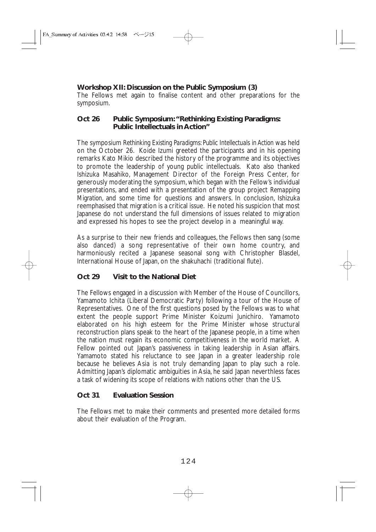## **Workshop XII: Discussion on the Public Symposium (3)**

The Fellows met again to finalise content and other preparations for the symposium.

#### **Oct 26 Public Symposium:"Rethinking Existing Paradigms: Public Intellectuals in Action"**

The symposium *Rethinking Existing Paradigms: Public Intellectuals in Action* was held on the October 26. Koide Izumi greeted the participants and in his opening remarks Kato Mikio described the history of the programme and its objectives to promote the leadership of young public intellectuals. Kato also thanked Ishizuka Masahiko, Management Director of the Foreign Press Center, for generously moderating the symposium, which began with the Fellow's individual presentations, and ended with a presentation of the group project *Remapping Migration*, and some time for questions and answers. In conclusion, Ishizuka reemphasised that migration is a critical issue. He noted his suspicion that most Japanese do not understand the full dimensions of issues related to migration and expressed his hopes to see the project develop in a meaningful way.

As a surprise to their new friends and colleagues, the Fellows then sang (some also danced) a song representative of their own home country, and harmoniously recited a Japanese seasonal song with Christopher Blasdel, International House of Japan, on the shakuhachi (traditional flute).

# **Oct 29 Visit to the National Diet**

The Fellows engaged in a discussion with Member of the House of Councillors, Yamamoto Ichita (Liberal Democratic Party) following a tour of the House of Representatives. One of the first questions posed by the Fellows was to what extent the people support Prime Minister Koizumi Junichiro. Yamamoto elaborated on his high esteem for the Prime Minister whose structural reconstruction plans speak to the heart of the Japanese people, in a time when the nation must regain its economic competitiveness in the world market. A Fellow pointed out Japan's passiveness in taking leadership in Asian affairs. Yamamoto stated his reluctance to see Japan in a greater leadership role because he believes Asia is not truly demanding Japan to play such a role. Admitting Japan's diplomatic ambiguities in Asia, he said Japan neverthless faces a task of widening its scope of relations with nations other than the US.

# **Oct 31 Evaluation Session**

The Fellows met to make their comments and presented more detailed forms about their evaluation of the Program.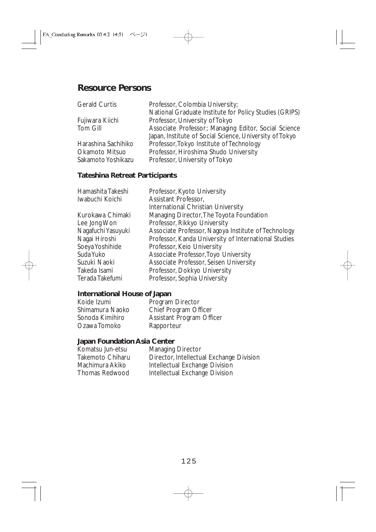# **Resource Persons**

| <b>Gerald Curtis</b> | Professor, Colombia University;                         |
|----------------------|---------------------------------------------------------|
|                      | National Graduate Institute for Policy Studies (GRIPS)  |
| Fujiwara Kiichi      | Professor, University of Tokyo                          |
| Tom Gill             | Associate Professor; Managing Editor, Social Science    |
|                      | Japan, Institute of Social Science, University of Tokyo |
| Harashina Sachihiko  | Professor, Tokyo Institute of Technology                |
| Okamoto Mitsuo       | Professor, Hiroshima Shudo University                   |
| Sakamoto Yoshikazu   | Professor, University of Tokyo                          |

# **Tateshina Retreat Participants**

| Hamashita Takeshi  | Professor, Kyoto University                          |
|--------------------|------------------------------------------------------|
| Iwabuchi Koichi    | Assistant Professor,                                 |
|                    | International Christian University                   |
| Kurokawa Chimaki   | Managing Director, The Toyota Foundation             |
| Lee Jong Won       | Professor, Rikkyo University                         |
| Nagafuchi Yasuyuki | Associate Professor, Nagoya Institute of Technology  |
| Nagai Hiroshi      | Professor, Kanda University of International Studies |
| Soeya Yoshihide    | Professor, Keio University                           |
| Suda Yuko          | Associate Professor, Toyo University                 |
| Suzuki Naoki       | Associate Professor, Seisen University               |
| Takeda Isami       | Professor, Dokkyo University                         |
| Terada Takefumi    | Professor, Sophia University                         |

# **International House of Japan**

| Koide Izumi     | Program Director                 |
|-----------------|----------------------------------|
| Shimamura Naoko | Chief Program Officer            |
| Sonoda Kimihiro | <b>Assistant Program Officer</b> |
| Ozawa Tomoko    | Rapporteur                       |

## **Japan Foundation Asia Center**

| Komatsu Jun-etsu | <b>Managing Director</b>                 |
|------------------|------------------------------------------|
| Takemoto Chiharu | Director, Intellectual Exchange Division |
| Machimura Akiko  | Intellectual Exchange Division           |
| Thomas Redwood   | Intellectual Exchange Division           |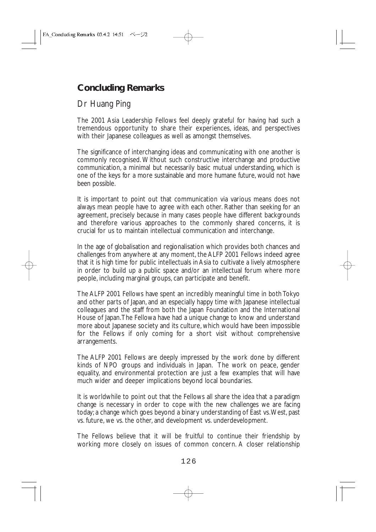# **Concluding Remarks**

# Dr Huang Ping

The 2001 Asia Leadership Fellows feel deeply grateful for having had such a tremendous opportunity to share their experiences, ideas, and perspectives with their Japanese colleagues as well as amongst themselves.

The significance of interchanging ideas and communicating with one another is commonly recognised. Without such constructive interchange and productive communication, a minimal but necessarily basic mutual understanding, which is one of the keys for a more sustainable and more humane future, would not have been possible.

It is important to point out that communication via various means does not always mean people have to agree with each other. Rather than seeking for an agreement, precisely because in many cases people have different backgrounds and therefore various approaches to the commonly shared concerns, it is crucial for us to maintain intellectual communication and interchange.

In the age of globalisation and regionalisation which provides both chances and challenges from anywhere at any moment, the ALFP 2001 Fellows indeed agree that it is high time for public intellectuals in Asia to cultivate a lively atmosphere in order to build up a public space and/or an intellectual forum where more people, including marginal groups, can participate and benefit.

The ALFP 2001 Fellows have spent an incredibly meaningful time in both Tokyo and other parts of Japan, and an especially happy time with Japanese intellectual colleagues and the staff from both the Japan Foundation and the International House of Japan.The Fellowa have had a unique change to know and understand more about Japanese society and its culture, which would have been impossible for the Fellows if only coming for a short visit without comprehensive arrangements.

The ALFP 2001 Fellows are deeply impressed by the work done by different kinds of NPO groups and individuals in Japan. The work on peace, gender equality, and environmental protection are just a few examples that will have much wider and deeper implications beyond local boundaries.

It is worldwhile to point out that the Fellows all share the idea that a paradigm change is necessary in order to cope with the new challenges we are facing today; a change which goes beyond a binary understanding of East vs.West, past vs. future, we vs. the other, and development vs. underdevelopment.

The Fellows believe that it will be fruitful to continue their friendship by working more closely on issues of common concern. A closer relationship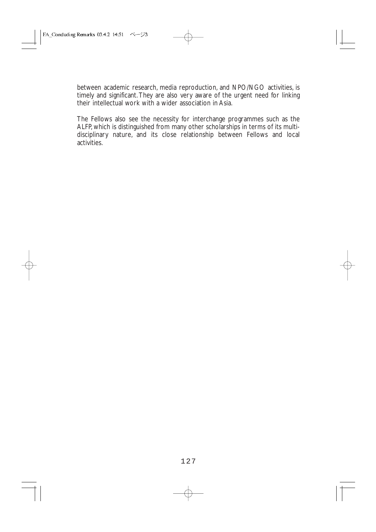between academic research, media reproduction, and NPO/NGO activities, is timely and significant. They are also very aware of the urgent need for linking their intellectual work with a wider association in Asia.

The Fellows also see the necessity for interchange programmes such as the ALFP, which is distinguished from many other scholarships in terms of its multidisciplinary nature, and its close relationship between Fellows and local activities.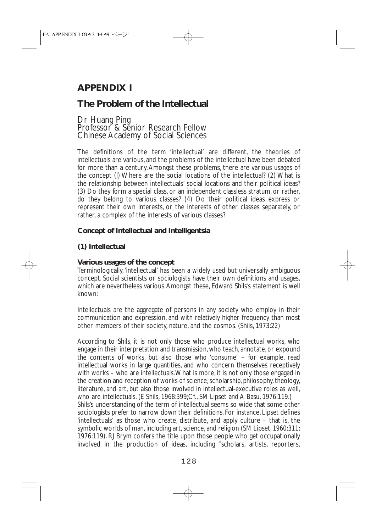# **APPENDIX I**

# **The Problem of the Intellectual**

### Dr Huang Ping Professor<sup>8</sup> & Senior Research Fellow Chinese Academy of Social Sciences

The definitions of the term 'intellectual' are different, the theories of intellectuals are various, and the problems of the intellectual have been debated for more than a century.Amongst these problems, there are various usages of the concept (l) Where are the social locations of the intellectual? (2) What is the relationship between intellectuals' social locations and their political ideas? (3) Do they form a special class, or an independent classless stratum, or rather, do they belong to various classes? (4) Do their political ideas express or represent their own interests, or the interests of other classes separately, or rather, a complex of the interests of various classes?

## **Concept of Intellectual and Intelligentsia**

## **(1) Intellectual**

#### **Various usages of the concept**

Terminologically,'intellectual' has been a widely used but universally ambiguous concept. Social scientists or sociologists have their own definitions and usages, which are nevertheless various.Amongst these, Edward Shils's statement is well known:

Intellectuals are the aggregate of persons in any society who employ in their communication and expression, and with relatively higher frequency than most other members of their society, nature, and the cosmos. (Shils, 1973:22)

According to Shils, it is not only those who produce intellectual works, who engage in their interpretation and transmission, who teach, annotate, or expound the contents of works, but also those who 'consume' – for example, read intellectual works in large quantities, and who concern themselves receptively with works – who are intellectuals.What is more, it is not only those engaged in the creation and reception of works of science, scholarship, philosophy, theology, literature, and art, but also those involved in intellectual-executive roles as well, who are intellectuals. (E Shils, 1968:399;Cf., SM Lipset and A Basu, 1976:119.) Shils's understanding of the term of intellectual seems so wide that some other sociologists prefer to narrow down their definitions. For instance, Lipset defines 'intellectuals' as those who create, distribute, and apply culture – that is, the symbolic worlds of man, including art, science, and religion (SM Lipset, 1960:311; 1976:119). RJ Brym confers the title upon those people who get occupationally involved in the production of ideas, including "scholars, artists, reporters,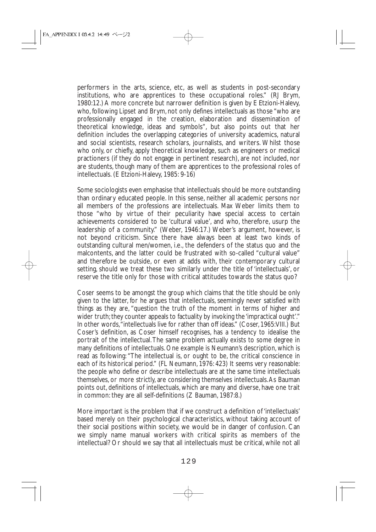performers in the arts, science, etc, as well as students in post-secondary institutions, who are apprentices to these occupational roles." (RJ Brym, 1980:12.) A more concrete but narrower definition is given by E Etzioni-Halevy, who, following Lipset and Brym, not only defines intellectuals as those "who are professionally engaged in the creation, elaboration and dissemination of theoretical knowledge, ideas and symbols", but also points out that her definition includes the overlapping categories of university academics, natural and social scientists, research scholars, journalists, and writers. Whilst those who only, or chiefly, apply theoretical knowledge, such as engineers or medical practioners (if they do not engage in pertinent research), are not included, nor are students, though many of them are apprentices to the professional roles of intellectuals. (E Etzioni-Halevy, 1985: 9-16)

Some sociologists even emphasise that intellectuals should be more outstanding than ordinary educated people. In this sense, neither all academic persons nor all members of the professions are intellectuals. Max Weber limits them to those "who by virtue of their peculiarity have special access to certain achievements considered to be 'cultural value', and who, therefore, usurp the leadership of a community." (Weber, 1946:17.) Weber's argument, however, is not beyond criticism. Since there have always been at least two kinds of outstanding cultural men/women, i.e., the defenders of the status quo and the malcontents, and the latter could be frustrated with so-called "cultural value" and therefore be outside, or even at adds with, their contemporary cultural setting, should we treat these two similarly under the title of 'intellectuals', or reserve the title only for those with critical attitudes towards the status quo?

Coser seems to be amongst the group which claims that the title should be only given to the latter, for he argues that intellectuals, seemingly never satisfied with things as they are, "question the truth of the moment in terms of higher and wider truth; they counter appeals to factuality by invoking the 'impractical ought'." In other words,"intellectuals live for rather than off ideas." (Coser, 1965:VIII.) But Coser's definition, as Coser himself recognises, has a tendency to idealise the portrait of the intellectual.The same problem actually exists to some degree in many definitions of intellectuals. One example is Neumann's description, which is read as following: "The intellectual is, or ought to be, the critical conscience in each of its historical period." (FL Neumann, 1976: 423) It seems very reasonable: the people who define or describe intellectuals are at the same time intellectuals themselves, or more strictly, are considering themselves intellectuals.As Bauman points out, definitions of intellectuals, which are many and diverse, have one trait in common: they are all self-definitions (Z Bauman, 1987:8.)

More important is the problem that if we construct a definition of 'intellectuals' based merely on their psychological characteristics, without taking account of their social positions within society, we would be in danger of confusion. Can we simply name manual workers with critical spirits as members of the intellectual? Or should we say that all intellectuals must be critical, while not all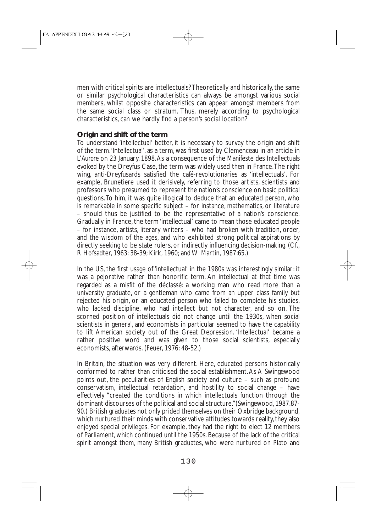men with critical spirits are intellectuals? Theoretically and historically, the same or similar psychological characteristics can always be amongst various social members, whilst opposite characteristics can appear amongst members from the same social class or stratum. Thus, merely according to psychological characteristics, can we hardly find a person's social location?

#### **Origin and shift of the term**

To understand 'intellectual' better, it is necessary to survey the origin and shift of the term.'Intellectual', as a term, was first used by Clemenceau in an article in *L'Aurore* on 23 January, 1898.As a consequence of the Manifeste des Intellectuals evoked by the Dreyfus Case, the term was widely used then in France.The right wing, anti-Dreyfusards satisfied the café-revolutionaries as 'intellectuals'. For example, Brunetiere used it derisively, referring to those artists, scientists and professors who presumed to represent the nation's conscience on basic political questions.To him, it was quite illogical to deduce that an educated person, who is remarkable in some specific subject – for instance, mathematics, or literature – should thus be justified to be the representative of a nation's conscience. Gradually in France, the term 'intellectual' came to mean those educated people – for instance, artists, literary writers – who had broken with tradition, order, and the wisdom of the ages, and who exhibited strong political aspirations by directly seeking to be state rulers, or indirectly influencing decision-making. (Cf., R Hofsadter, 1963: 38-39; Kirk, 1960; and W Martin, 1987:65.)

In the US, the first usage of 'intellectual' in the 1980s was interestingly similar: it was a pejorative rather than honorific term. An intellectual at that time was regarded as a misfit of the déclassé: a working man who read more than a university graduate, or a gentleman who came from an upper class family but rejected his origin, or an educated person who failed to complete his studies, who lacked discipline, who had intellect but not character, and so on. The scorned position of intellectuals did not change until the 1930s, when social scientists in general, and economists in particular seemed to have the capability to lift American society out of the Great Depression. 'Intellectual' became a rather positive word and was given to those social scientists, especially economists, afterwards. (Feuer, 1976: 48-52.)

In Britain, the situation was very different. Here, educated persons historically conformed to rather than criticised the social establishment.As A Swingewood points out, the peculiarities of English society and culture – such as profound conservatism, intellectual retardation, and hostility to social change – have effectively "created the conditions in which intellectuals function through the dominant discourses of the political and social structure."(Swingewood, 1987.87- 90.) British graduates not only prided themselves on their Oxbridge background, which nurtured their minds with conservative attitudes towards reality, they also enjoyed special privileges. For example, they had the right to elect 12 members of Parliament, which continued until the 1950s. Because of the lack of the critical spirit amongst them, many British graduates, who were nurtured on Plato and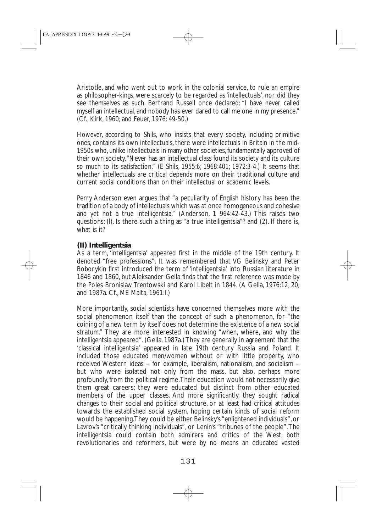Aristotle, and who went out to work in the colonial service, to rule an empire as philosopher-kings, were scarcely to be regarded as 'intellectuals', nor did they see themselves as such. Bertrand Russell once declared: "I have never called myself an intellectual, and nobody has ever dared to call me one in my presence." (Cf., Kirk, 1960; and Feuer, 1976: 49-50.)

However, according to Shils, who insists that every society, including primitive ones, contains its own intellectuals, there were intellectuals in Britain in the mid-1950s who, unlike intellectuals in many other societies, fundamentally approved of their own society."Never has an intellectual class found its society and its culture so much to its satisfaction." (E Shils, 1955:6; 1968:401; 1972:3-4.) It seems that whether intellectuals are critical depends more on their traditional culture and current social conditions than on their intellectual or academic levels.

Perry Anderson even argues that "a peculiarity of English history has been the tradition of a body of intellectuals which was at once homogeneous and cohesive and yet not a true intelligentsia." (Anderson, 1 964:42-43.) This raises two questions: (l). Is there such a thing as "a true intelligentsia"? and (2). If there is, what is it?

## **(II) Intelligentsia**

As a term, 'intelligentsia' appeared first in the middle of the 19th century. It denoted "free professions". It was remembered that VG Belinsky and Peter Boborykin first introduced the term of 'intelligentsia' into Russian literature in 1846 and 1860, but Aleksander Gella finds that the first reference was made by the Poles Bronislaw Trentowski and Karol Libelt in 1844. (A Gella, 1976:12, 20; and 1987a. Cf., ME Malta, 1961:I.)

More importantly, social scientists have concerned themselves more with the social phenomenon itself than the concept of such a phenomenon, for "the coining of a new term by itself does not determine the existence of a new social stratum." They are more interested in knowing "when, where, and why the intelligentsia appeared". (Gella, 1987a.) They are generally in agreement that the 'classical intelligentsia' appeared in late 19th century Russia and Poland. It included those educated men/women without or with little property, who received Western ideas – for example, liberalism, nationalism, and socialism – but who were isolated not only from the mass, but also, perhaps more profoundly, from the political regime.Their education would not necessarily give them great careers; they were educated but distinct from other educated members of the upper classes. And more significantly, they sought radical changes to their social and political structure, or at least had critical attitudes towards the established social system, hoping certain kinds of social reform would be happening.They could be either Belinsky's "enlightened individuals", or Lavrov's "critically thinking individuals", or Lenin's "tribunes of the people".The intelligentsia could contain both admirers and critics of the West, both revolutionaries and reformers, but were by no means an educated vested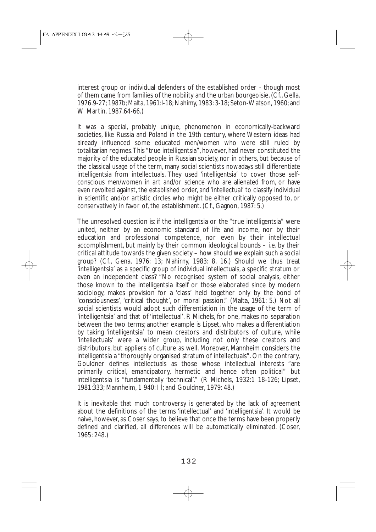interest group or individual defenders of the established order - though most of them came from families of the nobility and the urban bourgeoisie. (Cf., Gella, 1976.9-27; 1987b; Malta, 1961:l-18; Nahimy, 1983: 3-18; Seton-Watson, 1960; and W Martin, 1987.64-66.)

It was a special, probably unique, phenomenon in economically-backward societies, like Russia and Poland in the 19th century, where Western ideas had already influenced some educated men/women who were still ruled by totalitarian regimes.This "true intelligentsia", however, had never constituted the majority of the educated people in Russian society, nor in others, but because of the classical usage of the term, many social scientists nowadays still differentiate intelligentsia from intellectuals. They used 'intelligentsia' to cover those selfconscious men/women in art and/or science who are alienated from, or have even revolted against, the established order, and 'intellectual' to classify individual in scientific and/or artistic circles who might be either critically opposed to, or conservatively in favor of, the establishment. (Cf., Gagnon, 1987: 5.)

The unresolved question is: if the intelligentsia or the "true intelligentsia" were united, neither by an economic standard of life and income, nor by their education and professional competence, nor even by their intellectual accomplishment, but mainly by their common ideological bounds – i.e. by their critical attitude towards the given society – how should we explain such a social group? (Cf., Gena, 1976: 13; Nahirny, 1983: 8, 16.) Should we thus treat 'intelligentsia' as a specific group of individual intellectuals, a specific stratum or even an independent class? "No recognised system of social analysis, either those known to the intelligentsia itself or those elaborated since by modern sociology, makes provision for a 'class' held together only by the bond of 'consciousness', 'critical thought', or moral passion." (Malta, 1961: 5.) Not all social scientists would adopt such differentiation in the usage of the term of 'intelligentsia' and that of 'intellectual'. R Michels, for one, makes no separation between the two terms; another example is Lipset, who makes a differentiation by taking 'intelligentsia' to mean creators and distributors of culture, while 'intellectuals' were a wider group, including not only these creators and distributors, but appliers of culture as well. Moreover, Mannheim considers the intelligentsia a "thoroughly organised stratum of intellectuals". On the contrary, Gouldner defines intellectuals as those whose intellectual interests "are primarily critical, emancipatory, hermetic and hence often political" but intelligentsia is "fundamentally 'technical'." (R Michels, 1932:1 18-126; Lipset, 1981:333; Mannheim, 1 940: I l; and Gouldner, 1979: 48.)

It is inevitable that much controversy is generated by the lack of agreement about the definitions of the terms 'intellectual' and 'intelligentsia'. It would be naive, however, as Coser says, to believe that once the terms have been properly defined and clarified, all differences will be automatically eliminated. (Coser, 1965: 248.)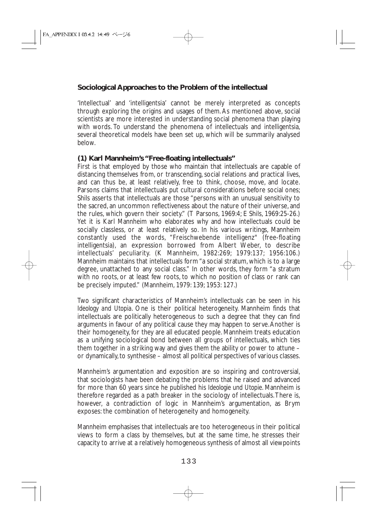## **Sociological Approaches to the Problem of the intellectual**

'Intellectual' and 'intelligentsia' cannot be merely interpreted as concepts through exploring the origins and usages of them. As mentioned above, social scientists are more interested in understanding social phenomena than playing with words. To understand the phenomena of intellectuals and intelligentsia, several theoretical models have been set up, which will be summarily analysed below.

#### **(1) Karl Mannheim's "Free-floating intellectuals"**

First is that employed by those who maintain that intellectuals are capable of distancing themselves from, or transcending, social relations and practical lives, and can thus be, at least relatively, free to think, choose, move, and locate. Parsons claims that intellectuals put cultural considerations before social ones; Shils asserts that intellectuals are those "persons with an unusual sensitivity to the sacred, an uncommon reflectiveness about the nature of their universe, and the rules, which govern their society." (T Parsons, 1969:4; E Shils, 1969:25-26.) Yet it is Karl Mannheim who elaborates why and how intellectuals could be socially classless, or at least relatively so. In his various writings, Mannheim constantly used the words, "Freischwebende intelligenz" (free-floating intelligentsia), an expression borrowed from Albert Weber, to describe intellectuals' peculiarity. (K Mannheim, 1982:269; 1979:137; 1956:106.) Mannheim maintains that intellectuals form "a social stratum, which is to a large degree, unattached to any social class." In other words, they form "a stratum with no roots, or at least few roots, to which no position of class or rank can be precisely imputed." (Mannheim, 1979: 139; 1953: 127.)

Two significant characteristics of Mannheim's intellectuals can be seen in his *Ideology and Utopia*. One is their political heterogeneity. Mannheim finds that intellectuals are politically heterogeneous to such a degree that they can find arguments in favour of any political cause they may happen to serve.Another is their homogeneity, for they are all educated people. Mannheim treats education as a unifying sociological bond between all groups of intellectuals, which ties them together in a striking way and gives them the ability or power to attune – or dynamically,to synthesise – almost all political perspectives of various classes.

Mannheim's argumentation and exposition are so inspiring and controversial, that sociologists have been debating the problems that he raised and advanced for more than 60 years since he published his *Ideologie und Utopie*. Mannheim is therefore regarded as a path breaker in the sociology of intellectuals.There is, however, a contradiction of logic in Mannheim's argumentation, as Brym exposes: the combination of heterogeneity and homogeneity.

Mannheim emphasises that intellectuals are too heterogeneous in their political views to form a class by themselves, but at the same time, he stresses their capacity to arrive at a relatively homogeneous synthesis of almost all viewpoints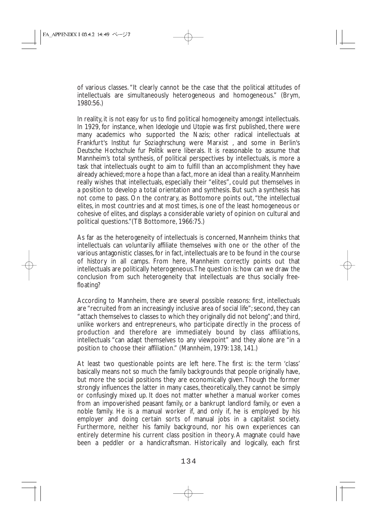of various classes. "It clearly cannot be the case that the political attitudes of intellectuals are simultaneously heterogeneous and homogeneous." (Brym, 1980:56.)

In reality, it is not easy for us to find political homogeneity amongst intellectuals. In 1929, for instance, when *Ideologie und Utopie* was first published, there were many academics who supported the Nazis; other radical intellectuals at Frankfurt's *Institut fur Soziaghrschung* were Marxist , and some in Berlin's *Deutsche Hochschule fur Politik* were liberals. It is reasonable to assume that Mannheim's total synthesis, of political perspectives by intellectuals, is more a task that intellectuals ought to aim to fulfill than an accomplishment they have already achieved; more a hope than a fact, more an ideal than a reality. Mannheim really wishes that intellectuals, especially their "elites", could put themselves in a position to develop a total orientation and synthesis. But such a synthesis has not come to pass. On the contrary, as Bottomore points out, "the intellectual elites, in most countries and at most times, is one of the least homogeneous or cohesive of elites, and displays a considerable variety of opinion on cultural and political questions."(TB Bottomore, 1966:75.)

As far as the heterogeneity of intellectuals is concerned, Mannheim thinks that intellectuals can voluntarily affiliate themselves with one or the other of the various antagonistic classes, for in fact, intellectuals are to be found in the course of history in all camps. From here, Mannheim correctly points out that intellectuals are politically heterogeneous.The question is: how can we draw the conclusion from such heterogeneity that intellectuals are thus socially freefloating?

According to Mannheim, there are several possible reasons: first, intellectuals are "recruited from an increasingly inclusive area of social life"; second, they can "attach themselves to classes to which they originally did not belong"; and third, unlike workers and entrepreneurs, who participate directly in the process of production and therefore are immediately bound by class affiliations, intellectuals "can adapt themselves to any viewpoint" and they alone are "in a position to choose their affiliation." (Mannheim, 1979: 138, 141.)

At least two questionable points are left here. The first is: the term 'class' basically means not so much the family backgrounds that people originally have, but more the social positions they are economically given.Though the former strongly influences the latter in many cases, theoretically, they cannot be simply or confusingly mixed up. It does not matter whether a manual worker comes from an impoverished peasant family, or a bankrupt landlord family, or even a noble family. He is a manual worker if, and only if, he is employed by his employer and doing certain sorts of manual jobs in a capitalist society. Furthermore, neither his family background, nor his own experiences can entirely determine his current class position in theory. A magnate could have been a peddler or a handicraftsman. Historically and logically, each first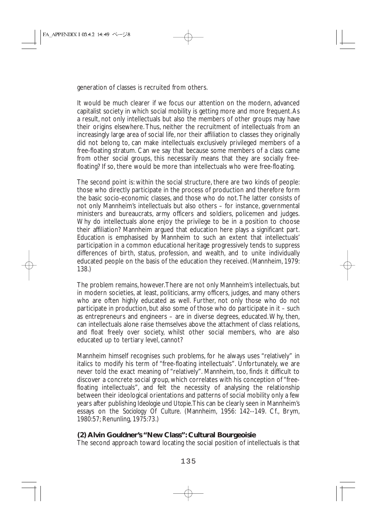generation of classes is recruited from others.

It would be much clearer if we focus our attention on the modern, advanced capitalist society in which social mobility is getting more and more frequent.As a result, not only intellectuals but also the members of other groups may have their origins elsewhere. Thus, neither the recruitment of intellectuals from an increasingly large area of social life, nor their affiliation to classes they originally did not belong to, can make intellectuals exclusively privileged members of a free-floating stratum. Can we say that because some members of a class came from other social groups, this necessarily means that they are socially freefloating? If so, there would be more than intellectuals who were free-floating.

The second point is: within the social structure, there are two kinds of people: those who directly participate in the process of production and therefore form the basic socio-economic classes, and those who do not.The latter consists of not only Mannheim's intellectuals but also others – for instance, governmental ministers and bureaucrats, army officers and soldiers, policemen and judges. Why do intellectuals alone enjoy the privilege to be in a position to choose their affiliation? Mannheim argued that education here plays a significant part. Education is emphasised by Mannheim to such an extent that intellectuals' participation in a common educational heritage progressively tends to suppress differences of birth, status, profession, and wealth, and to unite individually educated people on the basis of the education they received. (Mannheim, 1979: 138.)

The problem remains, however.There are not only Mannheim's intellectuals, but in modern societies, at least, politicians, army officers, judges, and many others who are often highly educated as well. Further, not only those who do not participate in production, but also some of those who do participate in it – such as entrepreneurs and engineers – are in diverse degrees, educated.Why, then, can intellectuals alone raise themselves above the attachment of class relations, and float freely over society, whilst other social members, who are also educated up to tertiary level, cannot?

Mannheim himself recognises such problems, for he always uses "relatively" in italics to modify his term of "free-floating intellectuals". Unfortunately, we are never told the exact meaning of "relatively". Mannheim, too, finds it difficult to discover a concrete social group, which correlates with his conception of "freefloating intellectuals", and felt the necessity of analysing the relationship between their ideological orientations and patterns of social mobility only a few years after publishing *Ideologie und Utopie*.This can be clearly seen in Mannheim's essays on the *Sociology Of Culture*. (Mannheim, 1956: 142--149. Cf., Brym, 1980:57; Renunling, 1975:73.)

## **(2) Alvin Gouldner's "New Class": Cultural Bourgeoisie**

The second approach toward locating the social position of intellectuals is that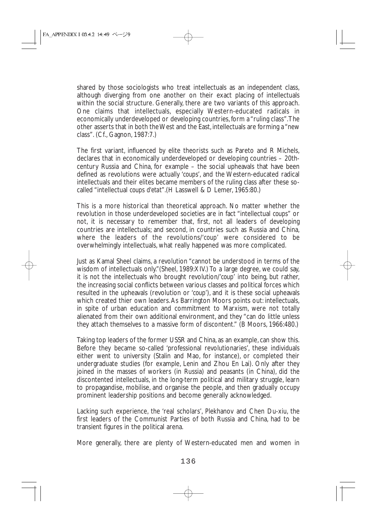shared by those sociologists who treat intellectuals as an independent class, although diverging from one another on their exact placing of intellectuals within the social structure. Generally, there are two variants of this approach. One claims that intellectuals, especially Western-educated radicals in economically underdeveloped or developing countries, form a "ruling class".The other asserts that in both the West and the East, intellectuals are forming a "new class". (Cf., Gagnon, 1987:7.)

The first variant, influenced by elite theorists such as Pareto and R Michels, declares that in economically underdeveloped or developing countries – 20thcentury Russia and China, for example – the social upheavals that have been defined as revolutions were actually '*coups*', and the Western-educated radical intellectuals and their elites became members of the ruling class after these socalled "intellectual *coups d'etat*".(H Lasswell & D Lemer, 1965:80.)

This is a more historical than theoretical approach. No matter whether the revolution in those underdeveloped societies are in fact "intellectual *coups*" or not, it is necessary to remember that, first, not all leaders of developing countries are intellectuals; and second, in countries such as Russia and China, where the leaders of the revolutions/'*coup*' were considered to be overwhelmingly intellectuals, what really happened was more complicated.

Just as Kamal Sheel claims, a revolution "cannot be understood in terms of the wisdom of intellectuals only." (Sheel, 1989:XIV.) To a large degree, we could say, it is not the intellectuals who brought revolution/'*coup*' into being, but rather, the increasing social conflicts between various classes and political forces which resulted in the upheavals (revolution or '*coup*'), and it is these social upheavals which created thier own leaders. As Barrington Moors points out: intellectuals, in spite of urban education and commitment to Marxism, were not totally alienated from their own additional environment, and they "can do little unless they attach themselves to a massive form of discontent." (B Moors, 1966:480.)

Taking top leaders of the former USSR and China, as an example, can show this. Before they became so-called 'professional revolutionaries', these individuals either went to university (Stalin and Mao, for instance), or completed their undergraduate studies (for example, Lenin and Zhou En Lai). Only after they joined in the masses of workers (in Russia) and peasants (in China), did the discontented intellectuals, in the long-term political and military struggle, learn to propagandise, mobilise, and organise the people, and then gradually occupy prominent leadership positions and become generally acknowledged.

Lacking such experience, the 'real scholars', Plekhanov and Chen Du-xiu, the first leaders of the Communist Parties of both Russia and China, had to be transient figures in the political arena.

More generally, there are plenty of Western-educated men and women in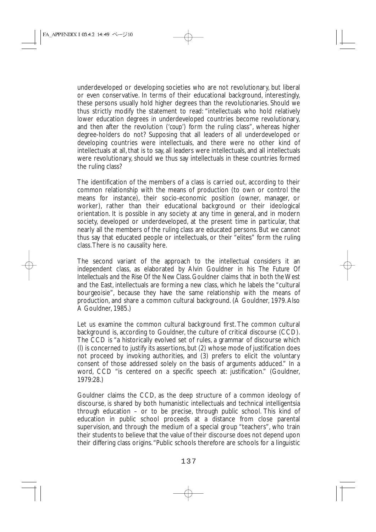underdeveloped or developing societies who are not revolutionary, but liberal or even conservative. In terms of their educational background, interestingly, these persons usually hold higher degrees than the revolutionaries. Should we thus strictly modify the statement to read: "intellectuals who hold relatively lower education degrees in underdeveloped countries become revolutionary, and then after the revolution ('*coup*') form the ruling class", whereas higher degree-holders do not? Supposing that all leaders of all underdeveloped or developing countries were intellectuals, and there were no other kind of intellectuals at all, that is to say, all leaders were intellectuals, and all intellectuals were revolutionary, should we thus say intellectuals in these countries formed the ruling class?

The identification of the members of a class is carried out, according to their common relationship with the means of production (to own or control the means for instance), their socio-economic position (owner, manager, or worker), rather than their educational background or their ideological orientation. It is possible in any society at any time in general, and in modern society, developed or underdeveloped, at the present time in particular, that nearly all the members of the ruling class are educated persons. But we cannot thus say that educated people or intellectuals, or their "elites" form the ruling class.There is no causality here.

The second variant of the approach to the intellectual considers it an independent class, as elaborated by Alvin Gouldner in his *The Future Of Intellectuals and the Rise Of the New Class*. Gouldner claims that in both the West and the East, intellectuals are forming a new class, which he labels the "cultural bourgeoisie", because they have the same relationship with the means of production, and share a common cultural background. (A Gouldner, 1979.Also A Gouldner, 1985.)

Let us examine the common cultural background first. The common cultural background is, according to Gouldner, the culture of critical discourse (CCD). The CCD is "a historically evolved set of rules, a grammar of discourse which (l) is concerned to justify its assertions, but (2) whose mode of justification does not proceed by invoking authorities, and (3) prefers to elicit the voluntary consent of those addressed solely on the basis of arguments adduced." In a word, CCD "is centered on a specific speech at: justification." (Gouldner, 1979:28.)

Gouldner claims the CCD, as the deep structure of a common ideology of discourse, is shared by both humanistic intellectuals and technical intelligentsia through education – or to be precise, through public school. This kind of education in public school proceeds at a distance from close parental supervision, and through the medium of a special group "teachers", who train their students to believe that the value of their discourse does not depend upon their differing class origins."Public schools therefore are schools for a linguistic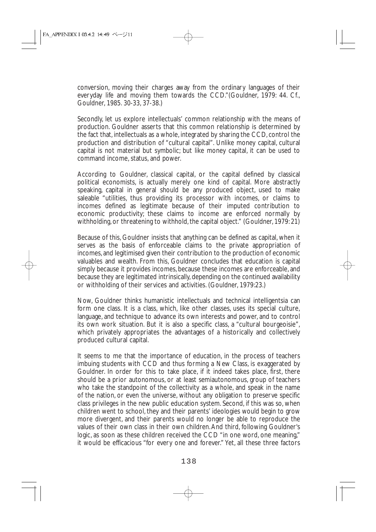conversion, moving their charges away from the ordinary languages of their everyday life and moving them towards the CCD."(Gouldner, 1979: 44. Cf., Gouldner, 1985. 30-33, 37-38.)

Secondly, let us explore intellectuals' common relationship with the means of production. Gouldner asserts that this common relationship is determined by the fact that, intellectuals as a whole, integrated by sharing the CCD, control the production and distribution of "cultural capital". Unlike money capital, cultural capital is not material but symbolic; but like money capital, it can be used to command income, status, and power.

According to Gouldner, classical capital, or the capital defined by classical political economists, is actually merely one kind of capital. More abstractly speaking, capital in general should be any produced object, used to make saleable "utilities, thus providing its processor with incomes, or claims to incomes defined as legitimate because of their imputed contribution to economic productivity; these claims to income are enforced normally by withholding, or threatening to withhold, the capital object." (Gouldner, 1979: 21)

Because of this, Gouldner insists that anything can be defined as capital, when it serves as the basis of enforceable claims to the private appropriation of incomes, and legitimised given their contribution to the production of economic valuables and wealth. From this, Gouldner concludes that education is capital simply because it provides incomes, because these incomes are enforceable, and because they are legitimated intrinsically, depending on the continued availability or withholding of their services and activities. (Gouldner, 1979:23.)

Now, Gouldner thinks humanistic intellectuals and technical intelligentsia can form one class. It is a class, which, like other classes, uses its special culture, language, and technique to advance its own interests and power, and to control its own work situation. But it is also a specific class, a "cultural bourgeoisie", which privately appropriates the advantages of a historically and collectively produced cultural capital.

It seems to me that the importance of education, in the process of teachers imbuing students with CCD and thus forming a New Class, is exaggerated by Gouldner. In order for this to take place, if it indeed takes place, first, there should be a prior autonomous, or at least semiautonomous, group of teachers who take the standpoint of the collectivity as a whole, and speak in the name of the nation, or even the universe, without any obligation to preserve specific class privileges in the new public education system. Second, if this was so, when children went to school, they and their parents' ideologies would begin to grow more divergent, and their parents would no longer be able to reproduce the values of their own class in their own children.And third, following Gouldner's logic, as soon as these children received the CCD "in one word, one meaning." it would be efficacious "for every one and forever." Yet, all these three factors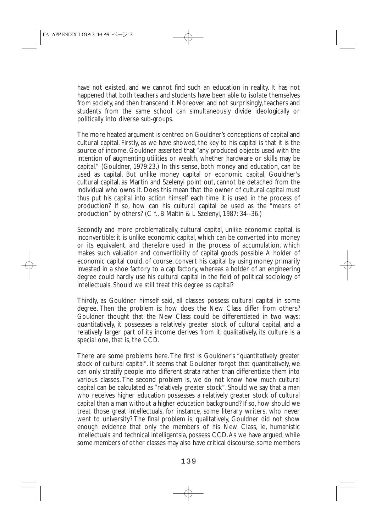have not existed, and we cannot find such an education in reality. It has not happened that both teachers and students have been able to isolate themselves from society, and then transcend it. Moreover, and not surprisingly, teachers and students from the same school can simultaneously divide ideologically or politically into diverse sub-groups.

The more heated argument is centred on Gouldner's conceptions of capital and cultural capital. Firstly, as we have showed, the key to his capital is that it is the source of income. Gouldner asserted that "any produced objects used with the intention of augmenting utilities or wealth, whether hardware or skills may be capital." (Gouldner, 1979:23.) In this sense, both money and education, can be used as capital. But unlike money capital or economic capital, Gouldner's cultural capital, as Martin and Szelenyi point out, cannot be detached from the individual who owns it. Does this mean that the owner of cultural capital must thus put his capital into action himself each time it is used in the process of production? If so, how can his cultural capital be used as the "means of production" by others? (C f., B Maltin & L Szelenyi, 1987: 34--36.)

Secondly and more problematically, cultural capital, unlike economic capital, is inconvertible: it is unlike economic capital, which can be converted into money or its equivalent, and therefore used in the process of accumulation, which makes such valuation and convertibility of capital goods possible. A holder of economic capital could, of course, convert his capital by using money primarily invested in a shoe factory to a cap factory, whereas a holder of an engineering degree could hardly use his cultural capital in the field of political sociology of intellectuals. Should we still treat this degree as capital?

Thirdly, as Gouldner himself said, all classes possess cultural capital in some degree. Then the problem is: how does the New Class differ from others? Gouldner thought that the New Class could be differentiated in two ways: quantitatively, it possesses a relatively greater stock of cultural capital, and a relatively larger part of its income derives from it; qualitatively, its culture is a special one, that is, the CCD.

There are some problems here. The first is Gouldner's "quantitatively greater stock of cultural capital". It seems that Gouldner forgot that quantitatively, we can only stratify people into different strata rather than differentiate them into various classes. The second problem is, we do not know how much cultural capital can be calculated as "relatively greater stock". Should we say that a man who receives higher education possesses a relatively greater stock of cultural capital than a man without a higher education background? If so, how should we treat those great intellectuals, for instance, some literary writers, who never went to university? The final problem is, qualitatively, Gouldner did not show enough evidence that only the members of his New Class, ie, humanistic intellectuals and technical intelligentsia, possess CCD.As we have argued, while some members of other classes may also have critical discourse, some members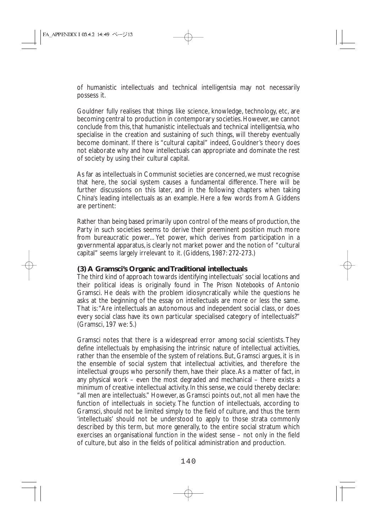of humanistic intellectuals and technical intelligentsia may not necessarily possess it.

Gouldner fully realises that things like science, knowledge, technology, etc, are becoming central to production in contemporary societies. However, we cannot conclude from this, that humanistic intellectuals and technical intelligentsia, who specialise in the creation and sustaining of such things, will thereby eventually become dominant. If there is "cultural capital" indeed, Gouldner's theory does not elaborate why and how intellectuals can appropriate and dominate the rest of society by using their cultural capital.

As far as intellectuals in Communist societies are concerned, we must recognise that here, the social system causes a fundamental difference. There will be further discussions on this later, and in the following chapters when taking China's leading intellectuals as an example. Here a few words from A Giddens are pertinent:

Rather than being based primarily upon control of the means of production, the Party in such societies seems to derive their preeminent position much more from bureaucratic power... Yet power, which derives from participation in a governmental apparatus, is clearly not market power and the notion of "cultural capital" seems largely irrelevant to it. (Giddens, 1987: 272-273.)

### **(3) A Gramsci's Organic and Traditional intellectuals**

The third kind of approach towards identifying intellectuals' social locations and their political ideas is originally found in *The Prison Notebooks* of Antonio Gramsci. He deals with the problem idiosyncratically while the questions he asks at the beginning of the essay on intellectuals are more or less the same. That is:"Are intellectuals an autonomous and independent social class, or does every social class have its own particular specialised category of intellectuals?" (Gramsci, 197 we: 5.)

Gramsci notes that there is a widespread error among social scientists. They define intellectuals by emphasising the intrinsic nature of intellectual activities, rather than the ensemble of the system of relations. But, Gramsci argues, it is in the ensemble of social system that intellectual activities, and therefore the intellectual groups who personify them, have their place.As a matter of fact, in any physical work – even the most degraded and mechanical – there exists a minimum of creative intellectual activity. In this sense, we could thereby declare: "all men are intellectuals." However, as Gramsci points out, not all men have the function of intellectuals in society. The function of intellectuals, according to Gramsci, should not be limited simply to the field of culture, and thus the term 'intellectuals' should not be understood to apply to those strata commonly described by this term, but more generally, to the entire social stratum which exercises an organisational function in the widest sense – not only in the field of culture, but also in the fields of political administration and production.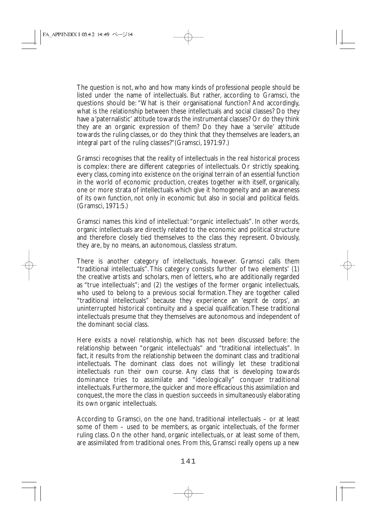The question is not, who and how many kinds of professional people should be listed under the name of intellectuals. But rather, according to Gramsci, the questions should be: "What is their organisational function? And accordingly, what is the relationship between these intellectuals and social classes? Do they have a 'paternalistic' attitude towards the instrumental classes? Or do they think they are an organic expression of them? Do they have a 'servile' attitude towards the ruling classes, or do they think that they themselves are leaders, an integral part of the ruling classes?"(Gramsci, 1971:97.)

Gramsci recognises that the reality of intellectuals in the real historical process is complex: there are different categories of intellectuals. Or strictly speaking, every class, coming into existence on the original terrain of an essential function in the world of economic production, creates together with itself, organically, one or more strata of intellectuals which give it homogeneity and an awareness of its own function, not only in economic but also in social and political fields. (Gramsci, 1971:5.)

Gramsci names this kind of intellectual:"organic intellectuals". In other words, organic intellectuals are directly related to the economic and political structure and therefore closely tied themselves to the class they represent. Obviously, they are, by no means, an autonomous, classless stratum.

There is another category of intellectuals, however. Gramsci calls them "traditional intellectuals". This category consists further of two elements' (1) the creative artists and scholars, men of letters, who are additionally regarded as "true intellectuals"; and (2) the vestiges of the former organic intellectuals, who used to belong to a previous social formation. They are together called "traditional intellectuals" because they experience an '*esprit de corps*', an uninterrupted historical continuity and a special qualification.These traditional intellectuals presume that they themselves are autonomous and independent of the dominant social class.

Here exists a novel relationship, which has not been discussed before: the relationship between "organic intellectuals" and "traditional intellectuals". In fact, it results from the relationship between the dominant class and traditional intellectuals. The dominant class does not willingly let these traditional intellectuals run their own course. Any class that is developing towards dominance tries to assimilate and "ideologically" conquer traditional intellectuals. Furthermore, the quicker and more efficacious this assimilation and conquest, the more the class in question succeeds in simultaneously elaborating its own organic intellectuals.

According to Gramsci, on the one hand, traditional intellectuals – or at least some of them – used to be members, as organic intellectuals, of the former ruling class. On the other hand, organic intellectuals, or at least some of them, are assimilated from traditional ones. From this, Gramsci really opens up a new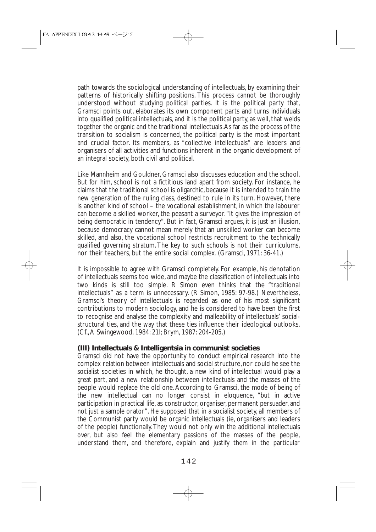path towards the sociological understanding of intellectuals, by examining their patterns of historically shifting positions. This process cannot be thoroughly understood without studying political parties. It is the political party that, Gramsci points out, elaborates its own component parts and turns individuals into qualified political intellectuals, and it is the political party, as well, that welds together the organic and the traditional intellectuals.As far as the process of the transition to socialism is concerned, the political party is the most important and crucial factor. Its members, as "collective intellectuals" are leaders and organisers of all activities and functions inherent in the organic development of an integral society, both civil and political.

Like Mannheim and Gouldner, Gramsci also discusses education and the school. But for him, school is not a fictitious land apart from society. For instance, he claims that the traditional school is oligarchic, because it is intended to train the new generation of the ruling class, destined to rule in its turn. However, there is another kind of school – the vocational establishment, in which the labourer can become a skilled worker, the peasant a surveyor."It gives the impression of being democratic in tendency". But in fact, Gramsci argues, it is just an illusion, because democracy cannot mean merely that an unskilled worker can become skilled, and also, the vocational school restricts recruitment to the technically qualified governing stratum. The key to such schools is not their curriculums, nor their teachers, but the entire social complex. (Gramsci, 1971: 36-41.)

It is impossible to agree with Gramsci completely. For example, his denotation of intellectuals seems too wide, and maybe the classification of intellectuals into two kinds is still too simple. R Simon even thinks that the "traditional intellectuals" as a term is unnecessary. (R Simon, 1985: 97-98.) Nevertheless, Gramsci's theory of intellectuals is regarded as one of his most significant contributions to modern sociology, and he is considered to have been the first to recognise and analyse the complexity and malleability of intellectuals' socialstructural ties, and the way that these ties influence their ideological outlooks. (Cf.,A Swingewood, 1984: 21l; Brym, 1987: 204-205.)

#### **(III) Intellectuals & Intelligentsia in communist societies**

Gramsci did not have the opportunity to conduct empirical research into the complex relation between intellectuals and social structure, nor could he see the socialist societies in which, he thought, a new kind of intellectual would play a great part, and a new relationship between intellectuals and the masses of the people would replace the old one.According to Gramsci, the mode of being of the new intellectual can no longer consist in eloquence, "but in active participation in practical life, as constructor, organiser, permanent persuader, and not just a sample orator". He supposed that in a socialist society, all members of the Communist party would be organic intellectuals (ie, organisers and leaders of the people) functionally.They would not only win the additional intellectuals over, but also feel the elementary passions of the masses of the people, understand them, and therefore, explain and justify them in the particular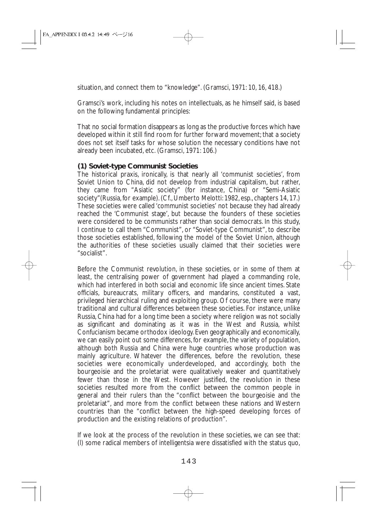situation, and connect them to "knowledge". (Gramsci, 1971: 10, 16, 418.)

Gramsci's work, including his notes on intellectuals, as he himself said, is based on the following fundamental principles:

That no social formation disappears as long as the productive forces which have developed within it still find room for further forward movement; that a society does not set itself tasks for whose solution the necessary conditions have not already been incubated, etc. (Gramsci, 1971: 106.)

#### **(1) Soviet-type Communist Societies**

The historical praxis, ironically, is that nearly all 'communist societies', from Soviet Union to China, did not develop from industrial capitalism, but rather, they came from "Asiatic society" (for instance, China) or "Semi-Asiatic society"(Russia, for example). (Cf., Umberto Melotti: 1982, esp., chapters 14, 17.) These societies were called 'communist societies' not because they had already reached the 'Communist stage', but because the founders of these societies were considered to be communists rather than social democrats. In this study, I continue to call them "Communist", or "Soviet-type Communist", to describe those societies established, following the model of the Soviet Union, although the authorities of these societies usually claimed that their societies were "socialist".

Before the Communist revolution, in these societies, or in some of them at least, the centralising power of government had played a commanding role, which had interfered in both social and economic life since ancient times. State officials, bureaucrats, military officers, and mandarins, constituted a vast, privileged hierarchical ruling and exploiting group. Of course, there were many traditional and cultural differences between these societies. For instance, unlike Russia, China had for a long time been a society where religion was not socially as significant and dominating as it was in the West and Russia, whilst Confucianism became orthodox ideology. Even geographically and economically, we can easily point out some differences, for example, the variety of population, although both Russia and China were huge countries whose production was mainly agriculture. Whatever the differences, before the revolution, these societies were economically underdeveloped, and accordingly, both the bourgeoisie and the proletariat were qualitatively weaker and quantitatively fewer than those in the West. However justified, the revolution in these societies resulted more from the conflict between the common people in general and their rulers than the "conflict between the bourgeoisie and the proletariat", and more from the conflict between these nations and Western countries than the "conflict between the high-speed developing forces of production and the existing relations of production".

If we look at the process of the revolution in these societies, we can see that: (l) some radical members of intelligentsia were dissatisfied with the status quo,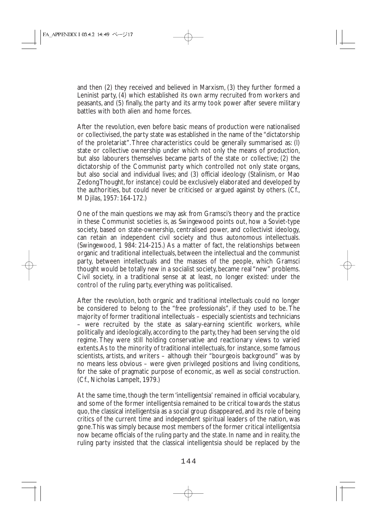and then (2) they received and believed in Marxism, (3) they further formed a Leninist party, (4) which established its own army recruited from workers and peasants, and (5) finally, the party and its army took power after severe military battles with both alien and home forces.

After the revolution, even before basic means of production were nationalised or collectivised, the party state was established in the name of the "dictatorship of the proletariat".Three characteristics could be generally summarised as: (l) state or collective ownership under which not only the means of production, but also labourers themselves became parts of the state or collective; (2) the dictatorship of the Communist party which controlled not only state organs, but also social and individual lives; and (3) official ideology (Stalinism, or Mao Zedong Thought, for instance) could be exclusively elaborated and developed by the authorities, but could never be criticised or argued against by others. (Cf., M Djilas, 1957: 164-172.)

One of the main questions we may ask from Gramsci's theory and the practice in these Communist societies is, as Swingewood points out, how a Soviet-type society, based on state-ownership, centralised power, and collectivist ideology, can retain an independent civil society and thus autonomous intellectuals. (Swingewood, 1 984: 214-215.) As a matter of fact, the relationships between organic and traditional intellectuals, between the intellectual and the communist party, between intellectuals and the masses of the people, which Gramsci thought would be totally new in a socialist society, became real "new" problems. Civil society, in a traditional sense at at least, no longer existed: under the control of the ruling party, everything was politicalised.

After the revolution, both organic and traditional intellectuals could no longer be considered to belong to the "free professionals", if they used to be. The majority of former traditional intellectuals – especially scientists and technicians – were recruited by the state as salary-earning scientific workers, while politically and ideologically, according to the party, they had been serving the old regime. They were still holding conservative and reactionary views to varied extents.As to the minority of traditional intellectuals, for instance, some famous scientists, artists, and writers – although their "bourgeois background" was by no means less obvious – were given privileged positions and living conditions, for the sake of pragmatic purpose of economic, as well as social construction. (Cf., Nicholas Lampelt, 1979.)

At the same time, though the term 'intelligentsia' remained in official vocabulary, and some of the former intelligentsia remained to be critical towards the status quo, the classical intelligentsia as a social group disappeared, and its role of being critics of the current time and independent spiritual leaders of the nation, was gone.This was simply because most members of the former critical intelligentsia now became officials of the ruling party and the state. In name and in reality, the ruling party insisted that the classical intelligentsia should be replaced by the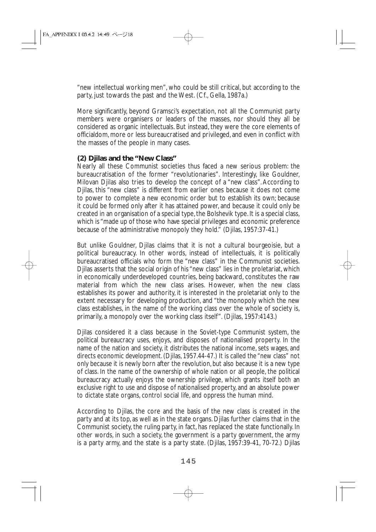"new intellectual working men", who could be still critical, but according to the party, just towards the past and the West. (Cf., Gella, 1987a.)

More significantly, beyond Gramsci's expectation, not all the Communist party members were organisers or leaders of the masses, nor should they all be considered as organic intellectuals. But instead, they were the core elements of officialdom, more or less bureaucratised and privileged, and even in conflict with the masses of the people in many cases.

## **(2) Djilas and the "New Class"**

Nearly all these Communist societies thus faced a new serious problem: the bureaucratisation of the former "revolutionaries". Interestingly, like Gouldner, Milovan Djilas also tries to develop the concept of a "new class". According to Djilas, this "new class" is different from earlier ones because it does not come to power to complete a new economic order but to establish its own; because it could be formed only after it has attained power, and because it could only be created in an organisation of a special type, the Bolshevik type. It is a special class, which is "made up of those who have special privileges and economic preference because of the administrative monopoly they hold." (Djilas, 1957:37-41.)

But unlike Gouldner, Djilas claims that it is not a cultural bourgeoisie, but a political bureaucracy. In other words, instead of intellectuals, it is politically bureaucratised officials who form the "new class" in the Communist societies. Djilas asserts that the social origin of his "new class" lies in the proletariat, which in economically underdeveloped countries, being backward, constitutes the raw material from which the new class arises. However, when the new class establishes its power and authority, it is interested in the proletariat only to the extent necessary for developing production, and "the monopoly which the new class establishes, in the name of the working class over the whole of society is, primarily, a monopoly over the working class itself". (Djilas, 1957:4143.)

Djilas considered it a class because in the Soviet-type Communist system, the political bureaucracy uses, enjoys, and disposes of nationalised property. In the name of the nation and society, it distributes the national income, sets wages, and directs economic development. (Djilas, 1957.44-47.) It is called the "new class" not only because it is newly born after the revolution, but also because it is a new type of class. In the name of the ownership of whole nation or all people, the political bureaucracy actually enjoys the ownership privilege, which grants itself both an exclusive right to use and dispose of nationalised property, and an absolute power to dictate state organs, control social life, and oppress the human mind.

According to Djilas, the core and the basis of the new class is created in the party and at its top, as well as in the state organs. Djilas further claims that in the Communist society, the ruling party, in fact, has replaced the state functionally. In other words, in such a society, the government is a party government, the army is a party army, and the state is a party state. (Djilas, 1957:39-41, 70-72.) Djilas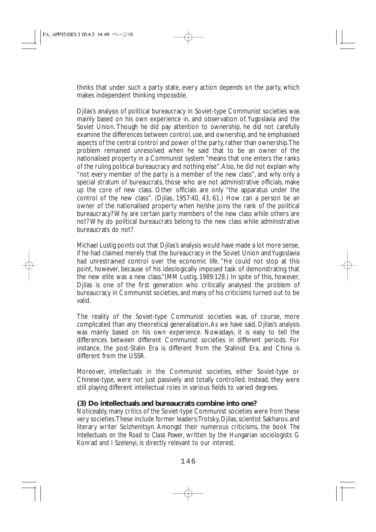thinks that under such a party state, every action depends on the party, which makes independent thinking impossible.

Djilas's analysis of political bureaucracy in Soviet-type Communist societies was mainly based on his own experience in, and observation of,Yugoslavia and the Soviet Union. Though he did pay attention to ownership, he did not carefully examine the differences between control, use, and ownership, and he emphasised aspects of the central control and power of the party, rather than ownership.The problem remained unresolved when he said that to be an owner of the nationalised property in a Communist system "means that one enters the ranks of the ruling political bureaucracy and nothing else".Also, he did not explain why "not every member of the party is a member of the new class", and why only a special stratum of bureaucrats, those who are not administrative officials, make up the core of new class. Other officials are only "the apparatus under the control of the new class". (Djilas, 1957:40, 43, 61.) How can a person be an owner of the nationalised property when he/she joins the rank of the political bureaucracy? Why are certain party members of the new class while others are not? Why do political bureaucrats belong to the new class while administrative bureaucrats do not?

Michael Lustig points out that Djilas's analysis would have made a lot more sense, if he had claimed merely that the bureaucracy in the Soviet Union and Yugoslavia had unrestrained control over the economic life. "He could not stop at this point, however, because of his ideologically imposed task of demonstrating that the new elite was a new class."(MM Lustig, 1989:128.) In spite of this, however, Djilas is one of the first generation who critically analysed the problem of bureaucracy in Communist societies, and many of his criticisms turned out to be valid.

The reality of the Soviet-type Communist societies was, of course, more complicated than any theoretical generalisation.As we have said, Djilas's analysis was mainly based on his own experience. Nowadays, it is easy to tell the differences between different Communist societies in different periods. For instance, the post-Stalin Era is different from the Stalinist Era, and China is different from the USSR.

Moreover, intellectuals in the Communist societies, either Soviet-type or Chinese-type, were not just passively and totally controlled. Instead, they were still playing different intellectual roles in various fields to varied degrees.

## **(3) Do intellectuals and bureaucrats combine into one?**

Noticeably, many critics of the Soviet-type Communist societies were from these very societies.These include former leaders:Trotsky, Djilas, scientist Sakharov, and literary writer Solzhenitsyn. Amongst their numerous criticisms, the book *The Intellectuals on the Road to Class Power*, written by the Hungarian sociologists G Konrad and I Szelenyi, is directly relevant to our interest.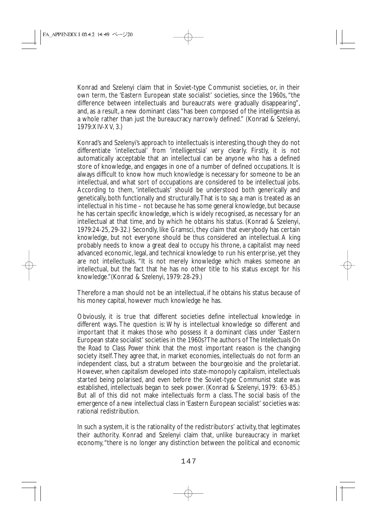Konrad and Szelenyi claim that in Soviet-type Communist societies, or, in their own term, the 'Eastern European state socialist' societies, since the 1960s, "the difference between intellectuals and bureaucrats were gradually disappearing", and, as a result, a new dominant class "has been composed of the intelligentsia as a whole rather than just the bureaucracy narrowly defined." (Konrad & Szelenyi, 1979:XIV-XV, 3.)

Konrad's and Szelenyi's approach to intellectuals is interesting, though they do not differentiate 'intellectual' from 'intelligentsia' very clearly. Firstly, it is not automatically acceptable that an intellectual can be anyone who has a defined store of knowledge, and engages in one of a number of defined occupations. It is always difficult to know how much knowledge is necessary for someone to be an intellectual, and what sort of occupations are considered to be intellectual jobs. According to them, 'intellectuals' should be understood both generically and genetically, both functionally and structurally.That is to say, a man is treated as an intellectual in his time – not because he has some general knowledge, but because he has certain specific knowledge, which is widely recognised, as necessary for an intellectual at that time, and by which he obtains his status. (Konrad & Szelenyi, 1979:24-25, 29-32.) Secondly, like Gramsci, they claim that everybody has certain knowledge, but not everyone should be thus considered an intellectual. A king probably needs to know a great deal to occupy his throne, a capitalist may need advanced economic, legal, and technical knowledge to run his enterprise, yet they are not intellectuals. "It is not merely knowledge which makes someone an intellectual, but the fact that he has no other title to his status except for his knowledge."(Konrad & Szelenyi, 1979: 28-29.)

Therefore a man should not be an intellectual, if he obtains his status because of his money capital, however much knowledge he has.

Obviously, it is true that different societies define intellectual knowledge in different ways. The question is: Why is intellectual knowledge so different and important that it makes those who possess it a dominant class under 'Eastern European state socialist' societies in the 1960s? The authors of *The Intellectuals On the Road to Class Power* think that the most important reason is the changing society itself.They agree that, in market economies, intellectuals do not form an independent class, but a stratum between the bourgeoisie and the proletariat. However, when capitalism developed into state-monopoly capitalism, intellectuals started being polarised, and even before the Soviet-type Communist state was established, intellectuals began to seek power. (Konrad & Szelenyi, 1979: 63-85.) But all of this did not make intellectuals form a class. The social basis of the emergence of a new intellectual class in 'Eastern European socialist' societies was: rational redistribution.

In such a system, it is the rationality of the redistributors' activity, that legitimates their authority. Konrad and Szelenyi claim that, unlike bureaucracy in market economy,"there is no longer any distinction between the political and economic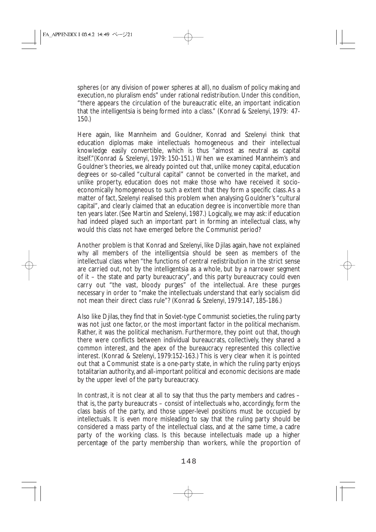spheres (or any division of power spheres at all), no dualism of policy making and execution, no pluralism ends" under rational redistribution. Under this condition, "there appears the circulation of the bureaucratic elite, an important indication that the intelligentsia is being formed into a class." (Konrad & Szelenyi, 1979: 47- 150.)

Here again, like Mannheim and Gouldner, Konrad and Szelenyi think that education diplomas make intellectuals homogeneous and their intellectual knowledge easily convertible, which is thus "almost as neutral as capital itself."(Konrad & Szelenyi, 1979: 150-151.) When we examined Mannheim's and Gouldner's theories, we already pointed out that, unlike money capital, education degrees or so-called "cultural capital" cannot be converted in the market, and unlike property, education does not make those who have received it socioeconomically homogeneous to such a extent that they form a specific class.As a matter of fact, Szelenyi realised this problem when analysing Gouldner's "cultural capital", and clearly claimed that an education degree is inconvertible more than ten years later. (See Martin and Szelenyi, 1987.) Logically, we may ask: if education had indeed played such an important part in forming an intellectual class, why would this class not have emerged before the Communist period?

Another problem is that Konrad and Szelenyi, like Djilas again, have not explained why all members of the intelligentsia should be seen as members of the intellectual class when "the functions of central redistribution in the strict sense are carried out, not by the intelligentsia as a whole, but by a narrower segment of it – the state and party bureaucracy", and this party bureaucracy could even carry out "the vast, bloody purges" of the intellectual. Are these purges necessary in order to "make the intellectuals understand that early socialism did not mean their direct class rule"? (Konrad & Szelenyi, 1979:147, 185-186.)

Also like Djilas, they find that in Soviet-type Communist societies, the ruling party was not just one factor, or the most important factor in the political mechanism. Rather, it *was* the political mechanism. Furthermore, they point out that, though there were conflicts between individual bureaucrats, collectively, they shared a common interest, and the apex of the bureaucracy represented this collective interest. (Konrad & Szelenyi, 1979:152-163.) This is very clear when it is pointed out that a Communist state is a one-party state, in which the ruling party enjoys totalitarian authority, and all-important political and economic decisions are made by the upper level of the party bureaucracy.

In contrast, it is not clear at all to say that thus the party members and cadres – that is, the party bureaucrats – consist of intellectuals who, accordingly, form the class basis of the party, and those upper-level positions must be occupied by intellectuals. It is even more misleading to say that the ruling party should be considered a mass party of the intellectual class, and at the same time, a cadre party of the working class. Is this because intellectuals made up a higher percentage of the party membership than workers, while the proportion of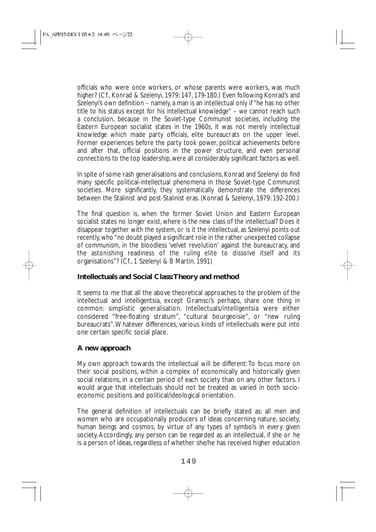officials who were once workers, or whose parents were workers, was much higher? (Cf., Konrad & Szelenyi, 1979: 147, 179-180.) Even following Konrad's and Szelenyi's own definition – namely, a man is an intellectual only if "he has no other title to his status except for his intellectual knowledge" – we cannot reach such a conclusion, because in the Soviet-type Communist societies, including the Eastern European socialist states in the 1960s, it was not merely intellectual knowledge which made party officials, elite bureaucrats on the upper level. Former experiences before the party took power, political achievements before and after that, official positions in the power structure, and even personal connections to the top leadership, were all considerably significant factors as well.

In spite of some rash generalisations and conclusions, Konrad and Szelenyi do find many specific political-intellectual phenomena in those Soviet-type Communist societies. More significantly, they systematically demonstrate the differences between the Stalinist and post-Stalinist eras. (Konrad & Szelenyi, 1979: 192-200.)

The final question is, when the former Soviet Union and Eastern European socialist states no longer exist, where is the new class of the intellectual? Does it disappear together with the system, or is it the intellectual, as Szelenyi points out recently, who "no doubt played a significant role in the rather unexpected collapse of communism, in the bloodless 'velvet revolution' against the bureaucracy, and the astonishing readiness of the ruling elite to dissolve itself and its organisations"? (Cf., 1 Szelenyi & B Martin, 1991)

## **Intellectuals and Social Class:Theory and method**

It seems to me that all the above theoretical approaches to the problem of the intellectual and intelligentsia, except Gramsci's perhaps, share one thing in common: simplistic generalisation. Intellectuals/intelligentsia were either considered "free-floating stratum", "cultural bourgeoisie", or "new ruling bureaucrats".Whatever differences, various kinds of intellectuals were put into one certain specific social place.

## **A new approach**

My own approach towards the intellectual will be different:To focus more on their social positions, within a complex of economically and historically given social relations, in a certain period of each society than on any other factors. I would argue that intellectuals should not be treated as varied in both socioeconomic positions and political/ideological orientation.

The general definition of intellectuals can be briefly stated as: all men and women who are occupationally producers of ideas concerning nature, society, human beings and cosmos, by virtue of any types of symbols in every given society.Accordingly, any person can be regarded as an intellectual, if she or he is a person of ideas, regardless of whether she/he has received higher education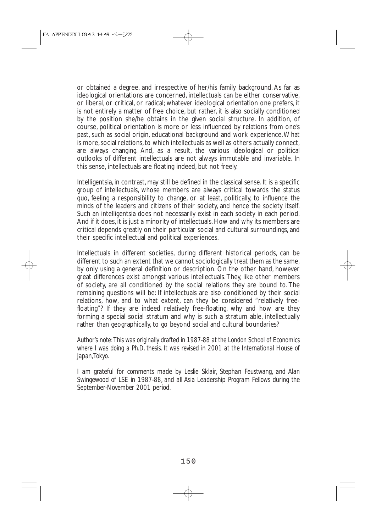or obtained a degree, and irrespective of her/his family background. As far as ideological orientations are concerned, intellectuals can be either conservative, or liberal, or critical, or radical; whatever ideological orientation one prefers, it is not entirely a matter of free choice, but rather, it is also socially conditioned by the position she/he obtains in the given social structure. In addition, of course, political orientation is more or less influenced by relations from one's past, such as social origin, educational background and work experience.What is more, social relations, to which intellectuals as well as others actually connect, are always changing. And, as a result, the various ideological or political outlooks of different intellectuals are not always immutable and invariable. In this sense, intellectuals are floating indeed, but not freely.

Intelligentsia, in contrast, may still be defined in the classical sense. It is a specific group of intellectuals, whose members are always critical towards the status quo, feeling a responsibility to change, or at least, politically, to influence the minds of the leaders and citizens of their society, and hence the society itself. Such an intelligentsia does not necessarily exist in each society in each period. And if it does, it is just a minority of intellectuals. How and why its members are critical depends greatly on their particular social and cultural surroundings, and their specific intellectual and political experiences.

Intellectuals in different societies, during different historical periods, can be different to such an extent that we cannot sociologically treat them as the same, by only using a general definition or description. On the other hand, however great differences exist amongst various intellectuals.They, like other members of society, are all conditioned by the social relations they are bound to. The remaining questions will be: If intellectuals are also conditioned by their social relations, how, and to what extent, can they be considered "relatively freefloating"? If they are indeed relatively free-floating, why and how are they forming a special social stratum and why is such a stratum able, intellectually rather than geographically, to go beyond social and cultural boundaries?

*Author's note: This was originally drafted in 1987-88 at the London School of Economics where I was doing a Ph.D. thesis. It was revised in 2001 at the International House of Japan,Tokyo.*

*I am grateful for comments made by Leslie Sklair, Stephan Feustwang, and Alan Swingewood of LSE in 1987-88, and all Asia Leadership Program Fellows during the September-November 2001 period.*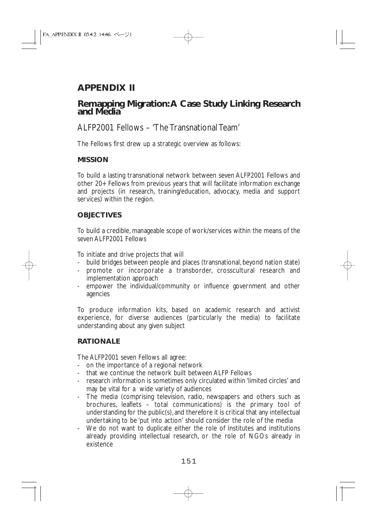# **APPENDIX II**

# **Remapping Migration:A Case Study Linking Research and Media**

ALFP2001 Fellows – 'The Transnational Team'

The Fellows first drew up a strategic overview as follows:

## **MISSION**

To build a lasting transnational network between seven ALFP2001 Fellows and other 20+ Fellows from previous years that will facilitate information exchange and projects (in research, training/education, advocacy, media and support services) within the region.

## **OBJECTIVES**

To build a credible, manageable scope of work/services within the means of the seven ALFP2001 Fellows

To initiate and drive projects that will

- build bridges between people and places (transnational, beyond nation state)
- promote or incorporate a transborder, crosscultural research and implementation approach
- empower the individual/community or influence government and other agencies

To produce information kits, based on academic research and activist experience, for diverse audiences (particularly the media) to facilitate understanding about any given subject

## **RATIONALE**

The ALFP2001 seven Fellows all agree:

- on the importance of a regional network
- that we continue the network built between ALFP Fellows
- research information is sometimes only circulated within 'limited circles' and may be vital for a wide variety of audiences
- The media (comprising television, radio, newspapers and others such as brochures, leaflets – total communications) is the primary tool of understanding for the public(s), and therefore it is critical that any intellectual undertaking to be 'put into action' should consider the role of the media
- We do not want to duplicate either the role of Institutes and institutions already providing intellectual research, or the role of NGOs already in existence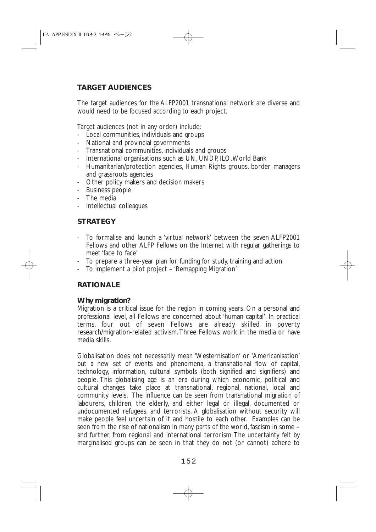# **TARGET AUDIENCES**

The target audiences for the ALFP2001 transnational network are diverse and would need to be focused according to each project.

Target audiences (not in any order) include:

- Local communities, individuals and groups
- National and provincial governments
- Transnational communities, individuals and groups
- International organisations such as UN, UNDP, ILO, World Bank
- Humanitarian/protection agencies, Human Rights groups, border managers and grassroots agencies
- Other policy makers and decision makers
- Business people
- The media
- Intellectual colleagues

## **STRATEGY**

- To formalise and launch a 'virtual network' between the seven ALFP2001 Fellows and other ALFP Fellows on the Internet with regular gatherings to meet 'face to face'
- To prepare a three-year plan for funding for study, training and action
- To implement a pilot project 'Remapping Migration'

## **RATIONALE**

#### **Why migration?**

Migration is a critical issue for the region in coming years. On a personal and professional level, all Fellows are concerned about 'human capital'. In practical terms, four out of seven Fellows are already skilled in poverty research/migration-related activism. Three Fellows work in the media or have media skills.

Globalisation does not necessarily mean 'Westernisation' or 'Americanisation' but a new set of events and phenomena, a transnational flow of capital, technology, information, cultural symbols (both signified and signifiers) and people. This globalising age is an era during which economic, political and cultural changes take place at transnational, regional, national, local and community levels. The influence can be seen from transnational migration of labourers, children, the elderly, and either legal or illegal, documented or undocumented refugees, and terrorists. A globalisation without security will make people feel uncertain of it and hostile to each other. Examples can be seen from the rise of nationalism in many parts of the world, fascism in some – and further, from regional and international terrorism. The uncertainty felt by marginalised groups can be seen in that they do not (or cannot) adhere to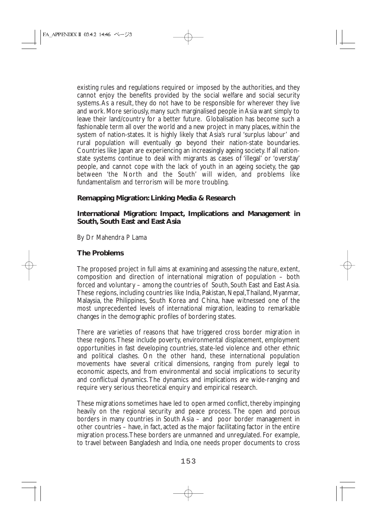existing rules and regulations required or imposed by the authorities, and they cannot enjoy the benefits provided by the social welfare and social security systems.As a result, they do not have to be responsible for wherever they live and work. More seriously, many such marginalised people in Asia want simply to leave their land/country for a better future. Globalisation has become such a fashionable term all over the world and a new project in many places, within the system of nation-states. It is highly likely that Asia's rural 'surplus labour' and rural population will eventually go beyond their nation-state boundaries. Countries like Japan are experiencing an increasingly ageing society. If all nationstate systems continue to deal with migrants as cases of 'illegal' or 'overstay' people, and cannot cope with the lack of youth in an ageing society, the gap between 'the North and the South' will widen, and problems like fundamentalism and terrorism will be more troubling.

## **Remapping Migration: Linking Media & Research**

#### **International Migration: Impact, Implications and Management in South, South East and East Asia**

By Dr Mahendra P Lama

## **The Problems**

The proposed project in full aims at examining and assessing the nature, extent, composition and direction of international migration of population – both forced and voluntary – among the countries of South, South East and East Asia. These regions, including countries like India, Pakistan, Nepal,Thailand, Myanmar, Malaysia, the Philippines, South Korea and China, have witnessed one of the most unprecedented levels of international migration, leading to remarkable changes in the demographic profiles of bordering states.

There are varieties of reasons that have triggered cross border migration in these regions.These include poverty, environmental displacement, employment opportunities in fast developing countries, state-led violence and other ethnic and political clashes. On the other hand, these international population movements have several critical dimensions, ranging from purely legal to economic aspects, and from environmental and social implications to security and conflictual dynamics. The dynamics and implications are wide-ranging and require very serious theoretical enquiry and empirical research.

These migrations sometimes have led to open armed conflict, thereby impinging heavily on the regional security and peace process. The open and porous borders in many countries in South Asia – and poor border management in other countries – have, in fact, acted as the major facilitating factor in the entire migration process.These borders are unmanned and unregulated. For example, to travel between Bangladesh and India, one needs proper documents to cross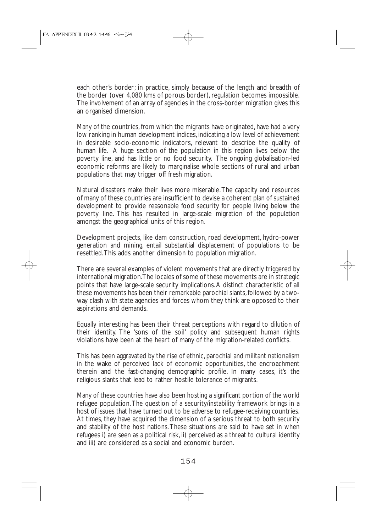each other's border; in practice, simply because of the length and breadth of the border (over 4,080 kms of porous border), regulation becomes impossible. The involvement of an array of agencies in the cross-border migration gives this an organised dimension.

Many of the countries, from which the migrants have originated, have had a very low ranking in human development indices, indicating a low level of achievement in desirable socio-economic indicators, relevant to describe the quality of human life. A huge section of the population in this region lives below the poverty line, and has little or no food security. The ongoing globalisation-led economic reforms are likely to marginalise whole sections of rural and urban populations that may trigger off fresh migration.

Natural disasters make their lives more miserable.The capacity and resources of many of these countries are insufficient to devise a coherent plan of sustained development to provide reasonable food security for people living below the poverty line. This has resulted in large-scale migration of the population amongst the geographical units of this region.

Development projects, like dam construction, road development, hydro-power generation and mining, entail substantial displacement of populations to be resettled.This adds another dimension to population migration.

There are several examples of violent movements that are directly triggered by international migration.The locales of some of these movements are in strategic points that have large-scale security implications.A distinct characteristic of all these movements has been their remarkable parochial slants, followed by a twoway clash with state agencies and forces whom they think are opposed to their aspirations and demands.

Equally interesting has been their threat perceptions with regard to dilution of their identity. The 'sons of the soil' policy and subsequent human rights violations have been at the heart of many of the migration-related conflicts.

This has been aggravated by the rise of ethnic, parochial and militant nationalism in the wake of perceived lack of economic opportunities, the encroachment therein and the fast-changing demographic profile. In many cases, it's the religious slants that lead to rather hostile tolerance of migrants.

Many of these countries have also been hosting a significant portion of the world refugee population.The question of a security/instability framework brings in a host of issues that have turned out to be adverse to refugee-receiving countries. At times, they have acquired the dimension of a serious threat to both security and stability of the host nations. These situations are said to have set in when refugees i) are seen as a political risk, ii) perceived as a threat to cultural identity and iii) are considered as a social and economic burden.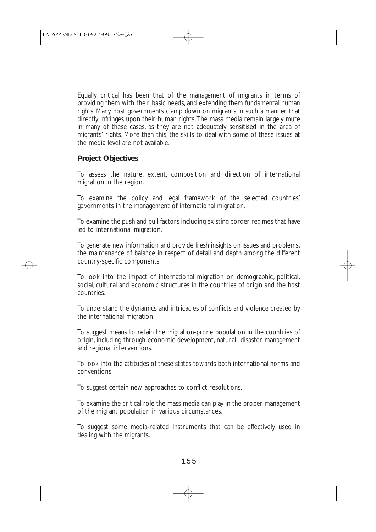Equally critical has been that of the management of migrants in terms of providing them with their basic needs, and extending them fundamental human rights. Many host governments clamp down on migrants in such a manner that directly infringes upon their human rights.The mass media remain largely mute in many of these cases, as they are not adequately sensitised in the area of migrants' rights. More than this, the skills to deal with some of these issues at the media level are not available.

#### **Project Objectives**

To assess the nature, extent, composition and direction of international migration in the region.

To examine the policy and legal framework of the selected countries' governments in the management of international migration.

To examine the push and pull factors including existing border regimes that have led to international migration.

To generate new information and provide fresh insights on issues and problems, the maintenance of balance in respect of detail and depth among the different country-specific components.

To look into the impact of international migration on demographic, political, social, cultural and economic structures in the countries of origin and the host countries.

To understand the dynamics and intricacies of conflicts and violence created by the international migration.

To suggest means to retain the migration-prone population in the countries of origin, including through economic development, natural disaster management and regional interventions.

To look into the attitudes of these states towards both international norms and conventions.

To suggest certain new approaches to conflict resolutions.

To examine the critical role the mass media can play in the proper management of the migrant population in various circumstances.

To suggest some media-related instruments that can be effectively used in dealing with the migrants.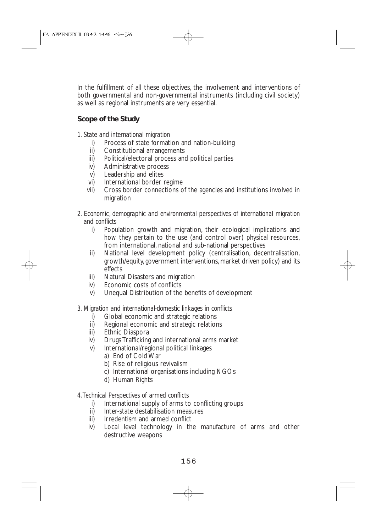In the fulfillment of all these objectives, the involvement and interventions of both governmental and non-governmental instruments (including civil society) as well as regional instruments are very essential.

# **Scope of the Study**

- *1. State and international migration*
	- i) Process of state formation and nation-building
	- ii) Constitutional arrangements
	- iii) Political/electoral process and political parties
	- iv) Administrative process
	- v) Leadership and elites
	- vi) International border regime
	- vii) Cross border connections of the agencies and institutions involved in migration
- *2. Economic, demographic and environmental perspectives of international migration and conflicts*
	- i) Population growth and migration, their ecological implications and how they pertain to the use (and control over) physical resources, from international, national and sub-national perspectives
	- ii) National level development policy (centralisation, decentralisation, growth/equity, government interventions, market driven policy) and its effects
	- iii) Natural Disasters and migration
	- iv) Economic costs of conflicts
	- v) Unequal Distribution of the benefits of development

## *3. Migration and international-domestic linkages in conflicts*

- i) Global economic and strategic relations
- ii) Regional economic and strategic relations
- iii) Ethnic Diaspora
- iv) Drugs Trafficking and international arms market
- v) International/regional political linkages
	- a) End of Cold War
	- b) Rise of religious revivalism
	- c) International organisations including NGOs
	- d) Human Rights

## *4.Technical Perspectives of armed conflicts*

- i) International supply of arms to conflicting groups
- ii) Inter-state destabilisation measures
- iii) Irredentism and armed conflict
- iv) Local level technology in the manufacture of arms and other destructive weapons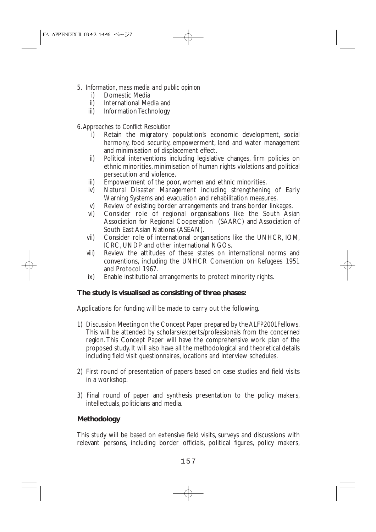- *5. Information, mass media and public opinion*
	- i) Domestic Media<br>ii) International Med
	- International Media and
	- iii) Information Technology

## *6.Approaches to Conflict Resolution*

- i) Retain the migratory population's economic development, social harmony, food security, empowerment, land and water management and minimisation of displacement effect.
- ii) Political interventions including legislative changes, firm policies on ethnic minorities, minimisation of human rights violations and political persecution and violence.
- iii) Empowerment of the poor, women and ethnic minorities.
- iv) Natural Disaster Management including strengthening of Early Warning Systems and evacuation and rehabilitation measures.
- v) Review of existing border arrangements and trans border linkages.<br>vi) Consider role of regional organisations like the South Asia
- Consider role of regional organisations like the South Asian Association for Regional Cooperation (SAARC) and Association of South East Asian Nations (ASEAN).
- vii) Consider role of international organisations like the UNHCR, IOM, ICRC, UNDP and other international NGOs.
- viii) Review the attitudes of these states on international norms and conventions, including the UNHCR Convention on Refugees 1951 and Protocol 1967.
- ix) Enable institutional arrangements to protect minority rights.

## **The study is visualised as consisting of three phases:**

Applications for funding will be made to carry out the following.

- 1) Discussion Meeting on the Concept Paper prepared by the ALFP2001Fellows. This will be attended by scholars/experts/professionals from the concerned region. This Concept Paper will have the comprehensive work plan of the proposed study. It will also have all the methodological and theoretical details including field visit questionnaires, locations and interview schedules.
- 2) First round of presentation of papers based on case studies and field visits in a workshop.
- 3) Final round of paper and synthesis presentation to the policy makers, intellectuals, politicians and media.

#### **Methodology**

This study will be based on extensive field visits, surveys and discussions with relevant persons, including border officials, political figures, policy makers,